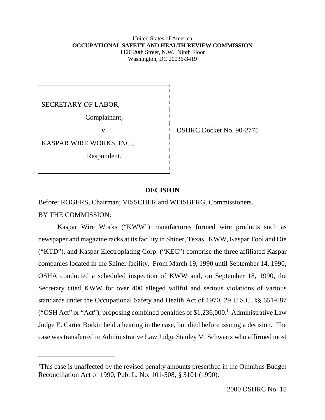#### United States of America **OCCUPATIONAL SAFETY AND HEALTH REVIEW COMMISSION** 1120 20th Street, N.W., Ninth Floor Washington, DC 20036-3419

SECRETARY OF LABOR,

Complainant,

KASPAR WIRE WORKS, INC.,

Respondent.

v. CSHRC Docket No. 90-2775

## **DECISION**

Before: ROGERS, Chairman; VISSCHER and WEISBERG, Commissioners. BY THE COMMISSION:

Kaspar Wire Works ("KWW") manufactures formed wire products such as newspaper and magazine racks at its facility in Shiner, Texas. KWW, Kaspar Tool and Die ("KTD"), and Kaspar Electroplating Corp. ("KEC") comprise the three affiliated Kaspar companies located in the Shiner facility. From March 19, 1990 until September 14, 1990, OSHA conducted a scheduled inspection of KWW and, on September 18, 1990, the Secretary cited KWW for over 400 alleged willful and serious violations of various standards under the Occupational Safety and Health Act of 1970, 29 U.S.C. §§ 651-687 ("OSH Act" or "Act"), proposing combined penalties of \$1,236,000.<sup>1</sup> Administrative Law Judge E. Carter Botkin held a hearing in the case, but died before issuing a decision. The case was transferred to Administrative Law Judge Stanley M. Schwartz who affirmed most

<sup>&</sup>lt;sup>1</sup>This case is unaffected by the revised penalty amounts prescribed in the Omnibus Budget Reconciliation Act of 1990, Pub. L. No. 101-508, § 3101 (1990).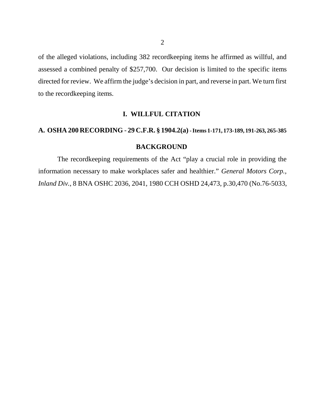of the alleged violations, including 382 recordkeeping items he affirmed as willful, and assessed a combined penalty of \$257,700. Our decision is limited to the specific items directed for review. We affirm the judge's decision in part, and reverse in part. We turn first to the recordkeeping items.

### **I. WILLFUL CITATION**

### **A. OSHA 200 RECORDING** - **29 C.F.R. § 1904.2(a) - Items 1-171, 173-189, 191-263, 265-385**

### **BACKGROUND**

The recordkeeping requirements of the Act "play a crucial role in providing the information necessary to make workplaces safer and healthier." *General Motors Corp., Inland Div.*, 8 BNA OSHC 2036, 2041, 1980 CCH OSHD 24,473, p.30,470 (No.76-5033,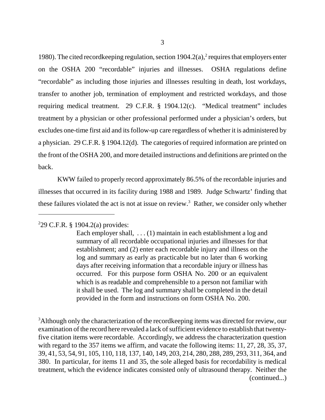1980). The cited record keeping regulation, section  $1904.2(a)$ , requires that employers enter on the OSHA 200 "recordable" injuries and illnesses. OSHA regulations define "recordable" as including those injuries and illnesses resulting in death, lost workdays, transfer to another job, termination of employment and restricted workdays, and those requiring medical treatment. 29 C.F.R. § 1904.12(c). "Medical treatment" includes treatment by a physician or other professional performed under a physician's orders, but excludes one-time first aid and its follow-up care regardless of whether it is administered by a physician. 29 C.F.R. § 1904.12(d). The categories of required information are printed on the front of the OSHA 200, and more detailed instructions and definitions are printed on the back.

KWW failed to properly record approximately 86.5% of the recordable injuries and illnesses that occurred in its facility during 1988 and 1989. Judge Schwartz' finding that these failures violated the act is not at issue on review.<sup>3</sup> Rather, we consider only whether

 $3$ Although only the characterization of the recordkeeping items was directed for review, our examination of the record here revealed a lack of sufficient evidence to establish that twentyfive citation items were recordable. Accordingly, we address the characterization question with regard to the 357 items we affirm, and vacate the following items: 11, 27, 28, 35, 37, 39, 41, 53, 54, 91, 105, 110, 118, 137, 140, 149, 203, 214, 280, 288, 289, 293, 311, 364, and 380. In particular, for items 11 and 35, the sole alleged basis for recordability is medical treatment, which the evidence indicates consisted only of ultrasound therapy. Neither the (continued...)

<sup>2</sup> 29 C.F.R. § 1904.2(a) provides:

Each employer shall, ... (1) maintain in each establishment a log and summary of all recordable occupational injuries and illnesses for that establishment; and (2) enter each recordable injury and illness on the log and summary as early as practicable but no later than 6 working days after receiving information that a recordable injury or illness has occurred. For this purpose form OSHA No. 200 or an equivalent which is as readable and comprehensible to a person not familiar with it shall be used. The log and summary shall be completed in the detail provided in the form and instructions on form OSHA No. 200.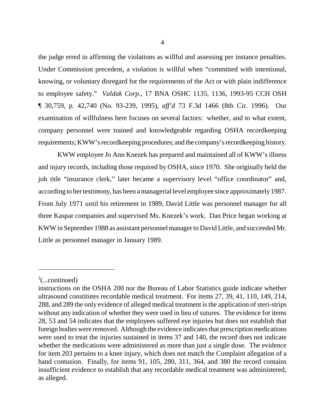the judge erred in affirming the violations as willful and assessing per instance penalties. Under Commission precedent, a violation is willful when "committed with intentional, knowing, or voluntary disregard for the requirements of the Act or with plain indifference to employee safety." *Valdak Corp*., 17 BNA OSHC 1135, 1136, 1993-95 CCH OSH ¶ 30,759, p. 42,740 (No. 93-239, 1995), *aff'd* 73 F.3d 1466 (8th Cir. 1996). Our examination of willfulness here focuses on several factors: whether, and to what extent, company personnel were trained and knowledgeable regarding OSHA recordkeeping requirements; KWW's recordkeeping procedures; and the company's recordkeeping history.

KWW employee Jo Ann Knezek has prepared and maintained all of KWW's illness and injury records, including those required by OSHA, since 1970. She originally held the job title "insurance clerk," later became a supervisory level "office coordinator" and, according to her testimony, has been a managerial level employee since approximately 1987. From July 1971 until his retirement in 1989, David Little was personnel manager for all three Kaspar companies and supervised Ms. Knezek's work. Dan Price began working at KWW in September 1988 as assistant personnel manager to David Little, and succeeded Mr. Little as personnel manager in January 1989.

 $\alpha^3$ (...continued)

instructions on the OSHA 200 nor the Bureau of Labor Statistics guide indicate whether ultrasound constitutes recordable medical treatment. For items 27, 39, 41, 110, 149, 214, 288, and 289 the only evidence of alleged medical treatment is the application of steri-strips without any indication of whether they were used in lieu of sutures. The evidence for items 28, 53 and 54 indicates that the employees suffered eye injuries but does not establish that foreign bodies were removed. Although the evidence indicates that prescription medications were used to treat the injuries sustained in items 37 and 140, the record does not indicate whether the medications were administered as more than just a single dose. The evidence for item 203 pertains to a knee injury, which does not match the Complaint allegation of a hand contusion. Finally, for items 91, 105, 280, 311, 364, and 380 the record contains insufficient evidence to establish that any recordable medical treatment was administered, as alleged.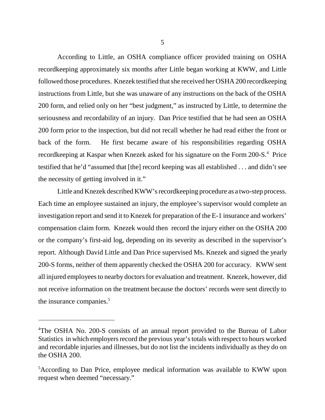According to Little, an OSHA compliance officer provided training on OSHA recordkeeping approximately six months after Little began working at KWW, and Little followed those procedures. Knezek testified that she received her OSHA 200 recordkeeping instructions from Little, but she was unaware of any instructions on the back of the OSHA 200 form, and relied only on her "best judgment," as instructed by Little, to determine the seriousness and recordability of an injury. Dan Price testified that he had seen an OSHA 200 form prior to the inspection, but did not recall whether he had read either the front or back of the form. He first became aware of his responsibilities regarding OSHA recordkeeping at Kaspar when Knezek asked for his signature on the Form 200-S.<sup>4</sup> Price testified that he'd "assumed that [the] record keeping was all established . . . and didn't see the necessity of getting involved in it."

Little and Knezek described KWW's recordkeeping procedure as a two-step process. Each time an employee sustained an injury, the employee's supervisor would complete an investigation report and send it to Knezek for preparation of the E-1 insurance and workers' compensation claim form. Knezek would then record the injury either on the OSHA 200 or the company's first-aid log, depending on its severity as described in the supervisor's report. Although David Little and Dan Price supervised Ms. Knezek and signed the yearly 200-S forms, neither of them apparently checked the OSHA 200 for accuracy. KWW sent all injured employees to nearby doctors for evaluation and treatment. Knezek, however, did not receive information on the treatment because the doctors' records were sent directly to the insurance companies.<sup>5</sup>

<sup>&</sup>lt;sup>4</sup>The OSHA No. 200-S consists of an annual report provided to the Bureau of Labor Statistics in which employers record the previous year's totals with respect to hours worked and recordable injuries and illnesses, but do not list the incidents individually as they do on the OSHA 200.

<sup>&</sup>lt;sup>5</sup>According to Dan Price, employee medical information was available to KWW upon request when deemed "necessary."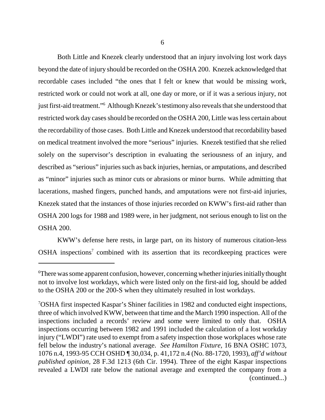Both Little and Knezek clearly understood that an injury involving lost work days beyond the date of injury should be recorded on the OSHA 200. Knezek acknowledged that recordable cases included "the ones that I felt or knew that would be missing work, restricted work or could not work at all, one day or more, or if it was a serious injury, not just first-aid treatment."6 Although Knezek's testimony also reveals that she understood that restricted work day cases should be recorded on the OSHA 200, Little was less certain about the recordability of those cases. Both Little and Knezek understood that recordability based on medical treatment involved the more "serious" injuries. Knezek testified that she relied solely on the supervisor's description in evaluating the seriousness of an injury, and described as "serious" injuries such as back injuries, hernias, or amputations, and described as "minor" injuries such as minor cuts or abrasions or minor burns. While admitting that lacerations, mashed fingers, punched hands, and amputations were not first-aid injuries, Knezek stated that the instances of those injuries recorded on KWW's first-aid rather than OSHA 200 logs for 1988 and 1989 were, in her judgment, not serious enough to list on the OSHA 200.

KWW's defense here rests, in large part, on its history of numerous citation-less  $OSHA$  inspections<sup>7</sup> combined with its assertion that its recordkeeping practices were

<sup>6</sup> There was some apparent confusion, however, concerning whether injuries initially thought not to involve lost workdays, which were listed only on the first-aid log, should be added to the OSHA 200 or the 200-S when they ultimately resulted in lost workdays.

<sup>7</sup> OSHA first inspected Kaspar's Shiner facilities in 1982 and conducted eight inspections, three of which involved KWW, between that time and the March 1990 inspection. All of the inspections included a records' review and some were limited to only that. OSHA inspections occurring between 1982 and 1991 included the calculation of a lost workday injury ("LWDI") rate used to exempt from a safety inspection those workplaces whose rate fell below the industry's national average. *See Hamilton Fixture,* 16 BNA OSHC 1073, 1076 n.4, 1993-95 CCH OSHD ¶ 30,034, p. 41,172 n.4 (No. 88-1720, 1993), *aff'd without published opinion,* 28 F.3d 1213 (6th Cir. 1994). Three of the eight Kaspar inspections revealed a LWDI rate below the national average and exempted the company from a (continued...)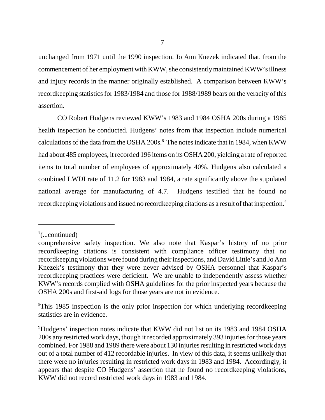unchanged from 1971 until the 1990 inspection. Jo Ann Knezek indicated that, from the commencement of her employment with KWW, she consistently maintained KWW's illness and injury records in the manner originally established. A comparison between KWW's recordkeeping statistics for 1983/1984 and those for 1988/1989 bears on the veracity of this assertion.

CO Robert Hudgens reviewed KWW's 1983 and 1984 OSHA 200s during a 1985 health inspection he conducted. Hudgens' notes from that inspection include numerical calculations of the data from the OSHA 200s. $^8$  The notes indicate that in 1984, when KWW had about 485 employees, it recorded 196 items on its OSHA 200, yielding a rate of reported items to total number of employees of approximately 40%. Hudgens also calculated a combined LWDI rate of 11.2 for 1983 and 1984, a rate significantly above the stipulated national average for manufacturing of 4.7. Hudgens testified that he found no record keeping violations and issued no record keeping citations as a result of that inspection.<sup>9</sup>

 $7$ (...continued)

comprehensive safety inspection. We also note that Kaspar's history of no prior recordkeeping citations is consistent with compliance officer testimony that no recordkeeping violations were found during their inspections, and David Little's and Jo Ann Knezek's testimony that they were never advised by OSHA personnel that Kaspar's recordkeeping practices were deficient. We are unable to independently assess whether KWW's records complied with OSHA guidelines for the prior inspected years because the OSHA 200s and first-aid logs for those years are not in evidence.

<sup>&</sup>lt;sup>8</sup>This 1985 inspection is the only prior inspection for which underlying recordkeeping statistics are in evidence.

<sup>9</sup> Hudgens' inspection notes indicate that KWW did not list on its 1983 and 1984 OSHA 200s any restricted work days, though it recorded approximately 393 injuries for those years combined. For 1988 and 1989 there were about 130 injuries resulting in restricted work days out of a total number of 412 recordable injuries. In view of this data, it seems unlikely that there were no injuries resulting in restricted work days in 1983 and 1984. Accordingly, it appears that despite CO Hudgens' assertion that he found no recordkeeping violations, KWW did not record restricted work days in 1983 and 1984.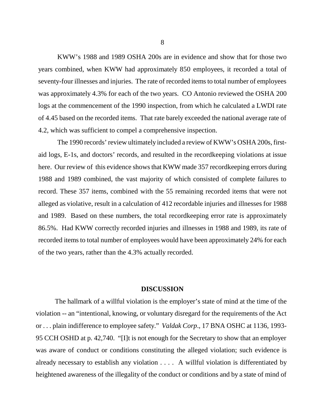KWW's 1988 and 1989 OSHA 200s are in evidence and show that for those two years combined, when KWW had approximately 850 employees, it recorded a total of seventy-four illnesses and injuries. The rate of recorded items to total number of employees was approximately 4.3% for each of the two years. CO Antonio reviewed the OSHA 200 logs at the commencement of the 1990 inspection, from which he calculated a LWDI rate of 4.45 based on the recorded items. That rate barely exceeded the national average rate of 4.2, which was sufficient to compel a comprehensive inspection.

The 1990 records' review ultimately included a review of KWW's OSHA 200s, firstaid logs, E-1s, and doctors' records, and resulted in the recordkeeping violations at issue here. Our review of this evidence shows that KWW made 357 recordkeeping errors during 1988 and 1989 combined, the vast majority of which consisted of complete failures to record. These 357 items, combined with the 55 remaining recorded items that were not alleged as violative, result in a calculation of 412 recordable injuries and illnesses for 1988 and 1989. Based on these numbers, the total recordkeeping error rate is approximately 86.5%. Had KWW correctly recorded injuries and illnesses in 1988 and 1989, its rate of recorded items to total number of employees would have been approximately 24% for each of the two years, rather than the 4.3% actually recorded.

#### **DISCUSSION**

The hallmark of a willful violation is the employer's state of mind at the time of the violation -- an "intentional, knowing, or voluntary disregard for the requirements of the Act or . . . plain indifference to employee safety." *Valdak Corp*., 17 BNA OSHC at 1136, 1993- 95 CCH OSHD at p. 42,740. "[I]t is not enough for the Secretary to show that an employer was aware of conduct or conditions constituting the alleged violation; such evidence is already necessary to establish any violation . . . . A willful violation is differentiated by heightened awareness of the illegality of the conduct or conditions and by a state of mind of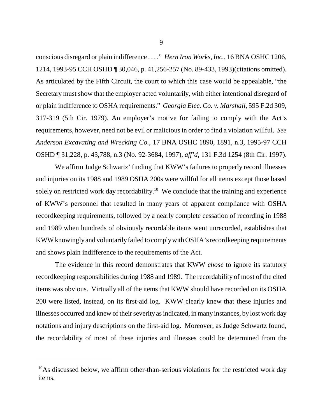conscious disregard or plain indifference . . . ." *Hern Iron Works, Inc.*, 16 BNA OSHC 1206, 1214, 1993-95 CCH OSHD ¶ 30,046, p. 41,256-257 (No. 89-433, 1993)(citations omitted). As articulated by the Fifth Circuit, the court to which this case would be appealable, "the Secretary must show that the employer acted voluntarily, with either intentional disregard of or plain indifference to OSHA requirements." *Georgia Elec. Co. v. Marshall,* 595 F.2d 309, 317-319 (5th Cir. 1979). An employer's motive for failing to comply with the Act's requirements, however, need not be evil or malicious in order to find a violation willful. *See Anderson Excavating and Wrecking Co.*, 17 BNA OSHC 1890, 1891, n.3, 1995-97 CCH OSHD ¶ 31,228, p. 43,788, n.3 (No. 92-3684, 1997), *aff'd*, 131 F.3d 1254 (8th Cir. 1997).

We affirm Judge Schwartz' finding that KWW's failures to properly record illnesses and injuries on its 1988 and 1989 OSHA 200s were willful for all items except those based solely on restricted work day recordability.<sup>10</sup> We conclude that the training and experience of KWW's personnel that resulted in many years of apparent compliance with OSHA recordkeeping requirements, followed by a nearly complete cessation of recording in 1988 and 1989 when hundreds of obviously recordable items went unrecorded, establishes that KWW knowingly and voluntarily failed to comply with OSHA's recordkeeping requirements and shows plain indifference to the requirements of the Act.

The evidence in this record demonstrates that KWW *chose* to ignore its statutory recordkeeping responsibilities during 1988 and 1989. The recordability of most of the cited items was obvious. Virtually all of the items that KWW should have recorded on its OSHA 200 were listed, instead, on its first-aid log. KWW clearly knew that these injuries and illnesses occurred and knew of their severity as indicated, in many instances, by lost work day notations and injury descriptions on the first-aid log. Moreover, as Judge Schwartz found, the recordability of most of these injuries and illnesses could be determined from the

 $10$ As discussed below, we affirm other-than-serious violations for the restricted work day items.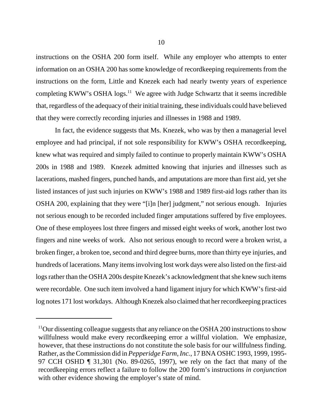instructions on the OSHA 200 form itself. While any employer who attempts to enter information on an OSHA 200 has some knowledge of recordkeeping requirements from the instructions on the form, Little and Knezek each had nearly twenty years of experience completing KWW's OSHA  $\log s$ <sup>11</sup> We agree with Judge Schwartz that it seems incredible that, regardless of the adequacy of their initial training, these individuals could have believed that they were correctly recording injuries and illnesses in 1988 and 1989.

In fact, the evidence suggests that Ms. Knezek, who was by then a managerial level employee and had principal, if not sole responsibility for KWW's OSHA recordkeeping, knew what was required and simply failed to continue to properly maintain KWW's OSHA 200s in 1988 and 1989. Knezek admitted knowing that injuries and illnesses such as lacerations, mashed fingers, punched hands, and amputations are more than first aid, yet she listed instances of just such injuries on KWW's 1988 and 1989 first-aid logs rather than its OSHA 200, explaining that they were "[i]n [her] judgment," not serious enough. Injuries not serious enough to be recorded included finger amputations suffered by five employees. One of these employees lost three fingers and missed eight weeks of work, another lost two fingers and nine weeks of work. Also not serious enough to record were a broken wrist, a broken finger, a broken toe, second and third degree burns, more than thirty eye injuries, and hundreds of lacerations. Many items involving lost work days were also listed on the first-aid logs rather than the OSHA 200s despite Knezek's acknowledgment that she knew such items were recordable. One such item involved a hand ligament injury for which KWW's first-aid log notes 171 lost workdays. Although Knezek also claimed that her recordkeeping practices

<sup>&</sup>lt;sup>11</sup>Our dissenting colleague suggests that any reliance on the OSHA 200 instructions to show willfulness would make every recordkeeping error a willful violation. We emphasize, however, that these instructions do not constitute the sole basis for our willfulness finding. Rather, as the Commission did in *Pepperidge Farm, Inc.*, 17 BNA OSHC 1993, 1999, 1995- 97 CCH OSHD ¶ 31,301 (No. 89-0265, 1997), we rely on the fact that many of the recordkeeping errors reflect a failure to follow the 200 form's instructions *in conjunction* with other evidence showing the employer's state of mind.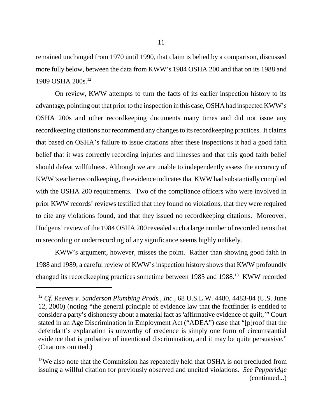remained unchanged from 1970 until 1990, that claim is belied by a comparison, discussed more fully below, between the data from KWW's 1984 OSHA 200 and that on its 1988 and 1989 OSHA 200s.12

On review, KWW attempts to turn the facts of its earlier inspection history to its advantage, pointing out that prior to the inspection in this case, OSHA had inspected KWW's OSHA 200s and other recordkeeping documents many times and did not issue any recordkeeping citations nor recommend any changes to its recordkeeping practices. It claims that based on OSHA's failure to issue citations after these inspections it had a good faith belief that it was correctly recording injuries and illnesses and that this good faith belief should defeat willfulness. Although we are unable to independently assess the accuracy of KWW's earlier recordkeeping, the evidence indicates that KWW had substantially complied with the OSHA 200 requirements. Two of the compliance officers who were involved in prior KWW records' reviews testified that they found no violations, that they were required to cite any violations found, and that they issued no recordkeeping citations. Moreover, Hudgens' review of the 1984 OSHA 200 revealed such a large number of recorded items that misrecording or underrecording of any significance seems highly unlikely.

KWW's argument, however, misses the point. Rather than showing good faith in 1988 and 1989, a careful review of KWW's inspection history shows that KWW profoundly changed its recordkeeping practices sometime between 1985 and 1988.<sup>13</sup> KWW recorded

<sup>12</sup> *Cf. Reeves v. Sanderson Plumbing Prods., Inc.,* 68 U.S.L.W. 4480, 4483-84 (U.S. June 12, 2000) (noting "the general principle of evidence law that the factfinder is entitled to consider a party's dishonesty about a material fact as 'affirmative evidence of guilt," Court stated in an Age Discrimination in Employment Act ("ADEA") case that "[p]roof that the defendant's explanation is unworthy of credence is simply one form of circumstantial evidence that is probative of intentional discrimination, and it may be quite persuasive." (Citations omitted.)

<sup>&</sup>lt;sup>13</sup>We also note that the Commission has repeatedly held that OSHA is not precluded from issuing a willful citation for previously observed and uncited violations. *See Pepperidge* (continued...)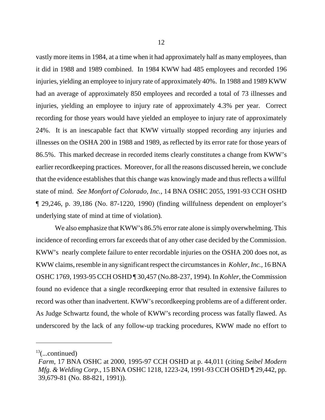vastly more items in 1984, at a time when it had approximately half as many employees, than it did in 1988 and 1989 combined. In 1984 KWW had 485 employees and recorded 196 injuries, yielding an employee to injury rate of approximately 40%. In 1988 and 1989 KWW had an average of approximately 850 employees and recorded a total of 73 illnesses and injuries, yielding an employee to injury rate of approximately 4.3% per year. Correct recording for those years would have yielded an employee to injury rate of approximately 24%. It is an inescapable fact that KWW virtually stopped recording any injuries and illnesses on the OSHA 200 in 1988 and 1989, as reflected by its error rate for those years of 86.5%. This marked decrease in recorded items clearly constitutes a change from KWW's earlier recordkeeping practices. Moreover, for all the reasons discussed herein, we conclude that the evidence establishes that this change was knowingly made and thus reflects a willful state of mind. *See Monfort of Colorado, Inc.,* 14 BNA OSHC 2055, 1991-93 CCH OSHD ¶ 29,246, p. 39,186 (No. 87-1220, 1990) (finding willfulness dependent on employer's underlying state of mind at time of violation)*.*

We also emphasize that KWW's 86.5% error rate alone is simply overwhelming. This incidence of recording errors far exceeds that of any other case decided by the Commission. KWW's nearly complete failure to enter recordable injuries on the OSHA 200 does not, as KWW claims, resemble in any significant respect the circumstances in *Kohler, Inc.,* 16 BNA OSHC 1769, 1993-95 CCH OSHD ¶ 30,457 (No.88-237, 1994). In *Kohler*, the Commission found no evidence that a single recordkeeping error that resulted in extensive failures to record was other than inadvertent. KWW's recordkeeping problems are of a different order. As Judge Schwartz found, the whole of KWW's recording process was fatally flawed. As underscored by the lack of any follow-up tracking procedures, KWW made no effort to

 $13$ (...continued)

*Farm*, 17 BNA OSHC at 2000, 1995-97 CCH OSHD at p. 44,011 (citing *Seibel Modern Mfg. & Welding Corp*., 15 BNA OSHC 1218, 1223-24, 1991-93 CCH OSHD ¶ 29,442, pp. 39,679-81 (No. 88-821, 1991)).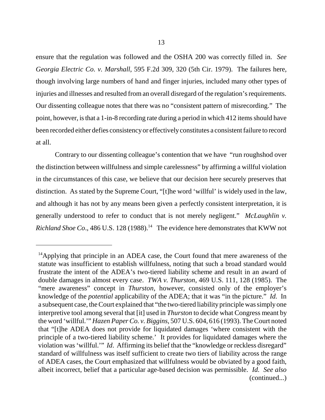ensure that the regulation was followed and the OSHA 200 was correctly filled in. *See Georgia Electric Co. v. Marshall*, 595 F.2d 309, 320 (5th Cir. 1979). The failures here, though involving large numbers of hand and finger injuries, included many other types of injuries and illnesses and resulted from an overall disregard of the regulation's requirements. Our dissenting colleague notes that there was no "consistent pattern of misrecording." The point, however, is that a 1-in-8 recording rate during a period in which 412 items should have been recorded either defies consistency or effectively constitutes a consistent failure to record at all.

Contrary to our dissenting colleague's contention that we have "run roughshod over the distinction between willfulness and simple carelessness" by affirming a willful violation in the circumstances of this case, we believe that our decision here securely preserves that distinction. As stated by the Supreme Court, "[t]he word 'willful' is widely used in the law, and although it has not by any means been given a perfectly consistent interpretation, it is generally understood to refer to conduct that is not merely negligent." *McLaughlin v. Richland Shoe Co.*, 486 U.S. 128 (1988).<sup>14</sup> The evidence here demonstrates that KWW not

<sup>&</sup>lt;sup>14</sup>Applying that principle in an ADEA case, the Court found that mere awareness of the statute was insufficient to establish willfulness, noting that such a broad standard would frustrate the intent of the ADEA's two-tiered liability scheme and result in an award of double damages in almost every case. *TWA v. Thurston*, 469 U.S. 111, 128 (1985). The "mere awareness" concept in *Thurston*, however, consisted only of the employer's knowledge of the *potential* applicability of the ADEA; that it was "in the picture." *Id.* In a subsequent case, the Court explained that "the two-tiered liability principle was simply one interpretive tool among several that [it] used in *Thurston* to decide what Congress meant by the word 'willful.'" *Hazen Paper Co. v. Biggins*, 507 U.S. 604, 616 (1993). The Court noted that "[t]he ADEA does not provide for liquidated damages 'where consistent with the principle of a two-tiered liability scheme.' It provides for liquidated damages where the violation was 'willful.'" *Id*. Affirming its belief that the "knowledge or reckless disregard" standard of willfulness was itself sufficient to create two tiers of liability across the range of ADEA cases, the Court emphasized that willfulness would be obviated by a good faith, albeit incorrect, belief that a particular age-based decision was permissible. *Id. See also* (continued...)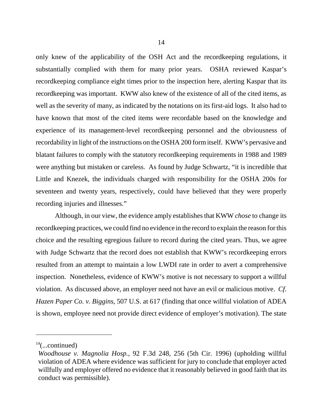only knew of the applicability of the OSH Act and the recordkeeping regulations, it substantially complied with them for many prior years. OSHA reviewed Kaspar's recordkeeping compliance eight times prior to the inspection here, alerting Kaspar that its recordkeeping was important. KWW also knew of the existence of all of the cited items, as well as the severity of many, as indicated by the notations on its first-aid logs. It also had to have known that most of the cited items were recordable based on the knowledge and experience of its management-level recordkeeping personnel and the obviousness of recordability in light of the instructions on the OSHA 200 form itself. KWW's pervasive and blatant failures to comply with the statutory recordkeeping requirements in 1988 and 1989 were anything but mistaken or careless. As found by Judge Schwartz, "it is incredible that Little and Knezek, the individuals charged with responsibility for the OSHA 200s for seventeen and twenty years, respectively, could have believed that they were properly recording injuries and illnesses."

Although, in our view, the evidence amply establishes that KWW *chose* to change its recordkeeping practices, we could find no evidence in the record to explain the reason for this choice and the resulting egregious failure to record during the cited years. Thus, we agree with Judge Schwartz that the record does not establish that KWW's recordkeeping errors resulted from an attempt to maintain a low LWDI rate in order to avert a comprehensive inspection. Nonetheless, evidence of KWW's motive is not necessary to support a willful violation. As discussed above, an employer need not have an evil or malicious motive. *Cf. Hazen Paper Co. v. Biggins*, 507 U.S. at 617 (finding that once willful violation of ADEA is shown, employee need not provide direct evidence of employer's motivation). The state

 $14$ (...continued)

*Woodhouse v. Magnolia Hosp.,* 92 F.3d 248, 256 (5th Cir. 1996) (upholding willful violation of ADEA where evidence was sufficient for jury to conclude that employer acted willfully and employer offered no evidence that it reasonably believed in good faith that its conduct was permissible).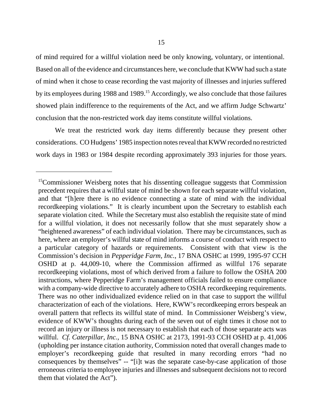of mind required for a willful violation need be only knowing, voluntary, or intentional. Based on all of the evidence and circumstances here, we conclude that KWW had such a state of mind when it chose to cease recording the vast majority of illnesses and injuries suffered by its employees during 1988 and 1989.<sup>15</sup> Accordingly, we also conclude that those failures showed plain indifference to the requirements of the Act, and we affirm Judge Schwartz' conclusion that the non-restricted work day items constitute willful violations.

We treat the restricted work day items differently because they present other considerations. CO Hudgens' 1985 inspection notes reveal that KWW recorded no restricted work days in 1983 or 1984 despite recording approximately 393 injuries for those years.

<sup>&</sup>lt;sup>15</sup>Commissioner Weisberg notes that his dissenting colleague suggests that Commission precedent requires that a willful state of mind be shown for each separate willful violation, and that "[h]ere there is no evidence connecting a state of mind with the individual recordkeeping violations." It is clearly incumbent upon the Secretary to establish each separate violation cited. While the Secretary must also establish the requisite state of mind for a willful violation, it does not necessarily follow that she must separately show a "heightened awareness" of each individual violation. There may be circumstances, such as here, where an employer's willful state of mind informs a course of conduct with respect to a particular category of hazards or requirements. Consistent with that view is the Commission's decision in *Pepperidge Farm, Inc.*, 17 BNA OSHC at 1999, 1995-97 CCH OSHD at p. 44,009-10, where the Commission affirmed as willful 176 separate recordkeeping violations, most of which derived from a failure to follow the OSHA 200 instructions, where Pepperidge Farm's management officials failed to ensure compliance with a company-wide directive to accurately adhere to OSHA recordkeeping requirements. There was no other individualized evidence relied on in that case to support the willful characterization of each of the violations. Here, KWW's recordkeeping errors bespeak an overall pattern that reflects its willful state of mind. In Commissioner Weisberg's view, evidence of KWW's thoughts during each of the seven out of eight times it chose not to record an injury or illness is not necessary to establish that each of those separate acts was willful. *Cf. Caterpillar, Inc.*, 15 BNA OSHC at 2173, 1991-93 CCH OSHD at p. 41,006 (upholding per instance citation authority, Commission noted that overall changes made to employer's recordkeeping guide that resulted in many recording errors "had no consequences by themselves" -- "[i]t was the separate case-by-case application of those erroneous criteria to employee injuries and illnesses and subsequent decisions not to record them that violated the Act").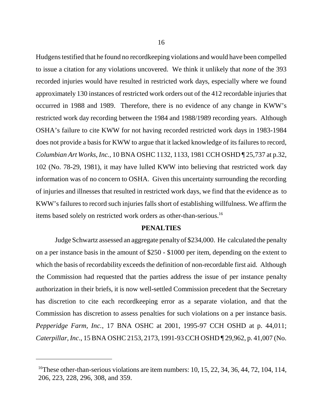Hudgens testified that he found no recordkeeping violations and would have been compelled to issue a citation for any violations uncovered. We think it unlikely that *none* of the 393 recorded injuries would have resulted in restricted work days, especially where we found approximately 130 instances of restricted work orders out of the 412 recordable injuries that occurred in 1988 and 1989. Therefore, there is no evidence of any change in KWW's restricted work day recording between the 1984 and 1988/1989 recording years. Although OSHA's failure to cite KWW for not having recorded restricted work days in 1983-1984 does not provide a basis for KWW to argue that it lacked knowledge of its failures to record, *Columbian Art Works, Inc.,* 10 BNA OSHC 1132, 1133, 1981 CCH OSHD ¶ 25,737 at p.32, 102 (No. 78-29, 1981), it may have lulled KWW into believing that restricted work day information was of no concern to OSHA. Given this uncertainty surrounding the recording of injuries and illnesses that resulted in restricted work days, we find that the evidence as to KWW's failures to record such injuries falls short of establishing willfulness. We affirm the items based solely on restricted work orders as other-than-serious.16

#### **PENALTIES**

Judge Schwartz assessed an aggregate penalty of \$234,000. He calculated the penalty on a per instance basis in the amount of \$250 - \$1000 per item, depending on the extent to which the basis of recordability exceeds the definition of non-recordable first aid. Although the Commission had requested that the parties address the issue of per instance penalty authorization in their briefs, it is now well-settled Commission precedent that the Secretary has discretion to cite each recordkeeping error as a separate violation, and that the Commission has discretion to assess penalties for such violations on a per instance basis. *Pepperidge Farm, Inc.*, 17 BNA OSHC at 2001, 1995-97 CCH OSHD at p. 44,011; *Caterpillar, Inc*., 15 BNA OSHC 2153, 2173, 1991-93 CCH OSHD ¶ 29,962, p. 41,007 (No.

<sup>&</sup>lt;sup>16</sup>These other-than-serious violations are item numbers: 10, 15, 22, 34, 36, 44, 72, 104, 114, 206, 223, 228, 296, 308, and 359.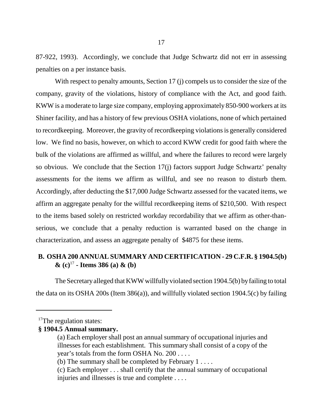87-922, 1993). Accordingly, we conclude that Judge Schwartz did not err in assessing penalties on a per instance basis.

With respect to penalty amounts, Section 17 (j) compels us to consider the size of the company, gravity of the violations, history of compliance with the Act, and good faith. KWW is a moderate to large size company, employing approximately 850-900 workers at its Shiner facility, and has a history of few previous OSHA violations, none of which pertained to recordkeeping. Moreover, the gravity of recordkeeping violations is generally considered low. We find no basis, however, on which to accord KWW credit for good faith where the bulk of the violations are affirmed as willful, and where the failures to record were largely so obvious. We conclude that the Section 17(j) factors support Judge Schwartz' penalty assessments for the items we affirm as willful, and see no reason to disturb them. Accordingly, after deducting the \$17,000 Judge Schwartz assessed for the vacated items, we affirm an aggregate penalty for the willful recordkeeping items of \$210,500. With respect to the items based solely on restricted workday recordability that we affirm as other-thanserious, we conclude that a penalty reduction is warranted based on the change in characterization, and assess an aggregate penalty of \$4875 for these items.

### **B. OSHA 200 ANNUAL SUMMARY AND CERTIFICATION - 29 C.F.R. § 1904.5(b) & (c)**<sup>17</sup> **- Items 386 (a) & (b)**

The Secretary alleged that KWW willfully violated section 1904.5(b) by failing to total the data on its OSHA 200s (Item 386(a)), and willfully violated section 1904.5(c) by failing

### **§ 1904.5 Annual summary.**

<sup>&</sup>lt;sup>17</sup>The regulation states:

<sup>(</sup>a) Each employer shall post an annual summary of occupational injuries and illnesses for each establishment. This summary shall consist of a copy of the year's totals from the form OSHA No. 200 . . . .

<sup>(</sup>b) The summary shall be completed by February 1 . . . .

<sup>(</sup>c) Each employer . . . shall certify that the annual summary of occupational injuries and illnesses is true and complete . . . .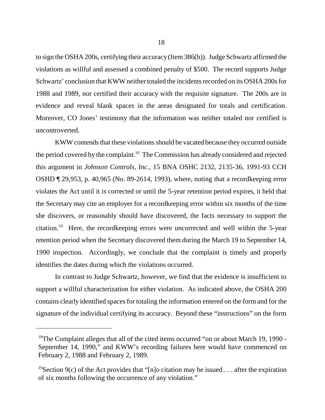to sign the OSHA 200s, certifying their accuracy (Item 386(b)). Judge Schwartz affirmed the violations as willful and assessed a combined penalty of \$500. The record supports Judge Schwartz' conclusion that KWW neither totaled the incidents recorded on its OSHA 200s for 1988 and 1989, nor certified their accuracy with the requisite signature. The 200s are in evidence and reveal blank spaces in the areas designated for totals and certification. Moreover, CO Jones' testimony that the information was neither totaled nor certified is uncontroverted.

KWW contends that these violations should be vacated because they occurred outside the period covered by the complaint.<sup>18</sup> The Commission has already considered and rejected this argument in *Johnson Controls, Inc.,* 15 BNA OSHC 2132, 2135-36, 1991-93 CCH OSHD ¶ 29,953, p. 40,965 (No. 89-2614, 1993), where, noting that a recordkeeping error violates the Act until it is corrected or until the 5-year retention period expires, it held that the Secretary may cite an employer for a recordkeeping error within six months of the time she discovers, or reasonably should have discovered, the facts necessary to support the citation.19 Here, the recordkeeping errors were uncorrected and well within the 5-year retention period when the Secretary discovered them during the March 19 to September 14, 1990 inspection. Accordingly, we conclude that the complaint is timely and properly identifies the dates during which the violations occurred.

In contrast to Judge Schwartz, however, we find that the evidence is insufficient to support a willful characterization for either violation. As indicated above, the OSHA 200 contains clearly identified spaces for totaling the information entered on the form and for the signature of the individual certifying its accuracy. Beyond these "instructions" on the form

<sup>&</sup>lt;sup>18</sup>The Complaint alleges that all of the cited items occurred "on or about March 19, 1990 -September 14, 1990," and KWW's recording failures here would have commenced on February 2, 1988 and February 2, 1989.

<sup>&</sup>lt;sup>19</sup>Section 9(c) of the Act provides that "[n]o citation may be issued . . . after the expiration of six months following the occurrence of any violation."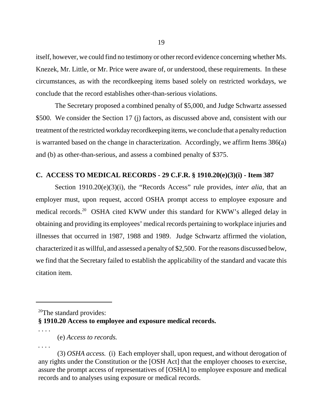itself, however, we could find no testimony or other record evidence concerning whether Ms. Knezek, Mr. Little, or Mr. Price were aware of, or understood, these requirements. In these circumstances, as with the recordkeeping items based solely on restricted workdays, we conclude that the record establishes other-than-serious violations.

The Secretary proposed a combined penalty of \$5,000, and Judge Schwartz assessed \$500. We consider the Section 17 (j) factors, as discussed above and, consistent with our treatment of the restricted workday recordkeeping items, we conclude that a penalty reduction is warranted based on the change in characterization. Accordingly, we affirm Items 386(a) and (b) as other-than-serious, and assess a combined penalty of \$375.

### **C. ACCESS TO MEDICAL RECORDS - 29 C.F.R. § 1910.20(e)(3)(i) - Item 387**

Section 1910.20(e)(3)(i), the "Records Access" rule provides, *inter alia*, that an employer must, upon request, accord OSHA prompt access to employee exposure and medical records.<sup>20</sup> OSHA cited KWW under this standard for KWW's alleged delay in obtaining and providing its employees' medical records pertaining to workplace injuries and illnesses that occurred in 1987, 1988 and 1989. Judge Schwartz affirmed the violation, characterized it as willful, and assessed a penalty of \$2,500. For the reasons discussed below, we find that the Secretary failed to establish the applicability of the standard and vacate this citation item.

*. . . .*

. . . .

<sup>&</sup>lt;sup>20</sup>The standard provides: **§ 1910.20 Access to employee and exposure medical records.**

<sup>(</sup>e) *Access to records.*

<sup>(3)</sup> *OSHA access.* (i) Each employer shall, upon request, and without derogation of any rights under the Constitution or the [OSH Act] that the employer chooses to exercise, assure the prompt access of representatives of [OSHA] to employee exposure and medical records and to analyses using exposure or medical records.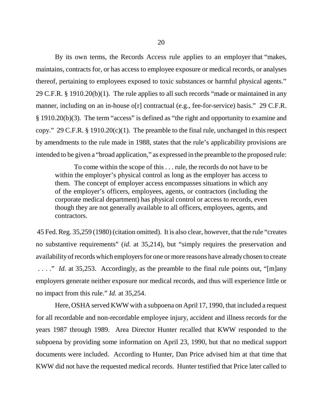By its own terms, the Records Access rule applies to an employer that "makes, maintains, contracts for, or has access to employee exposure or medical records, or analyses thereof, pertaining to employees exposed to toxic substances or harmful physical agents." 29 C.F.R. § 1910.20(b)(1). The rule applies to all such records "made or maintained in any manner, including on an in-house o[r] contractual (e.g., fee-for-service) basis." 29 C.F.R. § 1910.20(b)(3). The term "access" is defined as "the right and opportunity to examine and copy." 29 C.F.R. § 1910.20(c)(1). The preamble to the final rule, unchanged in this respect by amendments to the rule made in 1988, states that the rule's applicability provisions are intended to be given a "broad application," as expressed in the preamble to the proposed rule:

To come within the scope of this . . . rule, the records do not have to be within the employer's physical control as long as the employer has access to them. The concept of employer access encompasses situations in which any of the employer's officers, employees, agents, or contractors (including the corporate medical department) has physical control or access to records, even though they are not generally available to all officers, employees, agents, and contractors.

 45 Fed. Reg. 35,259 (1980) (citation omitted). It is also clear, however, that the rule "creates no substantive requirements" (*id.* at 35,214), but "simply requires the preservation and availability of records which employers for one or more reasons have already chosen to create ...." *Id.* at 35,253. Accordingly, as the preamble to the final rule points out, "[m]any employers generate neither exposure nor medical records, and thus will experience little or no impact from this rule." *Id.* at 35,254.

Here, OSHA served KWW with a subpoena on April 17, 1990, that included a request for all recordable and non-recordable employee injury, accident and illness records for the years 1987 through 1989. Area Director Hunter recalled that KWW responded to the subpoena by providing some information on April 23, 1990, but that no medical support documents were included. According to Hunter, Dan Price advised him at that time that KWW did not have the requested medical records. Hunter testified that Price later called to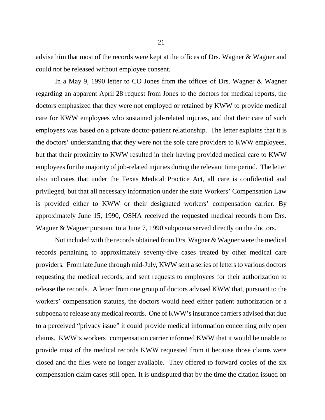advise him that most of the records were kept at the offices of Drs. Wagner & Wagner and could not be released without employee consent.

In a May 9, 1990 letter to CO Jones from the offices of Drs. Wagner & Wagner regarding an apparent April 28 request from Jones to the doctors for medical reports, the doctors emphasized that they were not employed or retained by KWW to provide medical care for KWW employees who sustained job-related injuries, and that their care of such employees was based on a private doctor-patient relationship. The letter explains that it is the doctors' understanding that they were not the sole care providers to KWW employees, but that their proximity to KWW resulted in their having provided medical care to KWW employees for the majority of job-related injuries during the relevant time period. The letter also indicates that under the Texas Medical Practice Act, all care is confidential and privileged, but that all necessary information under the state Workers' Compensation Law is provided either to KWW or their designated workers' compensation carrier. By approximately June 15, 1990, OSHA received the requested medical records from Drs. Wagner & Wagner pursuant to a June 7, 1990 subpoena served directly on the doctors.

Not included with the records obtained from Drs. Wagner & Wagner were the medical records pertaining to approximately seventy-five cases treated by other medical care providers. From late June through mid-July, KWW sent a series of letters to various doctors requesting the medical records, and sent requests to employees for their authorization to release the records. A letter from one group of doctors advised KWW that, pursuant to the workers' compensation statutes, the doctors would need either patient authorization or a subpoena to release any medical records. One of KWW's insurance carriers advised that due to a perceived "privacy issue" it could provide medical information concerning only open claims. KWW's workers' compensation carrier informed KWW that it would be unable to provide most of the medical records KWW requested from it because those claims were closed and the files were no longer available. They offered to forward copies of the six compensation claim cases still open. It is undisputed that by the time the citation issued on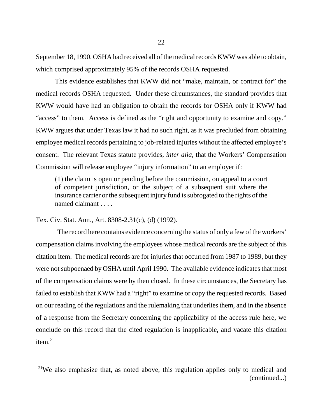September 18, 1990, OSHA had received all of the medical records KWW was able to obtain, which comprised approximately 95% of the records OSHA requested.

This evidence establishes that KWW did not "make, maintain, or contract for" the medical records OSHA requested. Under these circumstances, the standard provides that KWW would have had an obligation to obtain the records for OSHA only if KWW had "access" to them. Access is defined as the "right and opportunity to examine and copy." KWW argues that under Texas law it had no such right, as it was precluded from obtaining employee medical records pertaining to job-related injuries without the affected employee's consent. The relevant Texas statute provides, *inter alia*, that the Workers' Compensation Commission will release employee "injury information" to an employer if:

(1) the claim is open or pending before the commission, on appeal to a court of competent jurisdiction, or the subject of a subsequent suit where the insurance carrier or the subsequent injury fund is subrogated to the rights of the named claimant . . . .

Tex. Civ. Stat. Ann., Art. 8308-2.31(c), (d) (1992).

 The record here contains evidence concerning the status of only a few of the workers' compensation claims involving the employees whose medical records are the subject of this citation item. The medical records are for injuries that occurred from 1987 to 1989, but they were not subpoenaed by OSHA until April 1990. The available evidence indicates that most of the compensation claims were by then closed. In these circumstances, the Secretary has failed to establish that KWW had a "right" to examine or copy the requested records. Based on our reading of the regulations and the rulemaking that underlies them, and in the absence of a response from the Secretary concerning the applicability of the access rule here, we conclude on this record that the cited regulation is inapplicable, and vacate this citation item. $21$ 

<sup>&</sup>lt;sup>21</sup>We also emphasize that, as noted above, this regulation applies only to medical and (continued...)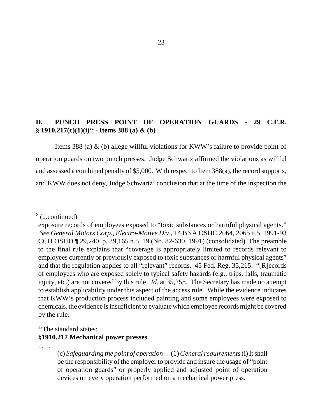## **D. PUNCH PRESS POINT OF OPERATION GUARDS - 29 C.F.R. § 1910.217(c)(1)(i)**<sup>22</sup> **- Items 388 (a) & (b)**

Items 388 (a) & (b) allege willful violations for KWW's failure to provide point of operation guards on two punch presses. Judge Schwartz affirmed the violations as willful and assessed a combined penalty of \$5,000. With respect to Item 388(a), the record supports, and KWW does not deny, Judge Schwartz' conclusion that at the time of the inspection the

# <sup>22</sup>The standard states: **§1910.217 Mechanical power presses**

. . . .

 $2^{21}$ (...continued)

exposure records of employees exposed to "toxic substances or harmful physical agents." *See General Motors Corp., Electro-Motive Div.*, 14 BNA OSHC 2064, 2065 n.5, 1991-93 CCH OSHD ¶ 29,240, p. 39,165 n.5, 19 (No. 82-630, 1991) (consolidated). The preamble to the final rule explains that "coverage is appropriately limited to records relevant to employees currently or previously exposed to toxic substances or harmful physical agents" and that the regulation applies to all "relevant" records. 45 Fed. Reg. 35,215. "[R]ecords of employees who are exposed solely to typical safety hazards (e.g., trips, falls, traumatic injury, etc.) are not covered by this rule. *Id.* at 35,258. The Secretary has made no attempt to establish applicability under this aspect of the access rule. While the evidence indicates that KWW's production process included painting and some employees were exposed to chemicals, the evidence is insufficient to evaluate which employee records might be covered by the rule.

<sup>(</sup>c) *Safeguarding the point of operation*— (1) *General requirements* (i) It shall be the responsibility of the employer to provide and insure the usage of "point of operation guards" or properly applied and adjusted point of operation devices on every operation performed on a mechanical power press.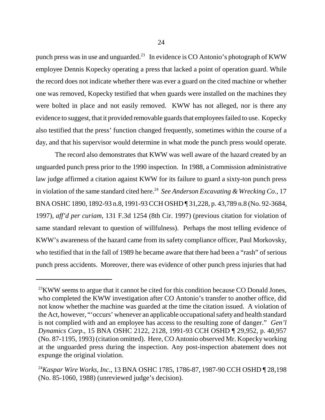punch press was in use and unguarded.<sup>23</sup> In evidence is CO Antonio's photograph of KWW employee Dennis Kopecky operating a press that lacked a point of operation guard. While the record does not indicate whether there was ever a guard on the cited machine or whether one was removed, Kopecky testified that when guards were installed on the machines they were bolted in place and not easily removed. KWW has not alleged, nor is there any evidence to suggest, that it provided removable guards that employees failed to use. Kopecky also testified that the press' function changed frequently, sometimes within the course of a day, and that his supervisor would determine in what mode the punch press would operate.

The record also demonstrates that KWW was well aware of the hazard created by an unguarded punch press prior to the 1990 inspection. In 1988, a Commission administrative law judge affirmed a citation against KWW for its failure to guard a sixty-ton punch press in violation of the same standard cited here.<sup>24</sup> See *Anderson Excavating & Wrecking Co.*, 17 BNA OSHC 1890, 1892-93 n.8, 1991-93 CCH OSHD ¶ 31,228, p. 43,789 n.8 (No. 92-3684, 1997), *aff'd per curiam*, 131 F.3d 1254 (8th Cir. 1997) (previous citation for violation of same standard relevant to question of willfulness). Perhaps the most telling evidence of KWW's awareness of the hazard came from its safety compliance officer, Paul Morkovsky, who testified that in the fall of 1989 he became aware that there had been a "rash" of serious punch press accidents. Moreover, there was evidence of other punch press injuries that had

<sup>&</sup>lt;sup>23</sup>KWW seems to argue that it cannot be cited for this condition because CO Donald Jones, who completed the KWW investigation after CO Antonio's transfer to another office, did not know whether the machine was guarded at the time the citation issued. A violation of the Act, however, "'occurs' whenever an applicable occupational safety and health standard is not complied with and an employee has access to the resulting zone of danger." *Gen'l Dynamics Corp.*, 15 BNA OSHC 2122, 2128, 1991-93 CCH OSHD ¶ 29,952, p. 40,957 (No. 87-1195, 1993) (citation omitted). Here, CO Antonio observed Mr. Kopecky working at the unguarded press during the inspection. Any post-inspection abatement does not expunge the original violation.

<sup>24</sup>*Kaspar Wire Works, Inc.*, 13 BNA OSHC 1785, 1786-87, 1987-90 CCH OSHD ¶ 28,198 (No. 85-1060, 1988) (unreviewed judge's decision).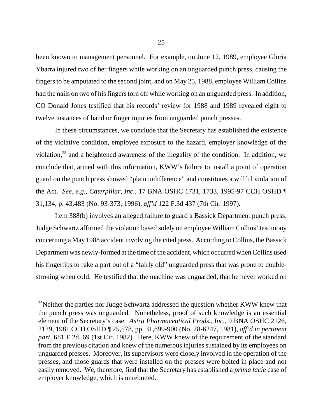been known to management personnel. For example, on June 12, 1989, employee Gloria Ybarra injured two of her fingers while working on an unguarded punch press, causing the fingers to be amputated to the second joint, and on May 25, 1988, employee William Collins had the nails on two of his fingers torn off while working on an unguarded press. In addition, CO Donald Jones testified that his records' review for 1988 and 1989 revealed eight to twelve instances of hand or finger injuries from unguarded punch presses.

In these circumstances, we conclude that the Secretary has established the existence of the violative condition, employee exposure to the hazard, employer knowledge of the violation,<sup>25</sup> and a heightened awareness of the illegality of the condition. In addition, we conclude that, armed with this information, KWW's failure to install a point of operation guard on the punch press showed "plain indifference" and constitutes a willful violation of the Act. *See, e.g., Caterpillar, Inc.,* 17 BNA OSHC 1731, 1733, 1995-97 CCH OSHD ¶ 31,134, p. 43,483 (No. 93-373, 1996), *aff'd* 122 F.3d 437 (7th Cir. 1997).

Item 388(b) involves an alleged failure to guard a Bassick Department punch press. Judge Schwartz affirmed the violation based solely on employee William Collins' testimony concerning a May 1988 accident involving the cited press. According to Collins, the Bassick Department was newly-formed at the time of the accident, which occurred when Collins used his fingertips to rake a part out of a "fairly old" unguarded press that was prone to doublestroking when cold. He testified that the machine was unguarded, that he never worked on

 $25$ Neither the parties nor Judge Schwartz addressed the question whether KWW knew that the punch press was unguarded. Nonetheless, proof of such knowledge is an essential element of the Secretary's case. *Astra Pharmaceutical Prods., Inc.,* 9 BNA OSHC 2126, 2129, 1981 CCH OSHD ¶ 25,578, pp. 31,899-900 (No. 78-6247, 1981), *aff'd in pertinent part,* 681 F.2d. 69 (1st Cir. 1982). Here, KWW knew of the requirement of the standard from the previous citation and knew of the numerous injuries sustained by its employees on unguarded presses. Moreover, its supervisors were closely involved in the operation of the presses, and those guards that were installed on the presses were bolted in place and not easily removed. We, therefore, find that the Secretary has established a *prima facie* case of employer knowledge, which is unrebutted.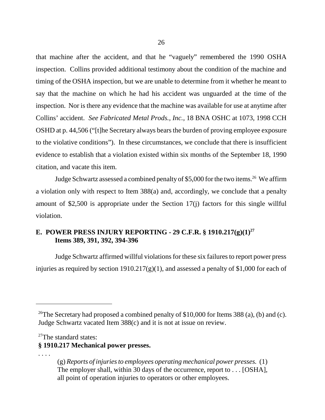that machine after the accident, and that he "vaguely" remembered the 1990 OSHA inspection. Collins provided additional testimony about the condition of the machine and timing of the OSHA inspection, but we are unable to determine from it whether he meant to say that the machine on which he had his accident was unguarded at the time of the inspection. Nor is there any evidence that the machine was available for use at anytime after Collins' accident. *See Fabricated Metal Prods., Inc.,* 18 BNA OSHC at 1073, 1998 CCH OSHD at p. 44,506 ("[t]he Secretary always bears the burden of proving employee exposure to the violative conditions"). In these circumstances, we conclude that there is insufficient evidence to establish that a violation existed within six months of the September 18, 1990 citation, and vacate this item.

Judge Schwartz assessed a combined penalty of \$5,000 for the two items.<sup>26</sup> We affirm a violation only with respect to Item 388(a) and, accordingly, we conclude that a penalty amount of \$2,500 is appropriate under the Section 17(j) factors for this single willful violation.

## **E. POWER PRESS INJURY REPORTING - 29 C.F.R. § 1910.217(g)(1)<sup>27</sup> Items 389, 391, 392, 394-396**

Judge Schwartz affirmed willful violations for these six failures to report power press injuries as required by section 1910.217(g)(1), and assessed a penalty of \$1,000 for each of

<sup>27</sup>The standard states:

**§ 1910.217 Mechanical power presses.**

. . . .

<sup>&</sup>lt;sup>26</sup>The Secretary had proposed a combined penalty of \$10,000 for Items 388 (a), (b) and (c). Judge Schwartz vacated Item 388(c) and it is not at issue on review.

<sup>(</sup>g) *Reports of injuries to employees operating mechanical power presses.* (1) The employer shall, within 30 days of the occurrence, report to . . . [OSHA], all point of operation injuries to operators or other employees.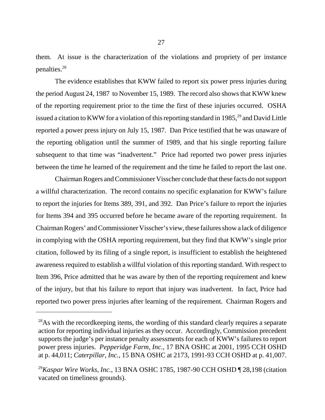them. At issue is the characterization of the violations and propriety of per instance penalties.28

The evidence establishes that KWW failed to report six power press injuries during the period August 24, 1987 to November 15, 1989. The record also shows that KWW knew of the reporting requirement prior to the time the first of these injuries occurred. OSHA issued a citation to KWW for a violation of this reporting standard in 1985,<sup>29</sup> and David Little reported a power press injury on July 15, 1987. Dan Price testified that he was unaware of the reporting obligation until the summer of 1989, and that his single reporting failure subsequent to that time was "inadvertent." Price had reported two power press injuries between the time he learned of the requirement and the time he failed to report the last one.

Chairman Rogers and Commissioner Visscher conclude that these facts do not support a willful characterization. The record contains no specific explanation for KWW's failure to report the injuries for Items 389, 391, and 392. Dan Price's failure to report the injuries for Items 394 and 395 occurred before he became aware of the reporting requirement. In Chairman Rogers' and Commissioner Visscher's view, these failures show a lack of diligence in complying with the OSHA reporting requirement, but they find that KWW's single prior citation, followed by its filing of a single report, is insufficient to establish the heightened awareness required to establish a willful violation of this reporting standard. With respect to Item 396, Price admitted that he was aware by then of the reporting requirement and knew of the injury, but that his failure to report that injury was inadvertent. In fact, Price had reported two power press injuries after learning of the requirement. Chairman Rogers and

 $^{28}$ As with the recordkeeping items, the wording of this standard clearly requires a separate action for reporting individual injuries as they occur. Accordingly, Commission precedent supports the judge's per instance penalty assessments for each of KWW's failures to report power press injuries. *Pepperidge Farm, Inc.,* 17 BNA OSHC at 2001, 1995 CCH OSHD at p. 44,011; *Caterpillar, Inc.,* 15 BNA OSHC at 2173, 1991-93 CCH OSHD at p. 41,007.

<sup>29</sup>*Kaspar Wire Works, Inc.*, 13 BNA OSHC 1785, 1987-90 CCH OSHD ¶ 28,198 (citation vacated on timeliness grounds).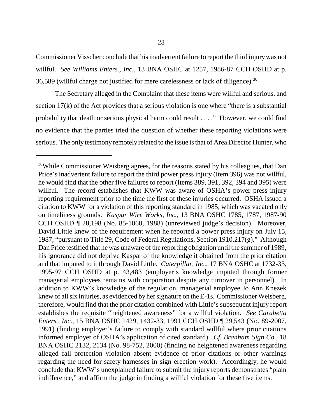Commissioner Visscher conclude that his inadvertent failure to report the third injury was not willful. *See Williams Enters., Inc.,* 13 BNA OSHC at 1257, 1986-87 CCH OSHD at p. 36,589 (willful charge not justified for mere carelessness or lack of diligence).30

The Secretary alleged in the Complaint that these items were willful and serious, and section 17(k) of the Act provides that a serious violation is one where "there is a substantial probability that death or serious physical harm could result . . . ." However, we could find no evidence that the parties tried the question of whether these reporting violations were serious. The only testimony remotely related to the issue is that of Area Director Hunter, who

<sup>&</sup>lt;sup>30</sup>While Commissioner Weisberg agrees, for the reasons stated by his colleagues, that Dan Price's inadvertent failure to report the third power press injury (Item 396) was not willful, he would find that the other five failures to report (Items 389, 391, 392, 394 and 395) were willful. The record establishes that KWW was aware of OSHA's power press injury reporting requirement prior to the time the first of these injuries occurred. OSHA issued a citation to KWW for a violation of this reporting standard in 1985, which was vacated only on timeliness grounds. *Kaspar Wire Works, Inc.*, 13 BNA OSHC 1785, 1787, 1987-90 CCH OSHD ¶ 28,198 (No. 85-1060, 1988) (unreviewed judge's decision). Moreover, David Little knew of the requirement when he reported a power press injury on July 15, 1987, "pursuant to Title 29, Code of Federal Regulations, Section 1910.217(g)." Although Dan Price testified that he was unaware of the reporting obligation until the summer of 1989, his ignorance did not deprive Kaspar of the knowledge it obtained from the prior citation and that imputed to it through David Little. *Caterpillar, Inc.*, 17 BNA OSHC at 1732-33, 1995-97 CCH OSHD at p. 43,483 (employer's knowledge imputed through former managerial employees remains with corporation despite any turnover in personnel). In addition to KWW's knowledge of the regulation, managerial employee Jo Ann Knezek knew of all six injuries, as evidenced by her signature on the E-1s. Commissioner Weisberg, therefore, would find that the prior citation combined with Little's subsequent injury report establishes the requisite "heightened awareness" for a willful violation. *See Carabetta Enters., Inc.,* 15 BNA OSHC 1429, 1432-33, 1991 CCH OSHD ¶ 29,543 (No. 89-2007, 1991) (finding employer's failure to comply with standard willful where prior citations informed employer of OSHA's application of cited standard). *Cf. Branham Sign Co.*, 18 BNA OSHC 2132, 2134 (No. 98-752, 2000) (finding no heightened awareness regarding alleged fall protection violation absent evidence of prior citations or other warnings regarding the need for safety harnesses in sign erection work). Accordingly, he would conclude that KWW's unexplained failure to submit the injury reports demonstrates "plain indifference," and affirm the judge in finding a willful violation for these five items.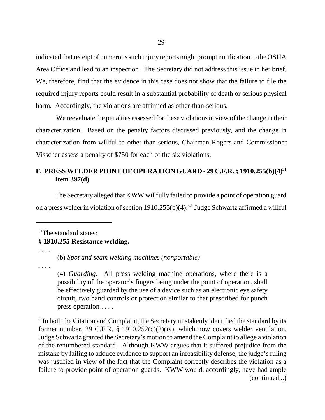indicated that receipt of numerous such injury reports might prompt notification to the OSHA Area Office and lead to an inspection. The Secretary did not address this issue in her brief. We, therefore, find that the evidence in this case does not show that the failure to file the required injury reports could result in a substantial probability of death or serious physical harm. Accordingly, the violations are affirmed as other-than-serious.

 We reevaluate the penalties assessed for these violations in view of the change in their characterization. Based on the penalty factors discussed previously, and the change in characterization from willful to other-than-serious, Chairman Rogers and Commissioner Visscher assess a penalty of \$750 for each of the six violations.

## **F. PRESS WELDER POINT OF OPERATION GUARD - 29 C.F.R. § 1910.255(b)(4)31 Item 397(d)**

The Secretary alleged that KWW willfully failed to provide a point of operation guard on a press welder in violation of section 1910.255(b)(4).<sup>32</sup> Judge Schwartz affirmed a willful

## <sup>31</sup>The standard states: **§ 1910.255 Resistance welding.**

(b) *Spot and seam welding machines (nonportable)*

*. . . .*

. . . .

(4) *Guarding.* All press welding machine operations, where there is a possibility of the operator's fingers being under the point of operation, shall be effectively guarded by the use of a device such as an electronic eye safety circuit, two hand controls or protection similar to that prescribed for punch press operation . . . .

 $32$ In both the Citation and Complaint, the Secretary mistakenly identified the standard by its former number, 29 C.F.R. § 1910.252(c)(2)(iv), which now covers welder ventilation. Judge Schwartz granted the Secretary's motion to amend the Complaint to allege a violation of the renumbered standard. Although KWW argues that it suffered prejudice from the mistake by failing to adduce evidence to support an infeasibility defense, the judge's ruling was justified in view of the fact that the Complaint correctly describes the violation as a failure to provide point of operation guards. KWW would, accordingly, have had ample (continued...)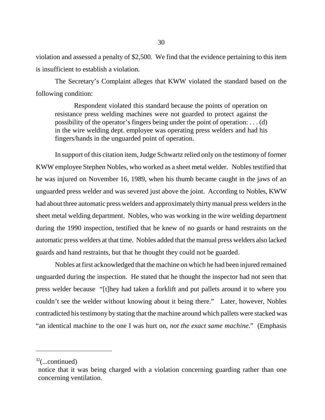violation and assessed a penalty of \$2,500. We find that the evidence pertaining to this item is insufficient to establish a violation.

The Secretary's Complaint alleges that KWW violated the standard based on the following condition:

Respondent violated this standard because the points of operation on resistance press welding machines were not guarded to protect against the possibility of the operator's fingers being under the point of operation: . . . (d) in the wire welding dept. employee was operating press welders and had his fingers/hands in the unguarded point of operation.

In support of this citation item, Judge Schwartz relied only on the testimony of former KWW employee Stephen Nobles, who worked as a sheet metal welder. Nobles testified that he was injured on November 16, 1989, when his thumb became caught in the jaws of an unguarded press welder and was severed just above the joint. According to Nobles, KWW had about three automatic press welders and approximately thirty manual press welders in the sheet metal welding department. Nobles, who was working in the wire welding department during the 1990 inspection, testified that he knew of no guards or hand restraints on the automatic press welders at that time. Nobles added that the manual press welders also lacked guards and hand restraints, but that he thought they could not be guarded.

Nobles at first acknowledged that the machine on which he had been injured remained unguarded during the inspection. He stated that he thought the inspector had not seen that press welder because "[t]hey had taken a forklift and put pallets around it to where you couldn't see the welder without knowing about it being there." Later, however, Nobles contradicted his testimony by stating that the machine around which pallets were stacked was "an identical machine to the one I was hurt on, *not the exact same machine*." (Emphasis

 $32$ (...continued)

notice that it was being charged with a violation concerning guarding rather than one concerning ventilation.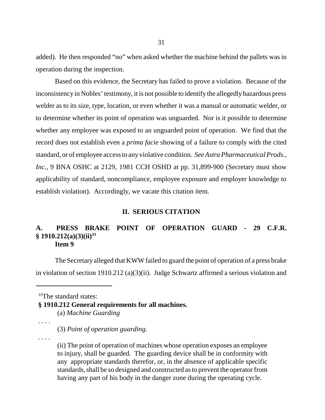added). He then responded "no" when asked whether the machine behind the pallets was in operation during the inspection.

Based on this evidence, the Secretary has failed to prove a violation. Because of the inconsistency in Nobles' testimony, it is not possible to identify the allegedly hazardous press welder as to its size, type, location, or even whether it was a manual or automatic welder, or to determine whether its point of operation was unguarded. Nor is it possible to determine whether any employee was exposed to an unguarded point of operation. We find that the record does not establish even a *prima facie* showing of a failure to comply with the cited standard, or of employee access to any violative condition. *See Astra Pharmaceutical Prods., Inc.*, 9 BNA OSHC at 2129, 1981 CCH OSHD at pp. 31,899-900 (Secretary must show applicability of standard, noncompliance, employee exposure and employer knowledge to establish violation). Accordingly, we vacate this citation item.

#### **II. SERIOUS CITATION**

### **A. PRESS BRAKE POINT OF OPERATION GUARD - 29 C.F.R. § 1910.212(a)(3)(ii)33 Item 9**

The Secretary alleged that KWW failed to guard the point of operation of a press brake in violation of section 1910.212 (a)(3)(ii). Judge Schwartz affirmed a serious violation and

<sup>33</sup>The standard states:

**§ 1910.212 General requirements for all machines.** (a) *Machine Guarding*

(3) *Point of operation guarding.*

*. . . .*

. . . .

(ii) The point of operation of machines whose operation exposes an employee to injury, shall be guarded. The guarding device shall be in conformity with any appropriate standards therefor, or, in the absence of applicable specific standards, shall be so designed and constructed as to prevent the operator from having any part of his body in the danger zone during the operating cycle.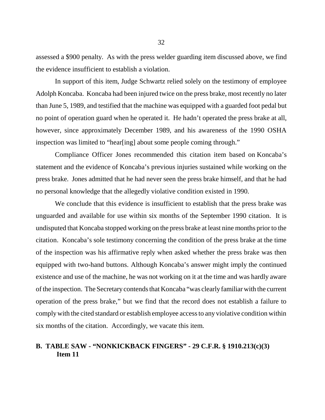assessed a \$900 penalty. As with the press welder guarding item discussed above, we find the evidence insufficient to establish a violation.

In support of this item, Judge Schwartz relied solely on the testimony of employee Adolph Koncaba. Koncaba had been injured twice on the press brake, most recently no later than June 5, 1989, and testified that the machine was equipped with a guarded foot pedal but no point of operation guard when he operated it. He hadn't operated the press brake at all, however, since approximately December 1989, and his awareness of the 1990 OSHA inspection was limited to "hear[ing] about some people coming through."

 Compliance Officer Jones recommended this citation item based on Koncaba's statement and the evidence of Koncaba's previous injuries sustained while working on the press brake. Jones admitted that he had never seen the press brake himself, and that he had no personal knowledge that the allegedly violative condition existed in 1990.

We conclude that this evidence is insufficient to establish that the press brake was unguarded and available for use within six months of the September 1990 citation. It is undisputed that Koncaba stopped working on the press brake at least nine months prior to the citation. Koncaba's sole testimony concerning the condition of the press brake at the time of the inspection was his affirmative reply when asked whether the press brake was then equipped with two-hand buttons. Although Koncaba's answer might imply the continued existence and use of the machine, he was not working on it at the time and was hardly aware of the inspection. The Secretary contends that Koncaba "was clearly familiar with the current operation of the press brake," but we find that the record does not establish a failure to comply with the cited standard or establish employee access to any violative condition within six months of the citation. Accordingly, we vacate this item.

## **B. TABLE SAW - "NONKICKBACK FINGERS" - 29 C.F.R. § 1910.213(c)(3) Item 11**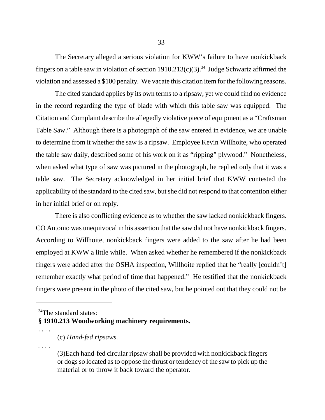The Secretary alleged a serious violation for KWW's failure to have nonkickback fingers on a table saw in violation of section  $1910.213(c)(3)$ .<sup>34</sup> Judge Schwartz affirmed the violation and assessed a \$100 penalty. We vacate this citation item for the following reasons.

The cited standard applies by its own terms to a ripsaw, yet we could find no evidence in the record regarding the type of blade with which this table saw was equipped. The Citation and Complaint describe the allegedly violative piece of equipment as a "Craftsman Table Saw." Although there is a photograph of the saw entered in evidence, we are unable to determine from it whether the saw is a ripsaw. Employee Kevin Willhoite, who operated the table saw daily, described some of his work on it as "ripping" plywood." Nonetheless, when asked what type of saw was pictured in the photograph, he replied only that it was a table saw. The Secretary acknowledged in her initial brief that KWW contested the applicability of the standard to the cited saw, but she did not respond to that contention either in her initial brief or on reply.

There is also conflicting evidence as to whether the saw lacked nonkickback fingers. CO Antonio was unequivocal in his assertion that the saw did not have nonkickback fingers. According to Willhoite, nonkickback fingers were added to the saw after he had been employed at KWW a little while. When asked whether he remembered if the nonkickback fingers were added after the OSHA inspection, Willhoite replied that he "really [couldn't] remember exactly what period of time that happened." He testified that the nonkickback fingers were present in the photo of the cited saw, but he pointed out that they could not be

## **§ 1910.213 Woodworking machinery requirements.**

*. . .* .

 $34$ The standard states:

<sup>. . . .</sup> (c) *Hand-fed ripsaws.*

<sup>(3)</sup>Each hand-fed circular ripsaw shall be provided with nonkickback fingers or dogs so located as to oppose the thrust or tendency of the saw to pick up the material or to throw it back toward the operator.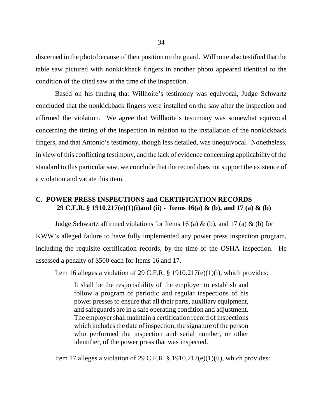discerned in the photo because of their position on the guard. Willhoite also testified that the table saw pictured with nonkickback fingers in another photo appeared identical to the condition of the cited saw at the time of the inspection.

Based on his finding that Willhoite's testimony was equivocal, Judge Schwartz concluded that the nonkickback fingers were installed on the saw after the inspection and affirmed the violation. We agree that Willhoite's testimony was somewhat equivocal concerning the timing of the inspection in relation to the installation of the nonkickback fingers, and that Antonio's testimony, though less detailed, was unequivocal. Nonetheless, in view of this conflicting testimony, and the lack of evidence concerning applicability of the standard to this particular saw, we conclude that the record does not support the existence of a violation and vacate this item.

## **C. POWER PRESS INSPECTIONS and CERTIFICATION RECORDS 29 C.F.R. § 1910.217(e)(1)(i)and (ii) - Items 16(a) & (b), and 17 (a) & (b)**

Judge Schwartz affirmed violations for Items 16 (a)  $\&$  (b), and 17 (a)  $\&$  (b) for KWW's alleged failure to have fully implemented any power press inspection program, including the requisite certification records, by the time of the OSHA inspection. He assessed a penalty of \$500 each for Items 16 and 17.

Item 16 alleges a violation of 29 C.F.R. § 1910.217(e)(1)(i), which provides:

It shall be the responsibility of the employer to establish and follow a program of periodic and regular inspections of his power presses to ensure that all their parts, auxiliary equipment, and safeguards are in a safe operating condition and adjustment. The employer shall maintain a certification record of inspections which includes the date of inspection, the signature of the person who performed the inspection and serial number, or other identifier, of the power press that was inspected.

Item 17 alleges a violation of 29 C.F.R. § 1910.217(e)(1)(ii), which provides: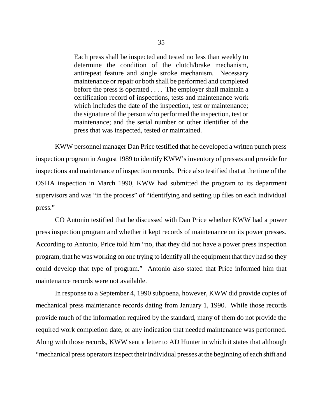Each press shall be inspected and tested no less than weekly to determine the condition of the clutch/brake mechanism, antirepeat feature and single stroke mechanism. Necessary maintenance or repair or both shall be performed and completed before the press is operated . . . . The employer shall maintain a certification record of inspections, tests and maintenance work which includes the date of the inspection, test or maintenance; the signature of the person who performed the inspection, test or maintenance; and the serial number or other identifier of the press that was inspected, tested or maintained.

KWW personnel manager Dan Price testified that he developed a written punch press inspection program in August 1989 to identify KWW's inventory of presses and provide for inspections and maintenance of inspection records. Price also testified that at the time of the OSHA inspection in March 1990, KWW had submitted the program to its department supervisors and was "in the process" of "identifying and setting up files on each individual press."

CO Antonio testified that he discussed with Dan Price whether KWW had a power press inspection program and whether it kept records of maintenance on its power presses. According to Antonio, Price told him "no, that they did not have a power press inspection program, that he was working on one trying to identify all the equipment that they had so they could develop that type of program." Antonio also stated that Price informed him that maintenance records were not available.

In response to a September 4, 1990 subpoena, however, KWW did provide copies of mechanical press maintenance records dating from January 1, 1990. While those records provide much of the information required by the standard, many of them do not provide the required work completion date, or any indication that needed maintenance was performed. Along with those records, KWW sent a letter to AD Hunter in which it states that although "mechanical press operators inspect their individual presses at the beginning of each shift and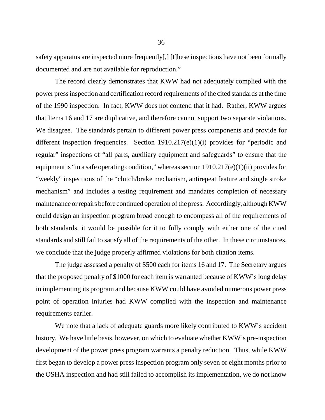safety apparatus are inspected more frequently[,] [t]hese inspections have not been formally documented and are not available for reproduction."

The record clearly demonstrates that KWW had not adequately complied with the power press inspection and certification record requirements of the cited standards at the time of the 1990 inspection. In fact, KWW does not contend that it had. Rather, KWW argues that Items 16 and 17 are duplicative, and therefore cannot support two separate violations. We disagree. The standards pertain to different power press components and provide for different inspection frequencies. Section 1910.217(e)(1)(i) provides for "periodic and regular" inspections of "all parts, auxiliary equipment and safeguards" to ensure that the equipment is "in a safe operating condition," whereas section  $1910.217(e)(1)(ii)$  provides for "weekly" inspections of the "clutch/brake mechanism, antirepeat feature and single stroke mechanism" and includes a testing requirement and mandates completion of necessary maintenance or repairs before continued operation of the press. Accordingly, although KWW could design an inspection program broad enough to encompass all of the requirements of both standards, it would be possible for it to fully comply with either one of the cited standards and still fail to satisfy all of the requirements of the other. In these circumstances, we conclude that the judge properly affirmed violations for both citation items.

The judge assessed a penalty of \$500 each for items 16 and 17. The Secretary argues that the proposed penalty of \$1000 for each item is warranted because of KWW's long delay in implementing its program and because KWW could have avoided numerous power press point of operation injuries had KWW complied with the inspection and maintenance requirements earlier.

We note that a lack of adequate guards more likely contributed to KWW's accident history. We have little basis, however, on which to evaluate whether KWW's pre-inspection development of the power press program warrants a penalty reduction. Thus, while KWW first began to develop a power press inspection program only seven or eight months prior to the OSHA inspection and had still failed to accomplish its implementation, we do not know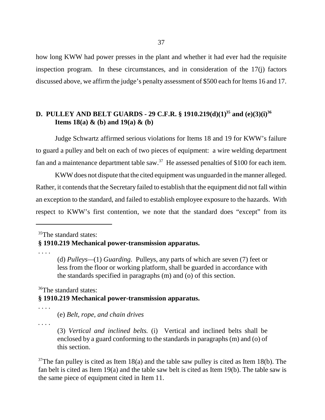how long KWW had power presses in the plant and whether it had ever had the requisite inspection program. In these circumstances, and in consideration of the 17(j) factors discussed above, we affirm the judge's penalty assessment of \$500 each for Items 16 and 17.

# **D. PULLEY AND BELT GUARDS - 29 C.F.R. § 1910.219(d)(1)<sup>35</sup> and (e)(3)(i)<sup>36</sup> Items 18(a) & (b) and 19(a) & (b)**

Judge Schwartz affirmed serious violations for Items 18 and 19 for KWW's failure to guard a pulley and belt on each of two pieces of equipment: a wire welding department fan and a maintenance department table saw. $37$  He assessed penalties of \$100 for each item.

KWW does not dispute that the cited equipment was unguarded in the manner alleged. Rather, it contends that the Secretary failed to establish that the equipment did not fall within an exception to the standard, and failed to establish employee exposure to the hazards. With respect to KWW's first contention, we note that the standard does "except" from its

<sup>35</sup>The standard states:

# **§ 1910.219 Mechanical power-transmission apparatus.**

. . . .

(d) *Pulleys—*(1) *Guarding.* Pulleys, any parts of which are seven (7) feet or less from the floor or working platform, shall be guarded in accordance with the standards specified in paragraphs (m) and (o) of this section.

<sup>36</sup>The standard states:

# **§ 1910.219 Mechanical power-transmission apparatus.**

. . . .

(e) *Belt, rope, and chain drives*

*. . .* .

(3) *Vertical and inclined belts.* (i) Vertical and inclined belts shall be enclosed by a guard conforming to the standards in paragraphs (m) and (o) of this section.

 $37$ The fan pulley is cited as Item 18(a) and the table saw pulley is cited as Item 18(b). The fan belt is cited as Item 19(a) and the table saw belt is cited as Item 19(b). The table saw is the same piece of equipment cited in Item 11.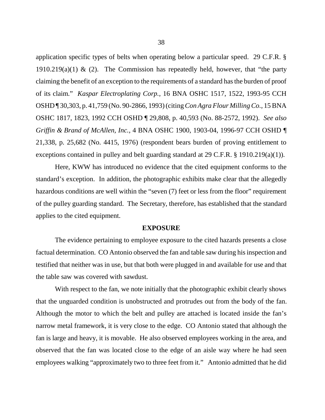application specific types of belts when operating below a particular speed. 29 C.F.R. § 1910.219(a)(1) & (2). The Commission has repeatedly held, however, that "the party claiming the benefit of an exception to the requirements of a standard has the burden of proof of its claim." *Kaspar Electroplating Corp.,* 16 BNA OSHC 1517, 1522, 1993-95 CCH OSHD ¶ 30,303, p. 41,759 (No. 90-2866, 1993) (citing *Con Agra Flour Milling Co.,* 15 BNA OSHC 1817, 1823, 1992 CCH OSHD ¶ 29,808, p. 40,593 (No. 88-2572, 1992). *See also Griffin & Brand of McAllen, Inc.,* 4 BNA OSHC 1900, 1903-04, 1996-97 CCH OSHD ¶ 21,338, p. 25,682 (No. 4415, 1976) (respondent bears burden of proving entitlement to exceptions contained in pulley and belt guarding standard at 29 C.F.R. § 1910.219(a)(1)).

Here, KWW has introduced no evidence that the cited equipment conforms to the standard's exception. In addition, the photographic exhibits make clear that the allegedly hazardous conditions are well within the "seven (7) feet or less from the floor" requirement of the pulley guarding standard. The Secretary, therefore, has established that the standard applies to the cited equipment.

## **EXPOSURE**

The evidence pertaining to employee exposure to the cited hazards presents a close factual determination. CO Antonio observed the fan and table saw during his inspection and testified that neither was in use, but that both were plugged in and available for use and that the table saw was covered with sawdust.

With respect to the fan, we note initially that the photographic exhibit clearly shows that the unguarded condition is unobstructed and protrudes out from the body of the fan. Although the motor to which the belt and pulley are attached is located inside the fan's narrow metal framework, it is very close to the edge. CO Antonio stated that although the fan is large and heavy, it is movable. He also observed employees working in the area, and observed that the fan was located close to the edge of an aisle way where he had seen employees walking "approximately two to three feet from it." Antonio admitted that he did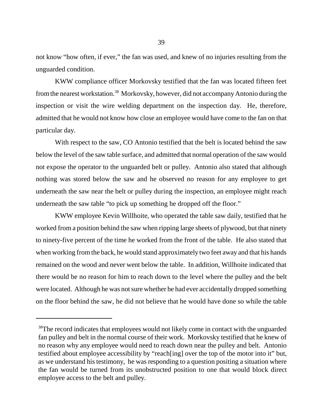not know "how often, if ever," the fan was used, and knew of no injuries resulting from the unguarded condition.

KWW compliance officer Morkovsky testified that the fan was located fifteen feet from the nearest workstation.<sup>38</sup> Morkovsky, however, did not accompany Antonio during the inspection or visit the wire welding department on the inspection day. He, therefore, admitted that he would not know how close an employee would have come to the fan on that particular day.

With respect to the saw, CO Antonio testified that the belt is located behind the saw below the level of the saw table surface, and admitted that normal operation of the saw would not expose the operator to the unguarded belt or pulley. Antonio also stated that although nothing was stored below the saw and he observed no reason for any employee to get underneath the saw near the belt or pulley during the inspection, an employee might reach underneath the saw table "to pick up something he dropped off the floor."

KWW employee Kevin Willhoite, who operated the table saw daily, testified that he worked from a position behind the saw when ripping large sheets of plywood, but that ninety to ninety-five percent of the time he worked from the front of the table. He also stated that when working from the back, he would stand approximately two feet away and that his hands remained on the wood and never went below the table. In addition, Willhoite indicated that there would be no reason for him to reach down to the level where the pulley and the belt were located. Although he was not sure whether he had ever accidentally dropped something on the floor behind the saw, he did not believe that he would have done so while the table

<sup>&</sup>lt;sup>38</sup>The record indicates that employees would not likely come in contact with the unguarded fan pulley and belt in the normal course of their work. Morkovsky testified that he knew of no reason why any employee would need to reach down near the pulley and belt. Antonio testified about employee accessibility by "reach[ing] over the top of the motor into it" but, as we understand his testimony, he was responding to a question positing a situation where the fan would be turned from its unobstructed position to one that would block direct employee access to the belt and pulley.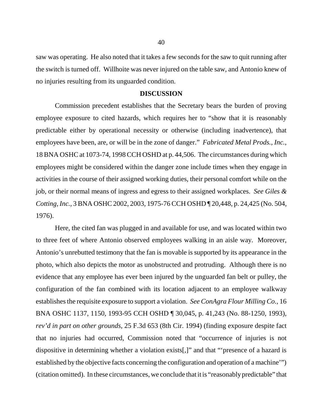saw was operating. He also noted that it takes a few seconds for the saw to quit running after the switch is turned off. Willhoite was never injured on the table saw, and Antonio knew of no injuries resulting from its unguarded condition.

# **DISCUSSION**

Commission precedent establishes that the Secretary bears the burden of proving employee exposure to cited hazards, which requires her to "show that it is reasonably predictable either by operational necessity or otherwise (including inadvertence), that employees have been, are, or will be in the zone of danger." *Fabricated Metal Prods., Inc.*, 18 BNA OSHC at 1073-74, 1998 CCH OSHD at p. 44,506. The circumstances during which employees might be considered within the danger zone include times when they engage in activities in the course of their assigned working duties, their personal comfort while on the job, or their normal means of ingress and egress to their assigned workplaces. *See Giles & Cotting, Inc.,* 3 BNA OSHC 2002, 2003, 1975-76 CCH OSHD ¶ 20,448, p. 24,425 (No. 504, 1976).

Here, the cited fan was plugged in and available for use, and was located within two to three feet of where Antonio observed employees walking in an aisle way. Moreover, Antonio's unrebutted testimony that the fan is movable is supported by its appearance in the photo, which also depicts the motor as unobstructed and protruding. Although there is no evidence that any employee has ever been injured by the unguarded fan belt or pulley, the configuration of the fan combined with its location adjacent to an employee walkway establishes the requisite exposure to support a violation. *See ConAgra Flour Milling Co.,* 16 BNA OSHC 1137, 1150, 1993-95 CCH OSHD ¶ 30,045, p. 41,243 (No. 88-1250, 1993), *rev'd in part on other grounds,* 25 F.3d 653 (8th Cir. 1994) (finding exposure despite fact that no injuries had occurred, Commission noted that "occurrence of injuries is not dispositive in determining whether a violation exists[,]" and that "'presence of a hazard is established by the objective facts concerning the configuration and operation of a machine'") (citation omitted). In these circumstances, we conclude that it is "reasonably predictable" that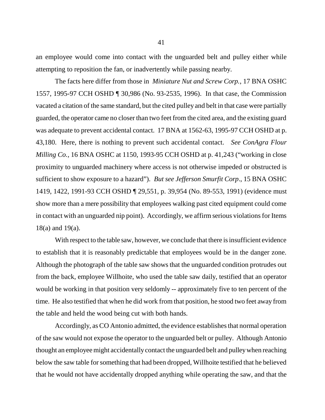an employee would come into contact with the unguarded belt and pulley either while attempting to reposition the fan, or inadvertently while passing nearby.

The facts here differ from those in *Miniature Nut and Screw Corp.*, 17 BNA OSHC 1557, 1995-97 CCH OSHD ¶ 30,986 (No. 93-2535, 1996). In that case, the Commission vacated a citation of the same standard, but the cited pulley and belt in that case were partially guarded, the operator came no closer than two feet from the cited area, and the existing guard was adequate to prevent accidental contact. 17 BNA at 1562-63, 1995-97 CCH OSHD at p. 43,180. Here, there is nothing to prevent such accidental contact. *See ConAgra Flour Milling Co.,* 16 BNA OSHC at 1150, 1993-95 CCH OSHD at p. 41,243 ("working in close proximity to unguarded machinery where access is not otherwise impeded or obstructed is sufficient to show exposure to a hazard"). *But see Jefferson Smurfit Corp*., 15 BNA OSHC 1419, 1422, 1991-93 CCH OSHD ¶ 29,551, p. 39,954 (No. 89-553, 1991) (evidence must show more than a mere possibility that employees walking past cited equipment could come in contact with an unguarded nip point). Accordingly, we affirm serious violations for Items 18(a) and 19(a).

With respect to the table saw, however, we conclude that there is insufficient evidence to establish that it is reasonably predictable that employees would be in the danger zone. Although the photograph of the table saw shows that the unguarded condition protrudes out from the back, employee Willhoite, who used the table saw daily, testified that an operator would be working in that position very seldomly -- approximately five to ten percent of the time. He also testified that when he did work from that position, he stood two feet away from the table and held the wood being cut with both hands.

Accordingly, as CO Antonio admitted, the evidence establishes that normal operation of the saw would not expose the operator to the unguarded belt or pulley. Although Antonio thought an employee might accidentally contact the unguarded belt and pulley when reaching below the saw table for something that had been dropped, Willhoite testified that he believed that he would not have accidentally dropped anything while operating the saw, and that the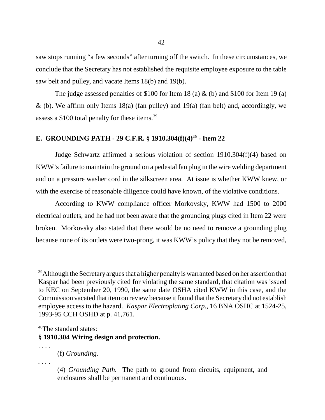saw stops running "a few seconds" after turning off the switch. In these circumstances, we conclude that the Secretary has not established the requisite employee exposure to the table saw belt and pulley, and vacate Items 18(b) and 19(b).

The judge assessed penalties of \$100 for Item 18 (a)  $\&$  (b) and \$100 for Item 19 (a)  $\&$  (b). We affirm only Items 18(a) (fan pulley) and 19(a) (fan belt) and, accordingly, we assess a \$100 total penalty for these items.39

# **E. GROUNDING PATH - 29 C.F.R. § 1910.304(f)(4)<sup>40</sup> - Item 22**

Judge Schwartz affirmed a serious violation of section 1910.304(f)(4) based on KWW's failure to maintain the ground on a pedestal fan plug in the wire welding department and on a pressure washer cord in the silkscreen area. At issue is whether KWW knew, or with the exercise of reasonable diligence could have known, of the violative conditions.

According to KWW compliance officer Morkovsky, KWW had 1500 to 2000 electrical outlets, and he had not been aware that the grounding plugs cited in Item 22 were broken. Morkovsky also stated that there would be no need to remove a grounding plug because none of its outlets were two-prong, it was KWW's policy that they not be removed,

*. . .* .

<sup>&</sup>lt;sup>39</sup>Although the Secretary argues that a higher penalty is warranted based on her assertion that Kaspar had been previously cited for violating the same standard, that citation was issued to KEC on September 20, 1990, the same date OSHA cited KWW in this case, and the Commission vacated that item on review because it found that the Secretary did not establish employee access to the hazard. *Kaspar Electroplating Corp.,* 16 BNA OSHC at 1524-25, 1993-95 CCH OSHD at p. 41,761.

<sup>&</sup>lt;sup>40</sup>The standard states:

**<sup>§</sup> 1910.304 Wiring design and protection.**

<sup>. . . .</sup> (f) *Grounding.*

<sup>(4)</sup> *Grounding Path.* The path to ground from circuits, equipment, and enclosures shall be permanent and continuous.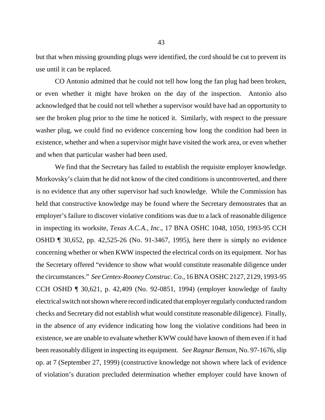but that when missing grounding plugs were identified, the cord should be cut to prevent its use until it can be replaced.

CO Antonio admitted that he could not tell how long the fan plug had been broken, or even whether it might have broken on the day of the inspection. Antonio also acknowledged that he could not tell whether a supervisor would have had an opportunity to see the broken plug prior to the time he noticed it. Similarly, with respect to the pressure washer plug, we could find no evidence concerning how long the condition had been in existence, whether and when a supervisor might have visited the work area, or even whether and when that particular washer had been used.

We find that the Secretary has failed to establish the requisite employer knowledge. Morkovsky's claim that he did not know of the cited conditions is uncontroverted, and there is no evidence that any other supervisor had such knowledge. While the Commission has held that constructive knowledge may be found where the Secretary demonstrates that an employer's failure to discover violative conditions was due to a lack of reasonable diligence in inspecting its worksite, *Texas A.C.A., Inc*., 17 BNA OSHC 1048, 1050, 1993-95 CCH OSHD ¶ 30,652, pp. 42,525-26 (No. 91-3467, 1995), here there is simply no evidence concerning whether or when KWW inspected the electrical cords on its equipment. Nor has the Secretary offered "evidence to show what would constitute reasonable diligence under the circumstances." *See Centex-Rooney Construc. Co.,* 16 BNA OSHC 2127, 2129, 1993-95 CCH OSHD ¶ 30,621, p. 42,409 (No. 92-0851, 1994) (employer knowledge of faulty electrical switch not shown where record indicated that employer regularly conducted random checks and Secretary did not establish what would constitute reasonable diligence). Finally, in the absence of any evidence indicating how long the violative conditions had been in existence, we are unable to evaluate whether KWW could have known of them even if it had been reasonably diligent in inspecting its equipment. *See Ragnar Benson,* No. 97-1676, slip op. at 7 (September 27, 1999) (constructive knowledge not shown where lack of evidence of violation's duration precluded determination whether employer could have known of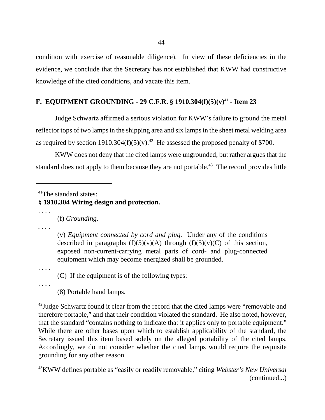condition with exercise of reasonable diligence).In view of these deficiencies in the evidence, we conclude that the Secretary has not established that KWW had constructive knowledge of the cited conditions, and vacate this item.

# **F. EQUIPMENT GROUNDING - 29 C.F.R. § 1910.304(f)(5)(v)**<sup>41</sup> **- Item 23**

Judge Schwartz affirmed a serious violation for KWW's failure to ground the metal reflector tops of two lamps in the shipping area and six lamps in the sheet metal welding area as required by section 1910.304(f)(5)(v).<sup>42</sup> He assessed the proposed penalty of \$700.

KWW does not deny that the cited lamps were ungrounded, but rather argues that the standard does not apply to them because they are not portable.<sup>43</sup> The record provides little

<sup>41</sup>The standard states:

**§ 1910.304 Wiring design and protection.**

. . . .

(f) *Grounding.*

*. . . .*

(v) *Equipment connected by cord and plug.* Under any of the conditions described in paragraphs  $(f)(5)(v)(A)$  through  $(f)(5)(v)(C)$  of this section, exposed non-current-carrying metal parts of cord- and plug-connected equipment which may become energized shall be grounded.

. . . .

(C) If the equipment is of the following types:

. . . .

(8) Portable hand lamps.

<sup>42</sup>Judge Schwartz found it clear from the record that the cited lamps were "removable and therefore portable," and that their condition violated the standard. He also noted, however, that the standard "contains nothing to indicate that it applies only to portable equipment." While there are other bases upon which to establish applicability of the standard, the Secretary issued this item based solely on the alleged portability of the cited lamps. Accordingly, we do not consider whether the cited lamps would require the requisite grounding for any other reason.

43KWW defines portable as "easily or readily removable," citing *Webster's New Universal* (continued...)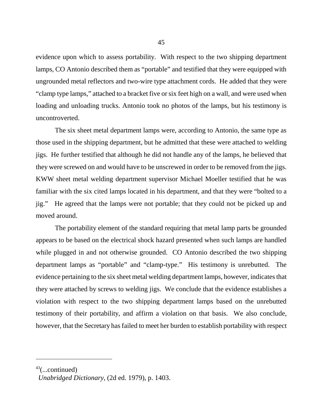evidence upon which to assess portability. With respect to the two shipping department lamps, CO Antonio described them as "portable" and testified that they were equipped with ungrounded metal reflectors and two-wire type attachment cords. He added that they were "clamp type lamps," attached to a bracket five or six feet high on a wall, and were used when loading and unloading trucks. Antonio took no photos of the lamps, but his testimony is uncontroverted.

The six sheet metal department lamps were, according to Antonio, the same type as those used in the shipping department, but he admitted that these were attached to welding jigs. He further testified that although he did not handle any of the lamps, he believed that they were screwed on and would have to be unscrewed in order to be removed from the jigs. KWW sheet metal welding department supervisor Michael Moeller testified that he was familiar with the six cited lamps located in his department, and that they were "bolted to a jig." He agreed that the lamps were not portable; that they could not be picked up and moved around.

The portability element of the standard requiring that metal lamp parts be grounded appears to be based on the electrical shock hazard presented when such lamps are handled while plugged in and not otherwise grounded. CO Antonio described the two shipping department lamps as "portable" and "clamp-type." His testimony is unrebutted. The evidence pertaining to the six sheet metal welding department lamps, however, indicates that they were attached by screws to welding jigs. We conclude that the evidence establishes a violation with respect to the two shipping department lamps based on the unrebutted testimony of their portability, and affirm a violation on that basis. We also conclude, however, that the Secretary has failed to meet her burden to establish portability with respect

 $43$ (...continued)

*Unabridged Dictionary*, (2d ed. 1979), p. 1403.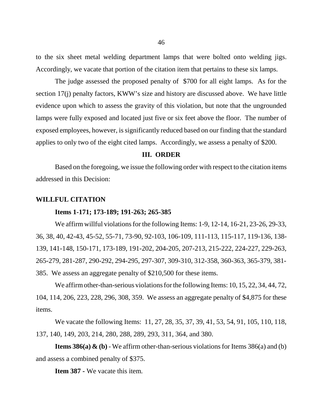to the six sheet metal welding department lamps that were bolted onto welding jigs. Accordingly, we vacate that portion of the citation item that pertains to these six lamps.

The judge assessed the proposed penalty of \$700 for all eight lamps. As for the section 17(j) penalty factors, KWW's size and history are discussed above. We have little evidence upon which to assess the gravity of this violation, but note that the ungrounded lamps were fully exposed and located just five or six feet above the floor. The number of exposed employees, however, is significantly reduced based on our finding that the standard applies to only two of the eight cited lamps. Accordingly, we assess a penalty of \$200.

# **III. ORDER**

Based on the foregoing, we issue the following order with respect to the citation items addressed in this Decision:

# **WILLFUL CITATION**

## **Items 1-171; 173-189; 191-263; 265-385**

We affirm willful violations for the following Items: 1-9, 12-14, 16-21, 23-26, 29-33, 36, 38, 40, 42-43, 45-52, 55-71, 73-90, 92-103, 106-109, 111-113, 115-117, 119-136, 138- 139, 141-148, 150-171, 173-189, 191-202, 204-205, 207-213, 215-222, 224-227, 229-263, 265-279, 281-287, 290-292, 294-295, 297-307, 309-310, 312-358, 360-363, 365-379, 381- 385. We assess an aggregate penalty of \$210,500 for these items.

We affirm other-than-serious violations for the following Items: 10, 15, 22, 34, 44, 72, 104, 114, 206, 223, 228, 296, 308, 359. We assess an aggregate penalty of \$4,875 for these items.

We vacate the following Items: 11, 27, 28, 35, 37, 39, 41, 53, 54, 91, 105, 110, 118, 137, 140, 149, 203, 214, 280, 288, 289, 293, 311, 364, and 380.

**Items 386(a)**  $\&$  **(b)** - We affirm other-than-serious violations for Items 386(a) and (b) and assess a combined penalty of \$375.

**Item 387 -** We vacate this item.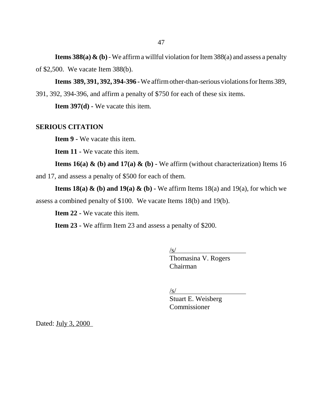**Items 388(a)**  $\&$  **(b)** - We affirm a willful violation for Item 388(a) and assess a penalty of \$2,500. We vacate Item 388(b).

**Items 389, 391, 392, 394-396 -** We affirm other-than-serious violations for Items 389,

391, 392, 394-396, and affirm a penalty of \$750 for each of these six items.

**Item 397(d) -** We vacate this item.

# **SERIOUS CITATION**

**Item 9 -** We vacate this item.

**Item 11 -** We vacate this item.

**Items 16(a) & (b) and 17(a) & (b) -** We affirm (without characterization) Items 16 and 17, and assess a penalty of \$500 for each of them.

**Items 18(a) & (b) and 19(a) & (b) - We affirm Items 18(a) and 19(a), for which we** assess a combined penalty of \$100. We vacate Items 18(b) and 19(b).

**Item 22 -** We vacate this item.

**Item 23 -** We affirm Item 23 and assess a penalty of \$200.

 $\sqrt{s/2}$ 

Thomasina V. Rogers Chairman

 $\sqrt{s/2}$ 

Stuart E. Weisberg Commissioner

Dated: **July 3, 2000**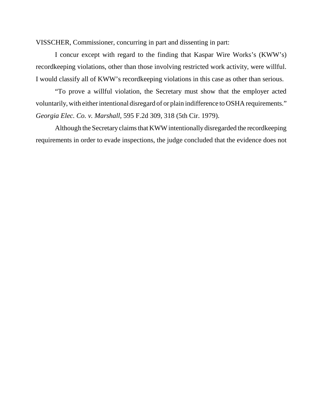VISSCHER, Commissioner, concurring in part and dissenting in part:

I concur except with regard to the finding that Kaspar Wire Works's (KWW's) recordkeeping violations, other than those involving restricted work activity, were willful. I would classify all of KWW's recordkeeping violations in this case as other than serious.

"To prove a willful violation, the Secretary must show that the employer acted voluntarily, with either intentional disregard of or plain indifference to OSHA requirements." *Georgia Elec. Co. v. Marshall*, 595 F.2d 309, 318 (5th Cir. 1979).

Although the Secretary claims that KWW intentionally disregarded the recordkeeping requirements in order to evade inspections, the judge concluded that the evidence does not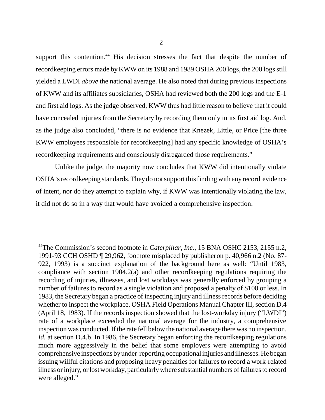support this contention.<sup>44</sup> His decision stresses the fact that despite the number of recordkeeping errors made by KWW on its 1988 and 1989 OSHA 200 logs, the 200 logs still yielded a LWDI *above* the national average. He also noted that during previous inspections of KWW and its affiliates subsidiaries, OSHA had reviewed both the 200 logs and the E-1 and first aid logs. As the judge observed, KWW thus had little reason to believe that it could have concealed injuries from the Secretary by recording them only in its first aid log. And, as the judge also concluded, "there is no evidence that Knezek, Little, or Price [the three KWW employees responsible for recordkeeping] had any specific knowledge of OSHA's recordkeeping requirements and consciously disregarded those requirements."

Unlike the judge, the majority now concludes that KWW did intentionally violate OSHA's recordkeeping standards. They do not support this finding with any record evidence of intent, nor do they attempt to explain why, if KWW was intentionally violating the law, it did not do so in a way that would have avoided a comprehensive inspection.

<sup>44</sup>The Commission's second footnote in *Caterpillar, Inc.*, 15 BNA OSHC 2153, 2155 n.2, 1991-93 CCH OSHD ¶ 29,962, footnote misplaced by publisher on p. 40,966 n.2 (No. 87- 922, 1993) is a succinct explanation of the background here as well: "Until 1983, compliance with section 1904.2(a) and other recordkeeping regulations requiring the recording of injuries, illnesses, and lost workdays was generally enforced by grouping a number of failures to record as a single violation and proposed a penalty of \$100 or less. In 1983, the Secretary began a practice of inspecting injury and illness records before deciding whether to inspect the workplace. OSHA Field Operations Manual Chapter III, section D.4 (April 18, 1983). If the records inspection showed that the lost-workday injury ("LWDI") rate of a workplace exceeded the national average for the industry, a comprehensive inspection was conducted. If the rate fell below the national average there was no inspection. *Id.* at section D.4.b. In 1986, the Secretary began enforcing the record keeping regulations much more aggressively in the belief that some employers were attempting to avoid comprehensive inspections by under-reporting occupational injuries and illnesses. He began issuing willful citations and proposing heavy penalties for failures to record a work-related illness or injury, or lost workday, particularly where substantial numbers of failures to record were alleged."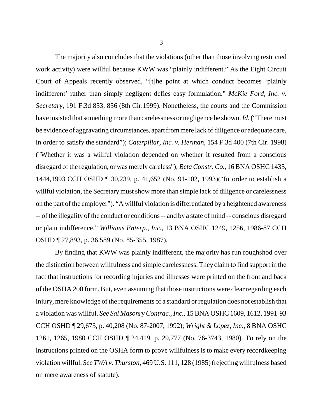The majority also concludes that the violations (other than those involving restricted work activity) were willful because KWW was "plainly indifferent." As the Eight Circuit Court of Appeals recently observed, "[t]he point at which conduct becomes 'plainly indifferent' rather than simply negligent defies easy formulation." *McKie Ford, Inc. v. Secretary*, 191 F.3d 853, 856 (8th Cir.1999). Nonetheless, the courts and the Commission have insisted that something more than carelessness or negligence be shown. *Id.* ("There must be evidence of aggravating circumstances, apart from mere lack of diligence or adequate care, in order to satisfy the standard"); *Caterpillar, Inc. v. Herman,* 154 F.3d 400 (7th Cir. 1998) ("Whether it was a willful violation depended on whether it resulted from a conscious disregard of the regulation, or was merely careless"); *Beta Constr. Co.*, 16 BNA OSHC 1435, 1444,1993 CCH OSHD ¶ 30,239, p. 41,652 (No. 91-102, 1993)("In order to establish a willful violation, the Secretary must show more than simple lack of diligence or carelessness on the part of the employer"). "A willful violation is differentiated by a heightened awareness -- of the illegality of the conduct or conditions -- and by a state of mind -- conscious disregard or plain indifference." *Williams Enterp., Inc.,* 13 BNA OSHC 1249, 1256, 1986-87 CCH OSHD ¶ 27,893, p. 36,589 (No. 85-355, 1987)*.* 

By finding that KWW was plainly indifferent, the majority has run roughshod over the distinction between willfulness and simple carelessness. They claim to find support in the fact that instructions for recording injuries and illnesses were printed on the front and back of the OSHA 200 form. But, even assuming that those instructions were clear regarding each injury, mere knowledge of the requirements of a standard or regulation does not establish that a violation was willful. *See Sal Masonry Contrac., Inc.*, 15 BNA OSHC 1609, 1612, 1991-93 CCH OSHD ¶ 29,673, p. 40,208 (No. 87-2007, 1992); *Wright & Lopez, Inc.*, 8 BNA OSHC 1261, 1265, 1980 CCH OSHD ¶ 24,419, p. 29,777 (No. 76-3743, 1980)*.* To rely on the instructions printed on the OSHA form to prove willfulness is to make every recordkeeping violation willful. *See TWA v. Thurston,* 469 U.S. 111, 128 (1985) (rejecting willfulness based on mere awareness of statute).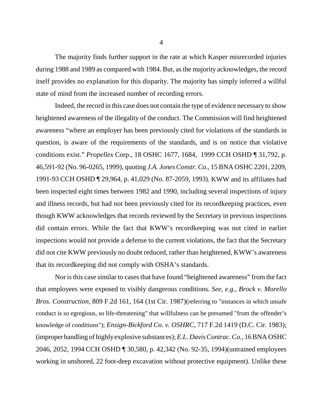The majority finds further support in the rate at which Kasper misrecorded injuries during 1988 and 1989 as compared with 1984. But, as the majority acknowledges, the record itself provides no explanation for this disparity. The majority has simply inferred a willful state of mind from the increased number of recording errors.

Indeed, the record in this case does not contain the type of evidence necessary to show heightened awareness of the illegality of the conduct. The Commission will find heightened awareness "where an employer has been previously cited for violations of the standards in question, is aware of the requirements of the standards, and is on notice that violative conditions exist." *Propellex* Corp., 18 OSHC 1677, 1684, 1999 CCH OSHD ¶ 31,792, p. 46,591-92 (No. 96-0265, 1999), quoting *J.A. Jones Constr. Co*., 15 BNA OSHC 2201, 2209, 1991-93 CCH OSHD ¶ 29,964, p. 41,029 (No. 87-2059, 1993). KWW and its affiliates had been inspected eight times between 1982 and 1990, including several inspections of injury and illness records, but had not been previously cited for its recordkeeping practices, even though KWW acknowledges that records reviewed by the Secretary in previous inspections did contain errors. While the fact that KWW's recordkeeping was not cited in earlier inspections would not provide a defense to the current violations, the fact that the Secretary did not cite KWW previously no doubt reduced, rather than heightened, KWW's awareness that its recordkeeping did not comply with OSHA's standards.

Nor is this case similar to cases that have found "heightened awareness" from the fact that employees were exposed to visibly dangerous conditions. *See, e.g., Brock v. Morello Bros. Construction*, 809 F.2d 161, 164 (1st Cir. 1987)(referring to "instances in which unsafe conduct is so egregious, so life-threatening" that willfulness can be presumed "from the offender's knowledge of conditions"); *Ensign-Bickford Co. v. OSHRC*, 717 F.2d 1419 (D.C. Cir. 1983); (improper handling of highly explosive substances); *E.L. Davis Contrac. Co.*, 16 BNA OSHC 2046, 2052, 1994 CCH OSHD ¶ 30,580, p. 42,342 (No. 92-35, 1994)(untrained employees working in unshored, 22 foot-deep excavation without protective equipment). Unlike these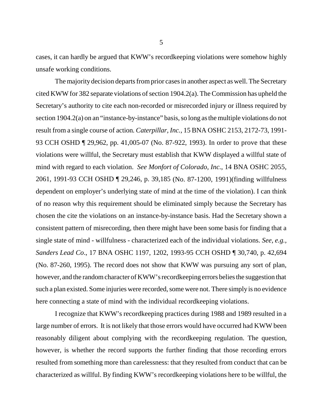cases, it can hardly be argued that KWW's recordkeeping violations were somehow highly unsafe working conditions.

The majority decision departs from prior cases in another aspect as well. The Secretary cited KWW for 382 separate violations of section 1904.2(a). The Commission has upheld the Secretary's authority to cite each non-recorded or misrecorded injury or illness required by section 1904.2(a) on an "instance-by-instance" basis, so long as the multiple violations do not result from a single course of action*. Caterpillar, Inc.*, 15 BNA OSHC 2153, 2172-73, 1991- 93 CCH OSHD ¶ 29,962, pp. 41,005-07 (No. 87-922, 1993). In order to prove that these violations were willful, the Secretary must establish that KWW displayed a willful state of mind with regard to each violation. *See Monfort of Colorado, Inc.*, 14 BNA OSHC 2055, 2061, 1991-93 CCH OSHD ¶ 29,246, p. 39,185 (No. 87-1200, 1991)(finding willfulness dependent on employer's underlying state of mind at the time of the violation). I can think of no reason why this requirement should be eliminated simply because the Secretary has chosen the cite the violations on an instance-by-instance basis. Had the Secretary shown a consistent pattern of misrecording, then there might have been some basis for finding that a single state of mind - willfulness - characterized each of the individual violations. *See, e.g., Sanders Lead Co*., 17 BNA OSHC 1197, 1202, 1993-95 CCH OSHD ¶ 30,740, p. 42,694 (No. 87-260, 1995). The record does not show that KWW was pursuing any sort of plan, however, and the random character of KWW's recordkeeping errors belies the suggestion that such a plan existed. Some injuries were recorded, some were not. There simply is no evidence here connecting a state of mind with the individual recordkeeping violations.

I recognize that KWW's recordkeeping practices during 1988 and 1989 resulted in a large number of errors. It is not likely that those errors would have occurred had KWW been reasonably diligent about complying with the recordkeeping regulation. The question, however, is whether the record supports the further finding that those recording errors resulted from something more than carelessness: that they resulted from conduct that can be characterized as willful. By finding KWW's recordkeeping violations here to be willful, the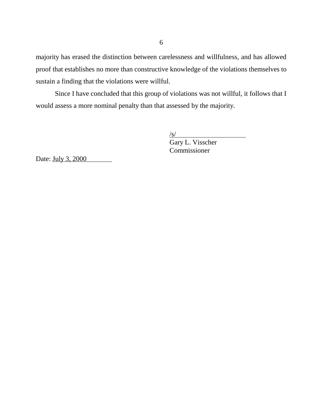majority has erased the distinction between carelessness and willfulness, and has allowed proof that establishes no more than constructive knowledge of the violations themselves to sustain a finding that the violations were willful.

Since I have concluded that this group of violations was not willful, it follows that I would assess a more nominal penalty than that assessed by the majority.

/s/

Gary L. Visscher Commissioner

Date: July 3, 2000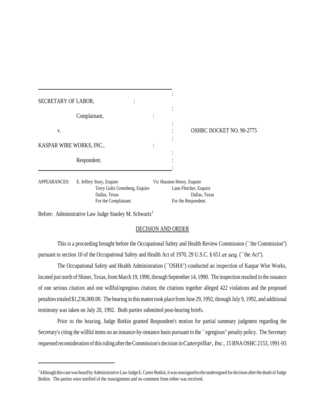| SECRETARY OF LABOR,      | ٠ |         |                          |
|--------------------------|---|---------|--------------------------|
| Complainant,             |   | $\cdot$ |                          |
|                          |   |         |                          |
| V.                       |   |         | OSHRC DOCKET NO. 90-2775 |
|                          |   |         |                          |
| KASPAR WIRE WORKS, INC., |   |         |                          |
| Respondent.              |   |         |                          |
|                          |   |         |                          |
|                          |   |         |                          |

APPEARANCES: E. Jeffery Story, Esquire Vic Houston Henry, Esquire Terry Goltz Greenberg, Esquire Lane Fletcher, Esquire Dallas, Texas Dallas, Texas For the Complainant. For the Respondent.

Before: Administrative Law Judge Stanley M. Schwartz<sup>1</sup>

### DECISION AND ORDER

This is a proceeding brought before the Occupational Safety and Health Review Commission (``the Commission'') pursuant to section 10 of the Occupational Safety and Health Act of 1970, 29 U.S.C. § 651 *et seq*. (``the Act'').

The Occupational Safety and Health Administration (``OSHA'') conducted an inspection of Kaspar Wire Works, located just north of Shiner, Texas, from March 19, 1990, through September 14, 1990. The inspection resulted in the issuance of one serious citation and one willful/egregious citation; the citations together alleged 422 violations and the proposed penalties totaled \$1,236,000.00. The hearing in this matter took place from June 29, 1992, through July 9, 1992, and additional testimony was taken on July 20, 1992. Both parties submitted post-hearing briefs.

Prior to the hearing, Judge Botkin granted Respondent's motion for partial summary judgment regarding the Secretary's citing the willful items on an instance-by-instance basis pursuant to the ``egregious'' penalty policy. The Secretary requested reconsideration of this ruling after the Commission's decision in *Caterpillar, Inc.*, 15 BNA OSHC 2153, 1991-93

<sup>&</sup>lt;sup>1</sup> Although this case was heard by Administrative Law Judge E. Carter Botkin, it was reassigned to the undersigned for decision after the death of Judge Botkin. The parties were notified of the reassignment and no comment from either was received.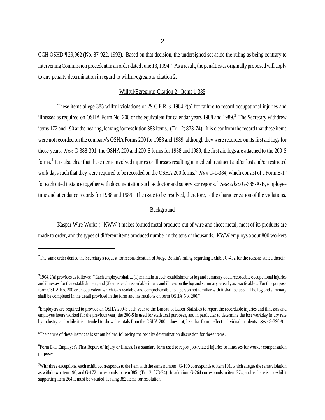CCH OSHD ¶ 29,962 (No. 87-922, 1993). Based on that decision, the undersigned set aside the ruling as being contrary to intervening Commission precedent in an order dated June 13, 1994.<sup>2</sup> As a result, the penalties as originally proposed will apply to any penalty determination in regard to willful/egregious citation 2.

### Willful/Egregious Citation 2 - Items 1-385

These items allege 385 willful violations of 29 C.F.R. § 1904.2(a) for failure to record occupational injuries and illnesses as required on OSHA Form No. 200 or the equivalent for calendar years 1988 and 1989.<sup>3</sup> The Secretary withdrew items 172 and 190 at the hearing, leaving for resolution 383 items. (Tr. 12; 873-74). It is clear from the record that these items were not recorded on the company's OSHA Forms 200 for 1988 and 1989, although they were recorded on its first aid logs for those years. *See* G-388-391, the OSHA 200 and 200-S forms for 1988 and 1989; the first aid logs are attached to the 200-S forms.<sup>4</sup> It is also clear that these items involved injuries or illnesses resulting in medical treatment and/or lost and/or restricted work days such that they were required to be recorded on the OSHA 200 forms.<sup>5</sup> See G-1-384, which consist of a Form E-1<sup>6</sup> for each cited instance together with documentation such as doctor and supervisor reports.<sup>7</sup> *See also* G-385-A-B, employee time and attendance records for 1988 and 1989. The issue to be resolved, therefore, is the characterization of the violations.

### **Background**

Kaspar Wire Works (``KWW'') makes formed metal products out of wire and sheet metal; most of its products are made to order, and the types of different items produced number in the tens of thousands. KWW employs about 800 workers

<sup>&</sup>lt;sup>2</sup>The same order denied the Secretary's request for reconsideration of Judge Botkin's ruling regarding Exhibit G-432 for the reasons stated therein.

 $31904.2$ (a) provides as follows: ``Each employer shall ... (1) maintain in each establishment a log and summary of all recordable occupational injuries and illnesses for that establishment; and (2) enter each recordable injury and illness on the log and summary as early as practicable....For this purpose form OSHA No. 200 or an equivalent which is as readable and comprehensible to a person not familiar with it shall be used. The log and summary shall be completed in the detail provided in the form and instructions on form OSHA No. 200.''

<sup>4</sup> Employers are required to provide an OSHA 200-S each year to the Bureau of Labor Statistics to report the recordable injuries and illnesses and employee hours worked for the previous year; the 200-S is used for statistical purposes, and in particular to determine the lost workday injury rate by industry, and while it is intended to show the totals from the OSHA 200 it does not, like that form, reflect individual incidents. *See* G-390-91.

<sup>&</sup>lt;sup>5</sup>The nature of these instances is set out below, following the penalty determination discussion for these items.

<sup>6</sup> Form E-1, Employer's First Report of Injury or Illness, is a standard form used to report job-related injuries or illnesses for worker compensation purposes.

 $7$ With three exceptions, each exhibit corresponds to the item with the same number. G-190 corresponds to item 191, which alleges the same violation as withdrawn item 190, and G-172 corresponds to item 385. (Tr. 12; 873-74). In addition, G-264 corresponds to item 274, and as there is no exhibit supporting item 264 it must be vacated, leaving 382 items for resolution.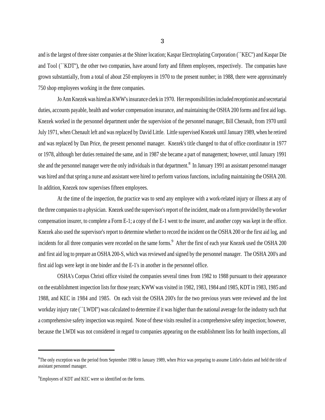and is the largest of three sister companies at the Shiner location; Kaspar Electroplating Corporation (``KEC'') and Kaspar Die and Tool (``KDT''), the other two companies, have around forty and fifteen employees, respectively. The companies have grown substantially, from a total of about 250 employees in 1970 to the present number; in 1988, there were approximately 750 shop employees working in the three companies.

Jo Ann Knezek was hired as KWW's insurance clerk in 1970. Her responsibilities included receptionist and secretarial duties, accounts payable, health and worker compensation insurance, and maintaining the OSHA 200 forms and first aid logs. Knezek worked in the personnel department under the supervision of the personnel manager, Bill Chenault, from 1970 until July 1971, when Chenault left and was replaced by David Little. Little supervised Knezek until January 1989, when he retired and was replaced by Dan Price, the present personnel manager. Knezek's title changed to that of office coordinator in 1977 or 1978, although her duties remained the same, and in 1987 she became a part of management; however, until January 1991 she and the personnel manager were the only individuals in that department.<sup>8</sup> In January 1991 an assistant personnel manager was hired and that spring a nurse and assistant were hired to perform various functions, including maintaining the OSHA 200. In addition, Knezek now supervises fifteen employees.

At the time of the inspection, the practice was to send any employee with a work-related injury or illness at any of the three companies to a physician. Knezek used the supervisor's report of the incident, made on a form provided by the worker compensation insurer, to complete a Form E-1; a copy of the E-1 went to the insurer, and another copy was kept in the office. Knezek also used the supervisor's report to determine whether to record the incident on the OSHA 200 or the first aid log, and incidents for all three companies were recorded on the same forms.<sup>9</sup> After the first of each year Knezek used the OSHA 200 and first aid log to prepare an OSHA 200-S, which was reviewed and signed by the personnel manager. The OSHA 200's and first aid logs were kept in one binder and the E-1's in another in the personnel office.

OSHA's Corpus Christi office visited the companies several times from 1982 to 1988 pursuant to their appearance on the establishment inspection lists for those years; KWW was visited in 1982, 1983, 1984 and 1985, KDT in 1983, 1985 and 1988, and KEC in 1984 and 1985. On each visit the OSHA 200's for the two previous years were reviewed and the lost workday injury rate (``LWDI'') was calculated to determine if it was higher than the national average for the industry such that a comprehensive safety inspection was required. None of these visits resulted in a comprehensive safety inspection; however, because the LWDI was not considered in regard to companies appearing on the establishment lists for health inspections, all

<sup>&</sup>lt;sup>8</sup>The only exception was the period from September 1988 to January 1989, when Price was preparing to assume Little's duties and held the title of assistant personnel manager.

<sup>&</sup>lt;sup>9</sup>Employees of KDT and KEC were so identified on the forms.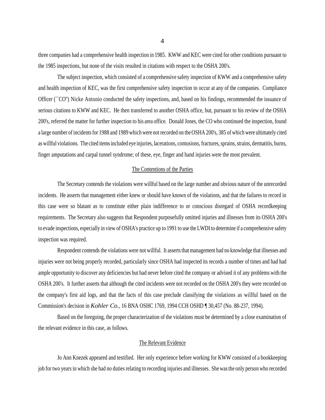three companies had a comprehensive health inspection in 1985. KWW and KEC were cited for other conditions pursuant to the 1985 inspections, but none of the visits resulted in citations with respect to the OSHA 200's.

The subject inspection, which consisted of a comprehensive safety inspection of KWW and a comprehensive safety and health inspection of KEC, was the first comprehensive safety inspection to occur at any of the companies. Compliance Officer (``CO'') Nicke Antonio conducted the safety inspections, and, based on his findings, recommended the issuance of serious citations to KWW and KEC. He then transferred to another OSHA office, but, pursuant to his review of the OSHA 200's, referred the matter for further inspection to his area office. Donald Jones, the CO who continued the inspection, found a large number of incidents for 1988 and 1989 which were not recorded on the OSHA 200's, 385 of which were ultimately cited as willful violations. The cited items included eye injuries, lacerations, contusions, fractures, sprains, strains, dermatitis, burns, finger amputations and carpal tunnel syndrome; of these, eye, finger and hand injuries were the most prevalent.

### The Contentions of the Parties

The Secretary contends the violations were willful based on the large number and obvious nature of the unrecorded incidents. He asserts that management either knew or should have known of the violations, and that the failures to record in this case were so blatant as to constitute either plain indifference to or conscious disregard of OSHA recordkeeping requirements. The Secretary also suggests that Respondent purposefully omitted injuries and illnesses from its OSHA 200's to evade inspections, especially in view of OSHA's practice up to 1991 to use the LWDI to determine if a comprehensive safety inspection was required.

Respondent contends the violations were not willful. It asserts that management had no knowledge that illnesses and injuries were not being properly recorded, particularly since OSHA had inspected its records a number of times and had had ample opportunity to discover any deficiencies but had never before cited the company or advised it of any problems with the OSHA 200's. It further asserts that although the cited incidents were not recorded on the OSHA 200's they were recorded on the company's first aid logs, and that the facts of this case preclude classifying the violations as willful based on the Commission's decision in *Kohler Co.*, 16 BNA OSHC 1769, 1994 CCH OSHD ¶ 30,457 (No. 88-237, 1994).

Based on the foregoing, the proper characterization of the violations must be determined by a close examination of the relevant evidence in this case, as follows.

### The Relevant Evidence

Jo Ann Knezek appeared and testified. Her only experience before working for KWW consisted of a bookkeeping job for two years in which she had no duties relating to recording injuries and illnesses. She was the only person who recorded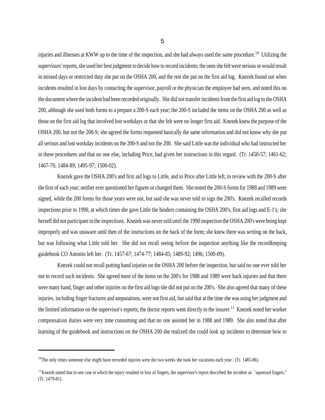injuries and illnesses at KWW up to the time of the inspection, and she had always used the same procedure.<sup>10</sup> Utilizing the supervisors' reports, she used her best judgment to decide how to record incidents; the ones she felt were serious or would result in missed days or restricted duty she put on the OSHA 200, and the rest she put on the first aid log. Knezek found out when incidents resulted in lost days by contacting the supervisor, payroll or the physician the employee had seen, and noted this on the document where the incident had been recorded originally. She did not transfer incidents from the first aid log to the OSHA 200, although she used both forms to a prepare a 200-S each year; the 200-S included the items on the OSHA 200 as well as those on the first aid log that involved lost workdays or that she felt were no longer first aid. Knezek knew the purpose of the OSHA 200, but not the 200-S; she agreed the forms requested basically the same information and did not know why she put all serious and lost workday incidents on the 200-S and not the 200. She said Little was the individual who had instructed her in these procedures and that no one else, including Price, had given her instructions in this regard. (Tr. 1450-57; 1461-62; 1467-76; 1484-89; 1495-97; 1500-02).

Knezek gave the OSHA 200's and first aid logs to Little, and to Price after Little left, to review with the 200-S after the first of each year; neither ever questioned her figures or changed them. She noted the 200-S forms for 1988 and 1989 were signed, while the 200 forms for those years were not, but said she was never told to sign the 200's. Knezek recalled records inspections prior to 1990, at which times she gave Little the binders containing the OSHA 200's, first aid logs and E-1's; she herself did not participate in the inspections. Knezek was never told until the 1990 inspection the OSHA 200's were being kept improperly and was unaware until then of the instructions on the back of the form; she knew there was writing on the back, but was following what Little told her. She did not recall seeing before the inspection anything like the recordkeeping guidebook CO Antonio left her. (Tr. 1457-67; 1474-77; 1484-85; 1489-92; 1496; 1500-09).

Knezek could not recall putting hand injuries on the OSHA 200 before the inspection, but said no one ever told her not to record such incidents. She agreed most of the items on the 200's for 1988 and 1989 were back injuries and that there were many hand, finger and other injuries on the first aid logs she did not put on the 200's. She also agreed that many of these injuries, including finger fractures and amputations, were not first aid, but said that at the time she was using her judgment and the limited information on the supervisor's reports; the doctor reports went directly to the insurer.<sup>11</sup> Knezek noted her worker compensation duties were very time consuming and that no one assisted her in 1988 and 1989. She also noted that after learning of the guidebook and instructions on the OSHA 200 she realized she could look up incidents to determine how to

 $10$ The only times someone else might have recorded injuries were the two weeks she took her vacations each year. (Tr. 1485-86).

 $11$ Knezek stated that in one case in which the injury resulted in loss of fingers, the supervisor's report described the incident as ``squeezed fingers." (Tr. 1479-81).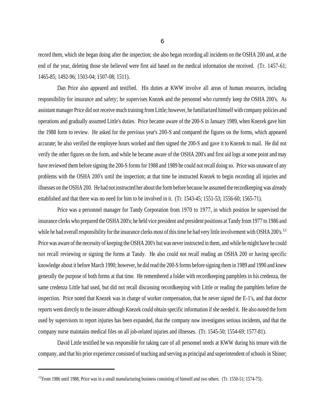record them, which she began doing after the inspection; she also began recording all incidents on the OSHA 200 and, at the end of the year, deleting those she believed were first aid based on the medical information she received. (Tr. 1457-61; 1465-85; 1492-96; 1503-04; 1507-08; 1511).

Dan Price also appeared and testified. His duties at KWW involve all areas of human resources, including responsibility for insurance and safety; he supervises Knezek and the personnel who currently keep the OSHA 200's. As assistant manager Price did not receive much training from Little; however, he familiarized himself with company policies and operations and gradually assumed Little's duties. Price became aware of the 200-S in January 1989, when Knezek gave him the 1988 form to review. He asked for the previous year's 200-S and compared the figures on the forms, which appeared accurate; he also verified the employee hours worked and then signed the 200-S and gave it to Knezek to mail. He did not verify the other figures on the form, and while he became aware of the OSHA 200's and first aid logs at some point and may have reviewed them before signing the 200-S forms for 1988 and 1989 he could not recall doing so. Price was unaware of any problems with the OSHA 200's until the inspection; at that time he instructed Knezek to begin recording all injuries and illnesses on the OSHA 200. He had not instructed her about the form before because he assumed the recordkeeping was already established and that there was no need for him to be involved in it. (Tr. 1543-45; 1551-53; 1556-60; 1565-71).

Price was a personnel manager for Tandy Corporation from 1970 to 1977, in which position he supervised the insurance clerks who prepared the OSHA 200's; he held vice president and president positions at Tandy from 1977 to 1986 and while he had overall responsibility for the insurance clerks most of this time he had very little involvement with OSHA 200's.<sup>12</sup> Price was aware of the necessity of keeping the OSHA 200's but was never instructed in them, and while he might have he could not recall reviewing or signing the forms at Tandy. He also could not recall reading an OSHA 200 or having specific knowledge about it before March 1990; however, he did read the 200-S forms before signing them in 1989 and 1990 and knew generally the purpose of both forms at that time. He remembered a folder with recordkeeping pamphlets in his credenza, the same credenza Little had used, but did not recall discussing recordkeeping with Little or reading the pamphlets before the inspection. Price noted that Knezek was in charge of worker compensation, that he never signed the E-1's, and that doctor reports went directly to the insurer although Knezek could obtain specific information if she needed it. He also noted the form used by supervisors to report injuries has been expanded, that the company now investigates serious incidents, and that the company nurse maintains medical files on all job-related injuries and illnesses. (Tr. 1545-50; 1554-69; 1577-81).

David Little testified he was responsible for taking care of all personnel needs at KWW during his tenure with the company, and that his prior experience consisted of teaching and serving as principal and superintendent of schools in Shiner;

 $12$ From 1986 until 1988, Price was in a small manufacturing business consisting of himself and two others. (Tr. 1550-51; 1574-75).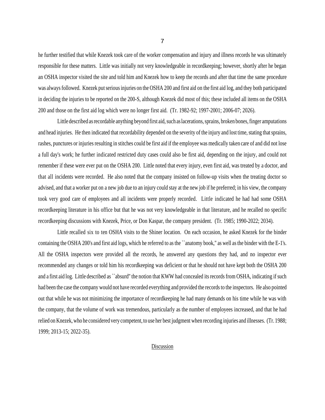he further testified that while Knezek took care of the worker compensation and injury and illness records he was ultimately responsible for these matters. Little was initially not very knowledgeable in recordkeeping; however, shortly after he began an OSHA inspector visited the site and told him and Knezek how to keep the records and after that time the same procedure was always followed. Knezek put serious injuries on the OSHA 200 and first aid on the first aid log, and they both participated in deciding the injuries to be reported on the 200-S, although Knezek did most of this; these included all items on the OSHA 200 and those on the first aid log which were no longer first aid. (Tr. 1982-92; 1997-2001; 2006-07; 2026).

Little described as recordable anything beyond first aid, such as lacerations, sprains, broken bones, finger amputations and head injuries. He then indicated that recordability depended on the severity of the injury and lost time, stating that sprains, rashes, punctures or injuries resulting in stitches could be first aid if the employee was medically taken care of and did not lose a full day's work; he further indicated restricted duty cases could also be first aid, depending on the injury, and could not remember if these were ever put on the OSHA 200. Little noted that every injury, even first aid, was treated by a doctor, and that all incidents were recorded. He also noted that the company insisted on follow-up visits when the treating doctor so advised, and that a worker put on a new job due to an injury could stay at the new job if he preferred; in his view, the company took very good care of employees and all incidents were properly recorded. Little indicated he had had some OSHA recordkeeping literature in his office but that he was not very knowledgeable in that literature, and he recalled no specific recordkeeping discussions with Knezek, Price, or Don Kaspar, the company president. (Tr. 1985; 1990-2022; 2034).

Little recalled six to ten OSHA visits to the Shiner location. On each occasion, he asked Knezek for the binder containing the OSHA 200's and first aid logs, which he referred to as the ``anatomy book,'' as well as the binder with the E-1's. All the OSHA inspectors were provided all the records, he answered any questions they had, and no inspector ever recommended any changes or told him his recordkeeping was deficient or that he should not have kept both the OSHA 200 and a first aid log. Little described as ``absurd'' the notion that KWW had concealed its records from OSHA, indicating if such had been the case the company would not have recorded everything and provided the records to the inspectors. He also pointed out that while he was not minimizing the importance of recordkeeping he had many demands on his time while he was with the company, that the volume of work was tremendous, particularly as the number of employees increased, and that he had relied on Knezek, who he considered very competent, to use her best judgment when recording injuries and illnesses. (Tr. 1988; 1999; 2013-15; 2022-35).

#### Discussion

7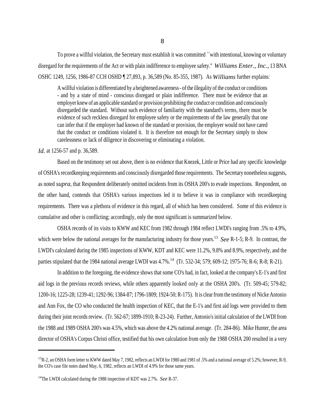To prove a willful violation, the Secretary must establish it was committed ``with intentional, knowing or voluntary disregard for the requirements of the Act or with plain indifference to employee safety.'' *Williams Enter., Inc.,* 13 BNA OSHC 1249, 1256, 1986-87 CCH OSHD ¶ 27,893, p. 36,589 (No. 85-355, 1987). As *Williams* further explains:

A willful violation is differentiated by a heightened awareness - of the illegality of the conduct or conditions - and by a state of mind - conscious disregard or plain indifference. There must be evidence that an employer knew of an applicable standard or provision prohibiting the conduct or condition and consciously disregarded the standard. Without such evidence of familiarity with the standard's terms, there must be evidence of such reckless disregard for employee safety or the requirements of the law generally that one can infer that if the employer had known of the standard or provision, the employer would not have cared that the conduct or conditions violated it. It is therefore not enough for the Secretary simply to show carelessness or lack of diligence in discovering or eliminating a violation.

*Id.* at 1256-57 and p. 36,589.

Based on the testimony set out above, there is no evidence that Knezek, Little or Price had any specific knowledge of OSHA's recordkeeping requirements and consciously disregarded those requirements. The Secretary nonetheless suggests, as noted *supra*, that Respondent deliberately omitted incidents from its OSHA 200's to evade inspections. Respondent, on the other hand, contends that OSHA's various inspections led it to believe it was in compliance with recordkeeping requirements. There was a plethora of evidence in this regard, all of which has been considered. Some of this evidence is cumulative and other is conflicting; accordingly, only the most significant is summarized below.

OSHA records of its visits to KWW and KEC from 1982 through 1984 reflect LWDI's ranging from .5% to 4.9%, which were below the national averages for the manufacturing industry for those years.<sup>13</sup> *See* R-1-5; R-9. In contrast, the LWDI's calculated during the 1985 inspections of KWW, KDT and KEC were 11.2%, 9.8% and 8.9%, respectively, and the parties stipulated that the 1984 national average LWDI was 4.7%.<sup>14</sup> (Tr. 532-34; 579; 609-12; 1975-76; R-6; R-8; R-21).

In addition to the foregoing, the evidence shows that some CO's had, in fact, looked at the company's E-1's and first aid logs in the previous records reviews, while others apparently looked only at the OSHA 200's. (Tr. 509-45; 579-82; 1200-16; 1225-28; 1239-41; 1292-96; 1384-87; 1796-1809; 1924-50; R-175). It is clear from the testimony of Nicke Antonio and Ann Fox, the CO who conducted the health inspection of KEC, that the E-1's and first aid logs were provided to them during their joint records review. (Tr. 562-67; 1899-1910; R-23-24). Further, Antonio's initial calculation of the LWDI from the 1988 and 1989 OSHA 200's was 4.5%, which was above the 4.2% national average. (Tr. 284-86). Mike Hunter, the area director of OSHA's Corpus Christi office, testified that his own calculation from only the 1988 OSHA 200 resulted in a very

<sup>&</sup>lt;sup>13</sup>R-2, an OSHA form letter to KWW dated May 7, 1982, reflects an LWDI for 1980 and 1981 of .5% and a national average of 5.2%; however, R-9, the CO's case file notes dated May, 6, 1982, reflects an LWDI of 4.9% for those same years.

<sup>14</sup>The LWDI calculated during the 1988 inspection of KDT was 2.7%. *See* R-37.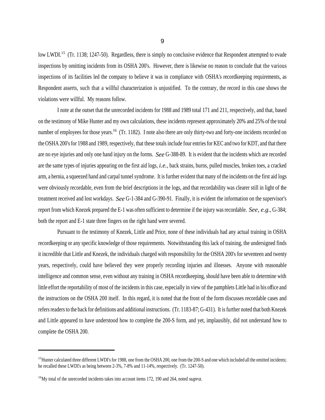low LWDI.<sup>15</sup> (Tr. 1138; 1247-50). Regardless, there is simply no conclusive evidence that Respondent attempted to evade inspections by omitting incidents from its OSHA 200's. However, there is likewise no reason to conclude that the various inspections of its facilities led the company to believe it was in compliance with OSHA's recordkeeping requirements, as Respondent asserts, such that a willful characterization is unjustified. To the contrary, the record in this case shows the violations were willful. My reasons follow.

I note at the outset that the unrecorded incidents for 1988 and 1989 total 171 and 211, respectively, and that, based on the testimony of Mike Hunter and my own calculations, these incidents represent approximately 20% and 25% of the total number of employees for those years.<sup>16</sup> (Tr. 1182). I note also there are only thirty-two and forty-one incidents recorded on the OSHA 200's for 1988 and 1989, respectively, that these totals include four entries for KEC and two for KDT, and that there are no eye injuries and only one hand injury on the forms. *See* G-388-89. It is evident that the incidents which are recorded are the same types of injuries appearing on the first aid logs, *i.e.*, back strains, burns, pulled muscles, broken toes, a cracked arm, a hernia, a squeezed hand and carpal tunnel syndrome. It is further evident that many of the incidents on the first aid logs were obviously recordable, even from the brief descriptions in the logs, and that recordability was clearer still in light of the treatment received and lost workdays. *See* G-1-384 and G-390-91. Finally, it is evident the information on the supervisor's report from which Knezek prepared the E-1 was often sufficient to determine if the injury was recordable. *See, e.g.*, G-384; both the report and E-1 state three fingers on the right hand were severed.

Pursuant to the testimony of Knezek, Little and Price, none of these individuals had any actual training in OSHA recordkeeping or any specific knowledge of those requirements. Notwithstanding this lack of training, the undersigned finds it incredible that Little and Knezek, the individuals charged with responsibility for the OSHA 200's for seventeen and twenty years, respectively, could have believed they were properly recording injuries and illnesses. Anyone with reasonable intelligence and common sense, even without any training in OSHA recordkeeping, should have been able to determine with little effort the reportability of most of the incidents in this case, especially in view of the pamphlets Little had in his office and the instructions on the OSHA 200 itself. In this regard, it is noted that the front of the form discusses recordable cases and refers readers to the back for definitions and additional instructions. (Tr. 1183-87; G-431). It is further noted that both Knezek and Little appeared to have understood how to complete the 200-S form, and yet, implausibly, did not understand how to complete the OSHA 200.

 $15$ Hunter calculated three different LWDI's for 1988, one from the OSHA 200, one from the 200-S and one which included all the omitted incidents; he recalled these LWDI's as being between 2-3%, 7-8% and 11-14%, respectively. (Tr. 1247-50).

<sup>16</sup>My total of the unrecorded incidents takes into account items 172, 190 and 264, noted *supra*.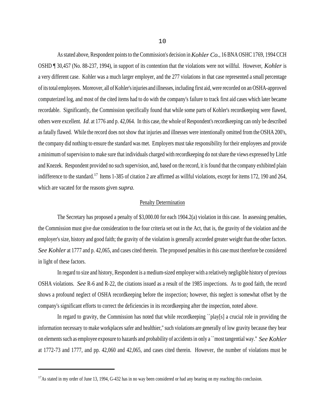As stated above, Respondent points to the Commission's decision in *Kohler Co.*, 16 BNA OSHC 1769, 1994 CCH OSHD ¶ 30,457 (No. 88-237, 1994), in support of its contention that the violations were not willful. However, *Kohler* is a very different case. Kohler was a much larger employer, and the 277 violations in that case represented a small percentage of its total employees. Moreover, all of Kohler's injuries and illnesses, including first aid, were recorded on an OSHA-approved computerized log, and most of the cited items had to do with the company's failure to track first aid cases which later became recordable. Significantly, the Commission specifically found that while some parts of Kohler's recordkeeping were flawed, others were excellent. *Id*. at 1776 and p. 42,064. In this case, the whole of Respondent's recordkeeping can only be described as fatally flawed. While the record does not show that injuries and illnesses were intentionally omitted from the OSHA 200's, the company did nothing to ensure the standard was met. Employers must take responsibility for their employees and provide a minimum of supervision to make sure that individuals charged with recordkeeping do not share the views expressed by Little and Knezek. Respondent provided no such supervision, and, based on the record, it is found that the company exhibited plain indifference to the standard.<sup>17</sup> Items 1-385 of citation 2 are affirmed as willful violations, except for items 172, 190 and 264, which are vacated for the reasons given *supra*.

## Penalty Determination

The Secretary has proposed a penalty of \$3,000.00 for each 1904.2(a) violation in this case. In assessing penalties, the Commission must give due consideration to the four criteria set out in the Act, that is, the gravity of the violation and the employer's size, history and good faith; the gravity of the violation is generally accorded greater weight than the other factors. *See Kohler* at 1777 and p. 42,065, and cases cited therein. The proposed penalties in this case must therefore be considered in light of these factors.

In regard to size and history, Respondent is a medium-sized employer with a relatively negligible history of previous OSHA violations. *See* R-6 and R-22, the citations issued as a result of the 1985 inspections. As to good faith, the record shows a profound neglect of OSHA recordkeeping before the inspection; however, this neglect is somewhat offset by the company's significant efforts to correct the deficiencies in its recordkeeping after the inspection, noted above.

In regard to gravity, the Commission has noted that while recordkeeping "play[s] a crucial role in providing the information necessary to make workplaces safer and healthier,'' such violations are generally of low gravity because they bear on elements such as employee exposure to hazards and probability of accidents in only a ``most tangential way.'' *See Kohler* at 1772-73 and 1777, and pp. 42,060 and 42,065, and cases cited therein. However, the number of violations must be

<sup>&</sup>lt;sup>17</sup>As stated in my order of June 13, 1994, G-432 has in no way been considered or had any bearing on my reaching this conclusion.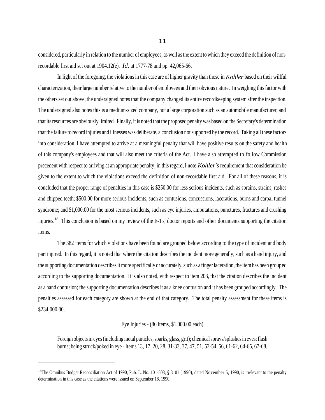considered, particularly in relation to the number of employees, as well as the extent to which they exceed the definition of nonrecordable first aid set out at 1904.12(e). *Id.* at 1777-78 and pp. 42,065-66.

In light of the foregoing, the violations in this case are of higher gravity than those in *Kohler* based on their willful characterization, their large number relative to the number of employees and their obvious nature. In weighing this factor with the others set out above, the undersigned notes that the company changed its entire recordkeeping system after the inspection. The undersigned also notes this is a medium-sized company, not a large corporation such as an automobile manufacturer, and that its resources are obviously limited. Finally, it is noted that the proposed penalty was based on the Secretary's determination that the failure to record injuries and illnesses was deliberate, a conclusion not supported by the record. Taking all these factors into consideration, I have attempted to arrive at a meaningful penalty that will have positive results on the safety and health of this company's employees and that will also meet the criteria of the Act. I have also attempted to follow Commission precedent with respect to arriving at an appropriate penalty; in this regard, I note *Kohler's* requirement that consideration be given to the extent to which the violations exceed the definition of non-recordable first aid. For all of these reasons, it is concluded that the proper range of penalties in this case is \$250.00 for less serious incidents, such as sprains, strains, rashes and chipped teeth; \$500.00 for more serious incidents, such as contusions, concussions, lacerations, burns and carpal tunnel syndrome; and \$1,000.00 for the most serious incidents, such as eye injuries, amputations, punctures, fractures and crushing injuries.<sup>18</sup> This conclusion is based on my review of the E-1's, doctor reports and other documents supporting the citation items.

The 382 items for which violations have been found are grouped below according to the type of incident and body part injured. In this regard, it is noted that where the citation describes the incident more generally, such as a hand injury, and the supporting documentation describes it more specifically or accurately, such as a finger laceration, the item has been grouped according to the supporting documentation. It is also noted, with respect to item 203, that the citation describes the incident as a hand contusion; the supporting documentation describes it as a knee contusion and it has been grouped accordingly. The penalties assessed for each category are shown at the end of that category. The total penalty assessment for these items is \$234,000.00.

## Eye Injuries - (86 items, \$1,000.00 each)

Foreign objects in eyes (including metal particles, sparks, glass, grit); chemical sprays/splashes in eyes; flash burns; being struck/poked in eye - Items 13, 17, 20, 28, 31-33, 37, 47, 51, 53-54, 56, 61-62, 64-65, 67-68,

<sup>&</sup>lt;sup>18</sup>The Omnibus Budget Reconciliation Act of 1990, Pub. L. No. 101-508, § 3101 (1990), dated November 5, 1990, is irrelevant to the penalty determination in this case as the citations were issued on September 18, 1990.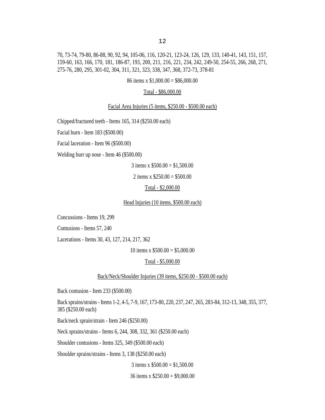70, 73-74, 79-80, 86-88, 90, 92, 94, 105-06, 116, 120-21, 123-24, 126, 129, 133, 140-41, 143, 151, 157, 159-60, 163, 166, 170, 181, 186-87, 193, 200, 211, 216, 221, 234, 242, 249-50, 254-55, 266, 268, 271, 275-76, 280, 295, 301-02, 304, 311, 321, 323, 338, 347, 368, 372-73, 378-81

#### 86 items x \$1,000.00 = \$86,000.00

#### Total - \$86,000.00

Facial Area Injuries (5 items, \$250.00 - \$500.00 each)

Chipped/fractured teeth - Items 165, 314 (\$250.00 each)

Facial burn - Item 183 (\$500.00)

Facial laceration - Item 96 (\$500.00)

Welding burr up nose - Item 46 (\$500.00)

3 items x  $$500.00 = $1,500.00$ 

2 items x  $$250.00 = $500.00$ 

#### Total - \$2,000.00

#### Head Injuries (10 items, \$500.00 each)

Concussions - Items 19, 299

Contusions - Items 57, 240

Lacerations - Items 30, 43, 127, 214, 217, 362

10 items x  $$500.00 = $5,000.00$ 

#### Total - \$5,000.00

Back/Neck/Shoulder Injuries (39 items, \$250.00 - \$500.00 each)

Back contusion - Item 233 (\$500.00)

Back sprains/strains - Items 1-2, 4-5, 7-9, 167, 173-80, 220, 237, 247, 265, 283-84, 312-13, 348, 355, 377, 385 (\$250.00 each)

Back/neck sprain/strain - Item 246 (\$250.00)

Neck sprains/strains - Items 6, 244, 308, 332, 361 (\$250.00 each)

Shoulder contusions - Items 325, 349 (\$500.00 each)

Shoulder sprains/strains - Items 3, 138 (\$250.00 each)

3 items x  $$500.00 = $1,500.00$ 

36 items x \$250.00 = \$9,000.00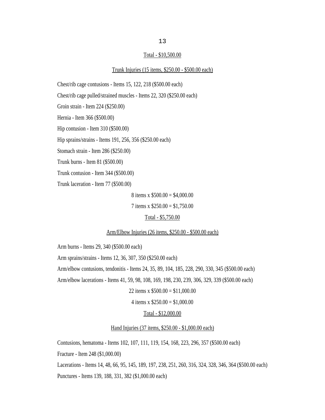#### Total - \$10,500.00

#### Trunk Injuries (15 items, \$250.00 - \$500.00 each)

Chest/rib cage contusions - Items 15, 122, 218 (\$500.00 each) Chest/rib cage pulled/strained muscles - Items 22, 320 (\$250.00 each) Groin strain - Item 224 (\$250.00) Hernia - Item 366 (\$500.00) Hip contusion - Item 310 (\$500.00) Hip sprains/strains - Items 191, 256, 356 (\$250.00 each) Stomach strain - Item 286 (\$250.00) Trunk burns - Item 81 (\$500.00) Trunk contusion - Item 344 (\$500.00) Trunk laceration - Item 77 (\$500.00)

8 items x \$500.00 = \$4,000.00

7 items x \$250.00 = \$1,750.00

Total - \$5,750.00

#### Arm/Elbow Injuries (26 items, \$250.00 - \$500.00 each)

Arm burns - Items 29, 340 (\$500.00 each)

Arm sprains/strains - Items 12, 36, 307, 350 (\$250.00 each)

Arm/elbow contusions, tendonitis - Items 24, 35, 89, 104, 185, 228, 290, 330, 345 (\$500.00 each)

Arm/elbow lacerations - Items 41, 59, 98, 108, 169, 198, 230, 239, 306, 329, 339 (\$500.00 each)

22 items x \$500.00 = \$11,000.00

4 items x  $$250.00 = $1,000.00$ 

#### Total - \$12,000.00

#### Hand Injuries (37 items, \$250.00 - \$1,000.00 each)

Contusions, hematoma - Items 102, 107, 111, 119, 154, 168, 223, 296, 357 (\$500.00 each)

Fracture - Item 248 (\$1,000.00)

Lacerations - Items 14, 48, 66, 95, 145, 189, 197, 238, 251, 260, 316, 324, 328, 346, 364 (\$500.00 each) Punctures - Items 139, 188, 331, 382 (\$1,000.00 each)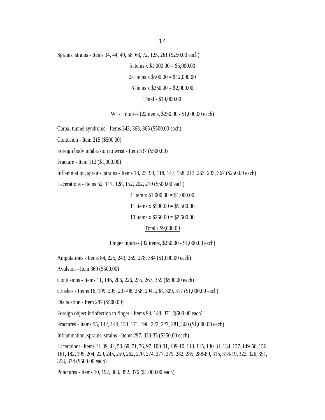Sprains, strains - Items 34, 44, 49, 58, 63, 72, 125, 261 (\$250.00 each)

5 items x  $$1,000.00 = $5,000.00$ 

24 items x \$500.00 = \$12,000.00

#### 8 items x  $$250.00 = $2,000.00$

#### Total - \$19,000.00

#### Wrist Injuries (22 items, \$250.00 - \$1,000.00 each)

Carpal tunnel syndrome - Items 343, 363, 365 (\$500.00 each)

Contusion - Item 215 (\$500.00)

Foreign body in/abrasion to wrist - Item 337 (\$500.00)

Fracture - Item 112 (\$1,000.00)

Inflammation, sprains, strains - Items 18, 23, 99, 118, 147, 158, 213, 263, 293, 367 (\$250.00 each)

Lacerations - Items 52, 117, 128, 152, 202, 210 (\$500.00 each)

1 item x  $$1,000.00 = $1,000.00$ 

11 items x  $$500.00 = $5,500.00$ 

10 items x  $$250.00 = $2,500.00$ 

#### Total - \$9,000.00

Finger Injuries (92 items, \$250.00 - \$1,000.00 each)

Amputations - Items 84, 225, 243, 269, 278, 384 (\$1,000.00 each)

Avulsion - Item 369 (\$500.00)

Contusions - Items 11, 146, 206, 226, 235, 267, 359 (\$500.00 each)

Crushes - Items 16, 199, 205, 207-08, 258, 294, 298, 309, 317 (\$1,000.00 each)

Dislocation - Item 287 (\$500.00)

Foreign object in/infection to finger - Items 93, 148, 371 (\$500.00 each)

Fractures - Items 55, 142, 144, 153, 171, 196, 222, 227, 281, 360 (\$1,000.00 each)

Inflammation, sprains, strains - Items 297, 333-35 (\$250.00 each)

Lacerations - Items 21, 39, 42, 50, 69, 71, 76, 97, 100-01, 109-10, 113, 115, 130-31, 134, 137, 149-50, 156, 161, 182, 195, 204, 229, 245, 259, 262, 270, 274, 277, 279, 282, 285, 288-89, 315, 318-19, 322, 326, 351, 358, 374 (\$500.00 each)

Punctures - Items 10, 192, 303, 352, 376 (\$1,000.00 each)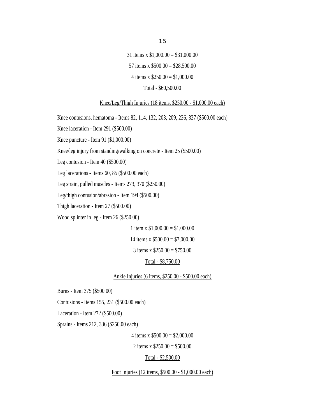31 items x \$1,000.00 = \$31,000.00 57 items x  $$500.00 = $28,500.00$ 4 items x  $$250.00 = $1,000.00$ Total - \$60,500.00

#### Knee/Leg/Thigh Injuries (18 items, \$250.00 - \$1,000.00 each)

Knee contusions, hematoma - Items 82, 114, 132, 203, 209, 236, 327 (\$500.00 each)

Knee laceration - Item 291 (\$500.00)

Knee puncture - Item 91 (\$1,000.00)

Knee/leg injury from standing/walking on concrete - Item 25 (\$500.00)

Leg contusion - Item 40 (\$500.00)

Leg lacerations - Items 60, 85 (\$500.00 each)

Leg strain, pulled muscles - Items 273, 370 (\$250.00)

Leg/thigh contusion/abrasion - Item 194 (\$500.00)

Thigh laceration - Item 27 (\$500.00)

Wood splinter in leg - Item 26 (\$250.00)

1 item x  $$1,000.00 = $1,000.00$ 14 items x \$500.00 = \$7,000.00

3 items x  $$250.00 = $750.00$ 

Total - \$8,750.00

Ankle Injuries (6 items, \$250.00 - \$500.00 each)

Burns - Item 375 (\$500.00)

Contusions - Items 155, 231 (\$500.00 each)

Laceration - Item 272 (\$500.00)

Sprains - Items 212, 336 (\$250.00 each)

4 items x  $$500.00 = $2,000.00$ 

2 items x  $$250.00 = $500.00$ 

Total - \$2,500.00

Foot Injuries (12 items, \$500.00 - \$1,000.00 each)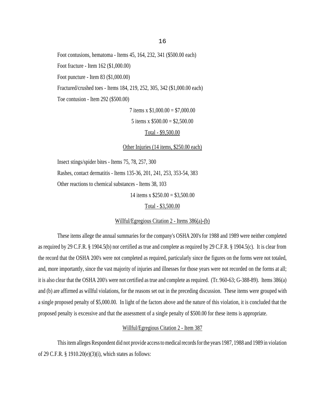Foot contusions, hematoma - Items 45, 164, 232, 341 (\$500.00 each) Foot fracture - Item 162 (\$1,000.00)

Foot puncture - Item 83 (\$1,000.00)

Fractured/crushed toes - Items 184, 219, 252, 305, 342 (\$1,000.00 each)

Toe contusion - Item 292 (\$500.00)

7 items x  $$1,000.00 = $7,000.00$ 

5 items x  $$500.00 = $2,500.00$ 

Total - \$9,500.00

Other Injuries (14 items, \$250.00 each)

Insect stings/spider bites - Items 75, 78, 257, 300

Rashes, contact dermatitis - Items 135-36, 201, 241, 253, 353-54, 383

Other reactions to chemical substances - Items 38, 103

14 items x \$250.00 = \$3,500.00

Total - \$3,500.00

#### Willful/Egregious Citation 2 - Items 386(a)-(b)

These items allege the annual summaries for the company's OSHA 200's for 1988 and 1989 were neither completed as required by 29 C.F.R. § 1904.5(b) nor certified as true and complete as required by 29 C.F.R. § 1904.5(c). It is clear from the record that the OSHA 200's were not completed as required, particularly since the figures on the forms were not totaled, and, more importantly, since the vast majority of injuries and illnesses for those years were not recorded on the forms at all; it is also clear that the OSHA 200's were not certified as true and complete as required. (Tr. 960-63; G-388-89). Items 386(a) and (b) are affirmed as willful violations, for the reasons set out in the preceding discussion. These items were grouped with a single proposed penalty of \$5,000.00. In light of the factors above and the nature of this violation, it is concluded that the proposed penalty is excessive and that the assessment of a single penalty of \$500.00 for these items is appropriate.

## Willful/Egregious Citation 2 - Item 387

This item alleges Respondent did not provide access to medical records for the years 1987, 1988 and 1989 in violation of 29 C.F.R. § 1910.20(e)(3)(i), which states as follows: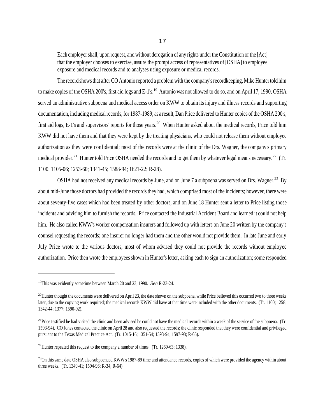Each employer shall, upon request, and without derogation of any rights under the Constitution or the [Act] that the employer chooses to exercise, assure the prompt access of representatives of [OSHA] to employee exposure and medical records and to analyses using exposure or medical records.

The record shows that after CO Antonio reported a problem with the company's recordkeeping, Mike Hunter told him to make copies of the OSHA 200's, first aid logs and E-1's.<sup>19</sup> Antonio was not allowed to do so, and on April 17, 1990, OSHA served an administrative subpoena and medical access order on KWW to obtain its injury and illness records and supporting documentation, including medical records, for 1987-1989; as a result, Dan Price delivered to Hunter copies of the OSHA 200's, first aid logs, E-1's and supervisors' reports for those years.<sup>20</sup> When Hunter asked about the medical records, Price told him KWW did not have them and that they were kept by the treating physicians, who could not release them without employee authorization as they were confidential; most of the records were at the clinic of the Drs. Wagner, the company's primary medical provider.<sup>21</sup> Hunter told Price OSHA needed the records and to get them by whatever legal means necessary.<sup>22</sup> (Tr. 1100; 1105-06; 1253-60; 1341-45; 1588-94; 1621-22; R-28).

OSHA had not received any medical records by June, and on June 7 a subpoena was served on Drs. Wagner.<sup>23</sup> By about mid-June those doctors had provided the records they had, which comprised most of the incidents; however, there were about seventy-five cases which had been treated by other doctors, and on June 18 Hunter sent a letter to Price listing those incidents and advising him to furnish the records. Price contacted the Industrial Accident Board and learned it could not help him. He also called KWW's worker compensation insurers and followed up with letters on June 20 written by the company's counsel requesting the records; one insurer no longer had them and the other would not provide them. In late June and early July Price wrote to the various doctors, most of whom advised they could not provide the records without employee authorization. Price then wrote the employees shown in Hunter's letter, asking each to sign an authorization; some responded

<sup>19</sup>This was evidently sometime between March 20 and 23, 1990. *See* R-23-24.

 $^{20}$ Hunter thought the documents were delivered on April 23, the date shown on the subpoena, while Price believed this occurred two to three weeks later, due to the copying work required; the medical records KWW did have at that time were included with the other documents. (Tr. 1100; 1258; 1342-44; 1377; 1590-92).

<sup>&</sup>lt;sup>21</sup>Price testified he had visited the clinic and been advised he could not have the medical records within a week of the service of the subpoena. (Tr. 1593-94). CO Jones contacted the clinic on April 28 and also requested the records; the clinic responded that they were confidential and privileged pursuant to the Texas Medical Practice Act. (Tr. 1015-16; 1351-54; 1593-94; 1597-98; R-66).

<sup>&</sup>lt;sup>22</sup>Hunter repeated this request to the company a number of times. (Tr. 1260-63; 1338).

<sup>&</sup>lt;sup>23</sup>On this same date OSHA also subpoenaed KWW's 1987-89 time and attendance records, copies of which were provided the agency within about three weeks. (Tr. 1349-41; 1594-96; R-34; R-64).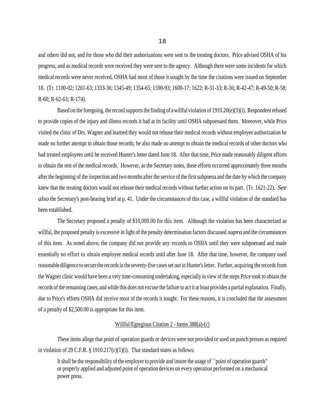and others did not, and for those who did their authorizations were sent to the treating doctors. Price advised OSHA of his progress, and as medical records were received they were sent to the agency. Although there were some incidents for which medical records were never received, OSHA had most of those it sought by the time the citations were issued on September 18. (Tr. 1100-02; 1261-63; 1333-36; 1345-49; 1354-65; 1590-93; 1600-17; 1622; R-31-33; R-36; R-42-47; R-49-50; R-58; R-60; R-62-63; R-174).

Based on the foregoing, the record supports the finding of a willful violation of  $1910.20(e)(3)(i)$ . Respondent refused to provide copies of the injury and illness records it had at its facility until OSHA subpoenaed them. Moreover, while Price visited the clinic of Drs. Wagner and learned they would not release their medical records without employee authorization he made no further attempt to obtain those records; he also made no attempt to obtain the medical records of other doctors who had treated employees until he received Hunter's letter dated June 18. After that time, Price made reasonably diligent efforts to obtain the rest of the medical records. However, as the Secretary notes, these efforts occurred approximately three months after the beginning of the inspection and two months after the service of the first subpoena and the date by which the company knew that the treating doctors would not release their medical records without further action on its part. (Tr. 1621-22). *See also* the Secretary's post-hearing brief at p. 41. Under the circumstances of this case, a willful violation of the standard has been established.

The Secretary proposed a penalty of \$10,000.00 for this item. Although the violation has been characterized as willful, the proposed penalty is excessive in light of the penalty determination factors discussed *supra* and the circumstances of this item. As noted above, the company did not provide any records to OSHA until they were subpoenaed and made essentially no effort to obtain employee medical records until after June 18. After that time, however, the company used reasonable diligence to secure the records in the seventy-five cases set out in Hunter's letter. Further, acquiring the records from the Wagner clinic would have been a very time-consuming undertaking, especially in view of the steps Price took to obtain the records of the remaining cases, and while this does not excuse the failure to act it at least provides a partial explanation. Finally, due to Price's efforts OSHA did receive most of the records it sought. For these reasons, it is concluded that the assessment of a penalty of \$2,500.00 is appropriate for this item.

### Willful/Egregious Citation 2 - Items 388(a)-(c)

These items allege that point of operation guards or devices were not provided or used on punch presses as required in violation of 29 C.F.R. § 1910.217(c)(1)(i). That standard states as follows:

It shall be the responsibility of the employer to provide and insure the usage of ``point of operation guards'' or properly applied and adjusted point of operation devices on every operation performed on a mechanical power press.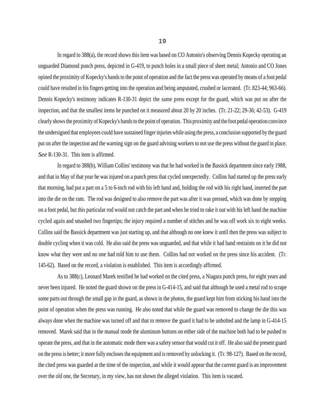In regard to 388(a), the record shows this item was based on CO Antonio's observing Dennis Kopecky operating an unguarded Diamond punch press, depicted in G-419, to punch holes in a small piece of sheet metal; Antonio and CO Jones opined the proximity of Kopecky's hands to the point of operation and the fact the press was operated by means of a foot pedal could have resulted in his fingers getting into the operation and being amputated, crushed or lacerated. (Tr. 823-44; 963-66). Dennis Kopecky's testimony indicates R-130-31 depict the same press except for the guard, which was put on after the inspection, and that the smallest items he punched on it measured about 20 by 20 inches. (Tr. 21-22; 29-36; 42-53). G-419 clearly shows the proximity of Kopecky's hands to the point of operation. This proximity and the foot pedal operation convince the undersigned that employees could have sustained finger injuries while using the press, a conclusion supported by the guard put on after the inspection and the warning sign on the guard advising workers to not use the press without the guard in place. *See* R-130-31. This item is affirmed.

In regard to 388(b), William Collins' testimony was that he had worked in the Bassick department since early 1988, and that in May of that year he was injured on a punch press that cycled unexpectedly. Collins had started up the press early that morning, had put a part on a 5 to 6-inch rod with his left hand and, holding the rod with his right hand, inserted the part into the die on the ram. The rod was designed to also remove the part was after it was pressed, which was done by stepping on a foot pedal, but this particular rod would not catch the part and when he tried to rake it out with his left hand the machine cycled again and smashed two fingertips; the injury required a number of stitches and he was off work six to eight weeks. Collins said the Bassick department was just starting up, and that although no one knew it until then the press was subject to double cycling when it was cold. He also said the press was unguarded, and that while it had hand restraints on it he did not know what they were and no one had told him to use them. Collins had not worked on the press since his accident. (Tr. 145-62). Based on the record, a violation is established. This item is accordingly affirmed.

As to 388(c), Leonard Marek testified he had worked on the cited press, a Niagara punch press, for eight years and never been injured. He noted the guard shown on the press in G-414-15, and said that although he used a metal rod to scrape some parts out through the small gap in the guard, as shown in the photos, the guard kept him from sticking his hand into the point of operation when the press was running. He also noted that while the guard was removed to change the die this was always done when the machine was turned off and that to remove the guard it had to be unbolted and the lamp in G-414-15 removed. Marek said that in the manual mode the aluminum buttons on either side of the machine both had to be pushed to operate the press, and that in the automatic mode there was a safety sensor that would cut it off. He also said the present guard on the press is better; it more fully encloses the equipment and is removed by unlocking it. (Tr. 98-127). Based on the record, the cited press was guarded at the time of the inspection, and while it would appear that the current guard is an improvement over the old one, the Secretary, in my view, has not shown the alleged violation. This item is vacated.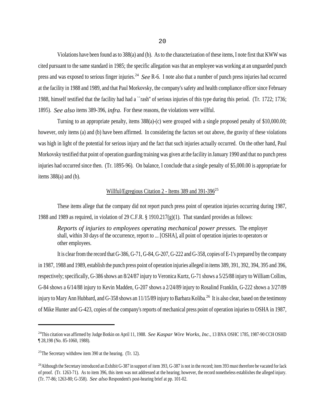Violations have been found as to 388(a) and (b). As to the characterization of these items, I note first that KWW was cited pursuant to the same standard in 1985; the specific allegation was that an employee was working at an unguarded punch press and was exposed to serious finger injuries.24 *See* R-6. I note also that a number of punch press injuries had occurred at the facility in 1988 and 1989, and that Paul Morkovsky, the company's safety and health compliance officer since February 1988, himself testified that the facility had had a ``rash'' of serious injuries of this type during this period. (Tr. 1722; 1736; 1895). *See also* items 389-396, *infra*. For these reasons, the violations were willful.

Turning to an appropriate penalty, items 388(a)-(c) were grouped with a single proposed penalty of \$10,000.00; however, only items (a) and (b) have been affirmed. In considering the factors set out above, the gravity of these violations was high in light of the potential for serious injury and the fact that such injuries actually occurred. On the other hand, Paul Morkovsky testified that point of operation guarding training was given at the facility in January 1990 and that no punch press injuries had occurred since then. (Tr. 1895-96). On balance, I conclude that a single penalty of \$5,000.00 is appropriate for items  $388(a)$  and (b).

# Willful/Egregious Citation 2 - Items 389 and 391-396<sup>25</sup>

These items allege that the company did not report punch press point of operation injuries occurring during 1987, 1988 and 1989 as required, in violation of 29 C.F.R. § 1910.217(g)(1). That standard provides as follows:

*Reports of injuries to employees operating mechanical power presses.* The employer shall, within 30 days of the occurrence, report to ... [OSHA], all point of operation injuries to operators or other employees.

It is clear from the record that G-386, G-71, G-84, G-207, G-222 and G-358, copies of E-1's prepared by the company in 1987, 1988 and 1989, establish the punch press point of operation injuries alleged in items 389, 391, 392, 394, 395 and 396, respectively; specifically, G-386 shows an 8/24/87 injury to Veronica Kurtz, G-71 shows a 5/25/88 injury to William Collins, G-84 shows a 6/14/88 injury to Kevin Madden, G-207 shows a 2/24/89 injury to Rosalind Franklin, G-222 shows a 3/27/89 injury to Mary Ann Hubbard, and G-358 shows an  $11/15/89$  injury to Barbara Koliba.<sup>26</sup> It is also clear, based on the testimony of Mike Hunter and G-423, copies of the company's reports of mechanical press point of operation injuries to OSHA in 1987,

<sup>&</sup>lt;sup>24</sup>This citation was affirmed by Judge Botkin on April 11, 1988. *See Kaspar Wire Works, Inc.*, 13 BNA OSHC 1785, 1987-90 CCH OSHD ¶ 28,198 (No. 85-1060, 1988).

<sup>&</sup>lt;sup>25</sup>The Secretary withdrew item 390 at the hearing. (Tr. 12).

 $^{26}$ Although the Secretary introduced an Exhibit G-387 in support of item 393, G-387 is not in the record; item 393 must therefore be vacated for lack of proof. (Tr. 1263-71). As to item 396, this item was not addressed at the hearing; however, the record nonetheless establishes the alleged injury. (Tr. 77-86; 1263-80; G-358). *See also* Respondent's post-hearing brief at pp. 101-02.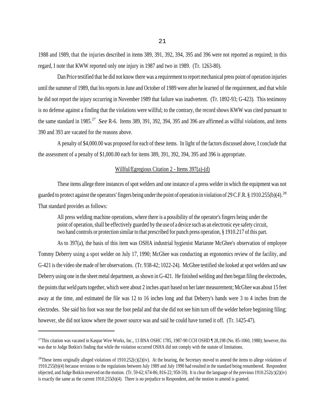1988 and 1989, that the injuries described in items 389, 391, 392, 394, 395 and 396 were not reported as required; in this regard, I note that KWW reported only one injury in 1987 and two in 1989. (Tr. 1263-80).

Dan Price testified that he did not know there was a requirement to report mechanical press point of operation injuries until the summer of 1989, that his reports in June and October of 1989 were after he learned of the requirement, and that while he did not report the injury occurring in November 1989 that failure was inadvertent. (Tr. 1892-93; G-423). This testimony is no defense against a finding that the violations were willful; to the contrary, the record shows KWW was cited pursuant to the same standard in 1985.27 *See* R-6. Items 389, 391, 392, 394, 395 and 396 are affirmed as willful violations, and items 390 and 393 are vacated for the reasons above.

A penalty of \$4,000.00 was proposed for each of these items. In light of the factors discussed above, I conclude that the assessment of a penalty of \$1,000.00 each for items 389, 391, 392, 394, 395 and 396 is appropriate.

#### Willful/Egregious Citation 2 - Items 397(a)-(d)

These items allege three instances of spot welders and one instance of a press welder in which the equipment was not guarded to protect against the operators' fingers being under the point of operation in violation of 29 C.F.R. § 1910.255(b)(4).<sup>28</sup> That standard provides as follows:

All press welding machine operations, where there is a possibility of the operator's fingers being under the point of operation, shall be effectively guarded by the use of a device such as an electronic eye safety circuit, two hand controls or protection similar to that prescribed for punch press operation, § 1910.217 of this part.

As to 397(a), the basis of this item was OSHA industrial hygienist Marianne McGhee's observation of employee Tommy Deberry using a spot welder on July 17, 1990; McGhee was conducting an ergonomics review of the facility, and G-421 is the video she made of her observations. (Tr. 938-42; 1022-24). McGhee testified she looked at spot welders and saw Deberry using one in the sheet metal department, as shown in G-421. He finished welding and then began filing the electrodes, the points that weld parts together, which were about 2 inches apart based on her later measurement; McGhee was about 15 feet away at the time, and estimated the file was 12 to 16 inches long and that Deberry's hands were 3 to 4 inches from the electrodes. She said his foot was near the foot pedal and that she did not see him turn off the welder before beginning filing; however, she did not know where the power source was and said he could have turned it off. (Tr. 1425-47).

<sup>&</sup>lt;sup>27</sup>This citation was vacated in Kaspar Wire Works, Inc., 13 BNA OSHC 1785, 1987-90 CCH OSHD ¶ 28,198 (No. 85-1060, 1988); however, this was due to Judge Botkin's finding that while the violation occurred OSHA did not comply with the statute of limitations.

<sup>&</sup>lt;sup>28</sup>These items originally alleged violations of 1910.252(c)(2)(iv). At the hearing, the Secretary moved to amend the items to allege violations of 1910.255(b)(4) because revisions to the regulations between July 1989 and July 1990 had resulted in the standard being renumbered. Respondent objected, and Judge Botkin reserved on the motion. (Tr. 59-62; 674-86; 816-22; 950-59). It is clear the language of the previous  $1910.252(c)(2)(iv)$ is exactly the same as the current 1910.255(b)(4). There is no prejudice to Respondent, and the motion to amend is granted.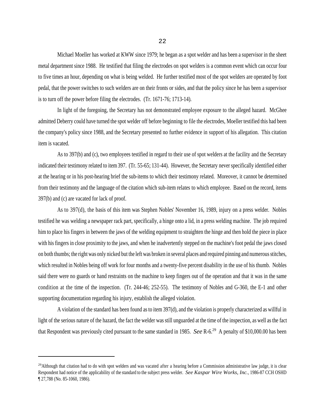Michael Moeller has worked at KWW since 1979; he began as a spot welder and has been a supervisor in the sheet metal department since 1988. He testified that filing the electrodes on spot welders is a common event which can occur four to five times an hour, depending on what is being welded. He further testified most of the spot welders are operated by foot pedal, that the power switches to such welders are on their fronts or sides, and that the policy since he has been a supervisor is to turn off the power before filing the electrodes. (Tr. 1671-76; 1713-14).

In light of the foregoing, the Secretary has not demonstrated employee exposure to the alleged hazard. McGhee admitted Deberry could have turned the spot welder off before beginning to file the electrodes, Moeller testified this had been the company's policy since 1988, and the Secretary presented no further evidence in support of his allegation. This citation item is vacated.

As to 397(b) and (c), two employees testified in regard to their use of spot welders at the facility and the Secretary indicated their testimony related to item 397. (Tr. 55-65; 131-44). However, the Secretary never specifically identified either at the hearing or in his post-hearing brief the sub-items to which their testimony related. Moreover, it cannot be determined from their testimony and the language of the citation which sub-item relates to which employee. Based on the record, items 397(b) and (c) are vacated for lack of proof.

As to 397(d), the basis of this item was Stephen Nobles' November 16, 1989, injury on a press welder. Nobles testified he was welding a newspaper rack part, specifically, a hinge onto a lid, in a press welding machine. The job required him to place his fingers in between the jaws of the welding equipment to straighten the hinge and then hold the piece in place with his fingers in close proximity to the jaws, and when he inadvertently stepped on the machine's foot pedal the jaws closed on both thumbs; the right was only nicked but the left was broken in several places and required pinning and numerous stitches, which resulted in Nobles being off work for four months and a twenty-five percent disability in the use of his thumb. Nobles said there were no guards or hand restraints on the machine to keep fingers out of the operation and that it was in the same condition at the time of the inspection. (Tr. 244-46; 252-55). The testimony of Nobles and G-360, the E-1 and other supporting documentation regarding his injury, establish the alleged violation.

A violation of the standard has been found as to item 397(d), and the violation is properly characterized as willful in light of the serious nature of the hazard, the fact the welder was still unguarded at the time of the inspection, as well as the fact that Respondent was previously cited pursuant to the same standard in 1985. *See* R-6.29 A penalty of \$10,000.00 has been

 $^{29}$ Although that citation had to do with spot welders and was vacated after a hearing before a Commission administrative law judge, it is clear Respondent had notice of the applicability of the standard to the subject press welder. *See Kaspar Wire Works, Inc.*, 1986-87 CCH OSHD ¶ 27,788 (No. 85-1060, 1986).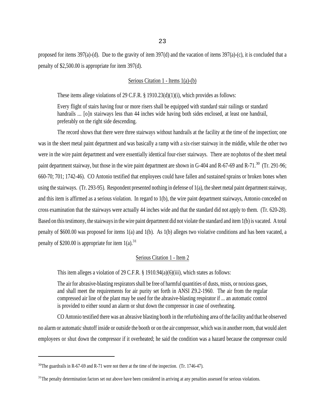proposed for items 397(a)-(d). Due to the gravity of item 397(d) and the vacation of items 397(a)-(c), it is concluded that a penalty of \$2,500.00 is appropriate for item 397(d).

#### Serious Citation 1 - Items 1(a)-(b)

These items allege violations of 29 C.F.R. § 1910.23(d)(1)(i), which provides as follows:

Every flight of stairs having four or more risers shall be equipped with standard stair railings or standard handrails ... [o]n stairways less than 44 inches wide having both sides enclosed, at least one handrail, preferably on the right side descending.

The record shows that there were three stairways without handrails at the facility at the time of the inspection; one was in the sheet metal paint department and was basically a ramp with a six-riser stairway in the middle, while the other two were in the wire paint department and were essentially identical four-riser stairways. There are no photos of the sheet metal paint department stairway, but those in the wire paint department are shown in G-404 and R-67-69 and R-71.<sup>30</sup> (Tr. 291-96; 660-70; 701; 1742-46). CO Antonio testified that employees could have fallen and sustained sprains or broken bones when using the stairways. (Tr. 293-95). Respondent presented nothing in defense of 1(a), the sheet metal paint department stairway, and this item is affirmed as a serious violation. In regard to 1(b), the wire paint department stairways, Antonio conceded on cross examination that the stairways were actually 44 inches wide and that the standard did not apply to them. (Tr. 620-28). Based on this testimony, the stairways in the wire paint department did not violate the standard and item 1(b) is vacated. A total penalty of \$600.00 was proposed for items 1(a) and 1(b). As 1(b) alleges two violative conditions and has been vacated, a penalty of \$200.00 is appropriate for item  $1(a)$ .<sup>31</sup>

# Serious Citation 1 - Item 2

This item alleges a violation of 29 C.F.R. § 1910.94(a)(6)(iii), which states as follows:

The air for abrasive-blasting respirators shall be free of harmful quantities of dusts, mists, or noxious gases, and shall meet the requirements for air purity set forth in ANSI Z9.2-1960. The air from the regular compressed air line of the plant may be used for the abrasive-blasting respirator if ... an automatic control is provided to either sound an alarm or shut down the compressor in case of overheating.

CO Antonio testified there was an abrasive blasting booth in the refurbishing area of the facility and that he observed no alarm or automatic shutoff inside or outside the booth or on the air compressor, which was in another room, that would alert employees or shut down the compressor if it overheated; he said the condition was a hazard because the compressor could

<sup>&</sup>lt;sup>30</sup>The guardrails in R-67-69 and R-71 were not there at the time of the inspection. (Tr. 1746-47).

<sup>&</sup>lt;sup>31</sup>The penalty determination factors set out above have been considered in arriving at any penalties assessed for serious violations.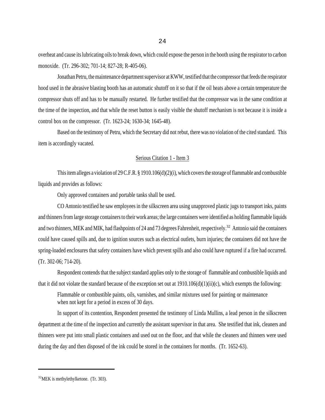overheat and cause its lubricating oils to break down, which could expose the person in the booth using the respirator to carbon monoxide. (Tr. 296-302; 701-14; 827-28; R-405-06).

Jonathan Petru, the maintenance department supervisor at KWW, testified that the compressor that feeds the respirator hood used in the abrasive blasting booth has an automatic shutoff on it so that if the oil heats above a certain temperature the compressor shuts off and has to be manually restarted. He further testified that the compressor was in the same condition at the time of the inspection, and that while the reset button is easily visible the shutoff mechanism is not because it is inside a control box on the compressor. (Tr. 1623-24; 1630-34; 1645-48).

Based on the testimony of Petru, which the Secretary did not rebut, there was no violation of the cited standard. This item is accordingly vacated.

# Serious Citation 1 - Item 3

This item alleges a violation of 29 C.F.R. § 1910.106(d)(2)(i), which covers the storage of flammable and combustible liquids and provides as follows:

Only approved containers and portable tanks shall be used.

CO Antonio testified he saw employees in the silkscreen area using unapproved plastic jugs to transport inks, paints and thinners from large storage containers to their work areas; the large containers were identified as holding flammable liquids and two thinners, MEK and MIK, had flashpoints of 24 and 73 degrees Fahrenheit, respectively.<sup>32</sup> Antonio said the containers could have caused spills and, due to ignition sources such as electrical outlets, burn injuries; the containers did not have the spring-loaded enclosures that safety containers have which prevent spills and also could have ruptured if a fire had occurred. (Tr. 302-06; 714-20).

Respondent contends that the subject standard applies only to the storage of flammable and combustible liquids and that it did not violate the standard because of the exception set out at  $1910.106(d)(1)(ii)(c)$ , which exempts the following:

Flammable or combustible paints, oils, varnishes, and similar mixtures used for painting or maintenance when not kept for a period in excess of 30 days.

In support of its contention, Respondent presented the testimony of Linda Mullins, a lead person in the silkscreen department at the time of the inspection and currently the assistant supervisor in that area. She testified that ink, cleaners and thinners were put into small plastic containers and used out on the floor, and that while the cleaners and thinners were used during the day and then disposed of the ink could be stored in the containers for months. (Tr. 1652-63).

<sup>32</sup>MEK is methylethylketone. (Tr. 303).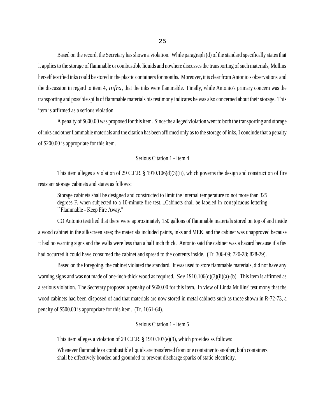Based on the record, the Secretary has shown a violation. While paragraph (d) of the standard specifically states that it applies to the storage of flammable or combustible liquids and nowhere discusses the transporting of such materials, Mullins herself testified inks could be stored in the plastic containers for months. Moreover, it is clear from Antonio's observations and the discussion in regard to item 4, *infra*, that the inks were flammable. Finally, while Antonio's primary concern was the transporting and possible spills of flammable materials his testimony indicates he was also concerned about their storage. This item is affirmed as a serious violation.

A penalty of \$600.00 was proposed for this item. Since the alleged violation went to both the transporting and storage of inks and other flammable materials and the citation has been affirmed only as to the storage of inks, I conclude that a penalty of \$200.00 is appropriate for this item.

### Serious Citation 1 - Item 4

This item alleges a violation of 29 C.F.R. § 1910.106(d)(3)(ii), which governs the design and construction of fire resistant storage cabinets and states as follows:

Storage cabinets shall be designed and constructed to limit the internal temperature to not more than 325 degrees F. when subjected to a 10-minute fire test....Cabinets shall be labeled in conspicuous lettering ``Flammable - Keep Fire Away.''

CO Antonio testified that there were approximately 150 gallons of flammable materials stored on top of and inside a wood cabinet in the silkscreen area; the materials included paints, inks and MEK, and the cabinet was unapproved because it had no warning signs and the walls were less than a half inch thick. Antonio said the cabinet was a hazard because if a fire had occurred it could have consumed the cabinet and spread to the contents inside. (Tr. 306-09; 720-28; 828-29).

Based on the foregoing, the cabinet violated the standard. It was used to store flammable materials, did not have any warning signs and was not made of one-inch-thick wood as required. *See* 1910.106(d)(3)(ii)(a)-(b). This item is affirmed as a serious violation. The Secretary proposed a penalty of \$600.00 for this item. In view of Linda Mullins' testimony that the wood cabinets had been disposed of and that materials are now stored in metal cabinets such as those shown in R-72-73, a penalty of \$500.00 is appropriate for this item. (Tr. 1661-64).

#### Serious Citation 1 - Item 5

This item alleges a violation of 29 C.F.R. § 1910.107(e)(9), which provides as follows:

Whenever flammable or combustible liquids are transferred from one container to another, both containers shall be effectively bonded and grounded to prevent discharge sparks of static electricity.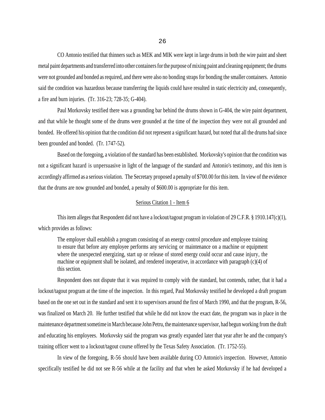CO Antonio testified that thinners such as MEK and MIK were kept in large drums in both the wire paint and sheet metal paint departments and transferred into other containers for the purpose of mixing paint and cleaning equipment; the drums were not grounded and bonded as required, and there were also no bonding straps for bonding the smaller containers. Antonio said the condition was hazardous because transferring the liquids could have resulted in static electricity and, consequently, a fire and burn injuries. (Tr. 316-23; 728-35; G-404).

Paul Morkovsky testified there was a grounding bar behind the drums shown in G-404, the wire paint department, and that while he thought some of the drums were grounded at the time of the inspection they were not all grounded and bonded. He offered his opinion that the condition did not represent a significant hazard, but noted that all the drums had since been grounded and bonded. (Tr. 1747-52).

Based on the foregoing, a violation of the standard has been established. Morkovsky's opinion that the condition was not a significant hazard is unpersuasive in light of the language of the standard and Antonio's testimony, and this item is accordingly affirmed as a serious violation. The Secretary proposed a penalty of \$700.00 for this item. In view of the evidence that the drums are now grounded and bonded, a penalty of \$600.00 is appropriate for this item.

## Serious Citation 1 - Item 6

This item alleges that Respondent did not have a lockout/tagout program in violation of 29 C.F.R. § 1910.147(c)(1), which provides as follows:

The employer shall establish a program consisting of an energy control procedure and employee training to ensure that before any employee performs any servicing or maintenance on a machine or equipment where the unexpected energizing, start up or release of stored energy could occur and cause injury, the machine or equipment shall be isolated, and rendered inoperative, in accordance with paragraph (c)(4) of this section.

Respondent does not dispute that it was required to comply with the standard, but contends, rather, that it had a lockout/tagout program at the time of the inspection. In this regard, Paul Morkovsky testified he developed a draft program based on the one set out in the standard and sent it to supervisors around the first of March 1990, and that the program, R-56, was finalized on March 20. He further testified that while he did not know the exact date, the program was in place in the maintenance department sometime in March because John Petru, the maintenance supervisor, had begun working from the draft and educating his employees. Morkovsky said the program was greatly expanded later that year after he and the company's training officer went to a lockout/tagout course offered by the Texas Safety Association. (Tr. 1752-55).

In view of the foregoing, R-56 should have been available during CO Antonio's inspection. However, Antonio specifically testified he did not see R-56 while at the facility and that when he asked Morkovsky if he had developed a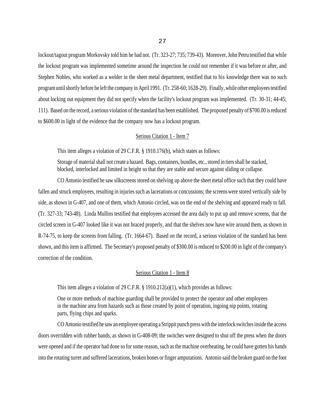lockout/tagout program Morkovsky told him he had not. (Tr. 323-27; 735; 739-43). Moreover, John Petru testified that while the lockout program was implemented sometime around the inspection he could not remember if it was before or after, and Stephen Nobles, who worked as a welder in the sheet metal department, testified that to his knowledge there was no such program until shortly before he left the company in April 1991. (Tr. 258-60; 1628-29). Finally, while other employees testified about locking out equipment they did not specify when the facility's lockout program was implemented. (Tr. 30-31; 44-45; 111). Based on the record, a serious violation of the standard has been established. The proposed penalty of \$700.00 is reduced to \$600.00 in light of the evidence that the company now has a lockout program.

#### Serious Citation 1 - Item 7

This item alleges a violation of 29 C.F.R. § 1910.176(b), which states as follows:

Storage of material shall not create a hazard. Bags, containers, bundles, etc., stored in tiers shall be stacked, blocked, interlocked and limited in height so that they are stable and secure against sliding or collapse.

CO Antonio testified he saw silkscreens stored on shelving up above the sheet metal office such that they could have fallen and struck employees, resulting in injuries such as lacerations or concussions; the screens were stored vertically side by side, as shown in G-407, and one of them, which Antonio circled, was on the end of the shelving and appeared ready to fall. (Tr. 327-33; 743-48). Linda Mullins testified that employees accessed the area daily to put up and remove screens, that the circled screen in G-407 looked like it was not braced properly, and that the shelves now have wire around them, as shown in R-74-75, to keep the screens from falling. (Tr. 1664-67). Based on the record, a serious violation of the standard has been shown, and this item is affirmed. The Secretary's proposed penalty of \$300.00 is reduced to \$200.00 in light of the company's correction of the condition.

#### Serious Citation 1 - Item 8

This item alleges a violation of 29 C.F.R.  $\S$  1910.212(a)(1), which provides as follows:

One or more methods of machine guarding shall be provided to protect the operator and other employees in the machine area from hazards such as those created by point of operation, ingoing nip points, rotating parts, flying chips and sparks.

CO Antonio testified he saw an employee operating a Strippit punch press with the interlock switches inside the access doors overridden with rubber bands, as shown in G-408-09; the switches were designed to shut off the press when the doors were opened and if the operator had done so for some reason, such as the machine overheating, he could have gotten his hands into the rotating turret and suffered lacerations, broken bones or finger amputations. Antonio said the broken guard on the foot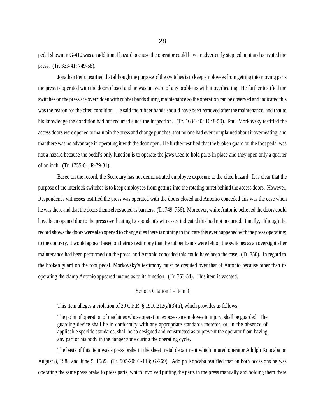pedal shown in G-410 was an additional hazard because the operator could have inadvertently stepped on it and activated the press. (Tr. 333-41; 749-58).

Jonathan Petru testified that although the purpose of the switches is to keep employees from getting into moving parts the press is operated with the doors closed and he was unaware of any problems with it overheating. He further testified the switches on the press are overridden with rubber bands during maintenance so the operation can be observed and indicated this was the reason for the cited condition. He said the rubber bands should have been removed after the maintenance, and that to his knowledge the condition had not recurred since the inspection. (Tr. 1634-40; 1648-50). Paul Morkovsky testified the access doors were opened to maintain the press and change punches, that no one had ever complained about it overheating, and that there was no advantage in operating it with the door open. He further testified that the broken guard on the foot pedal was not a hazard because the pedal's only function is to operate the jaws used to hold parts in place and they open only a quarter of an inch. (Tr. 1755-61; R-79-81).

Based on the record, the Secretary has not demonstrated employee exposure to the cited hazard. It is clear that the purpose of the interlock switches is to keep employees from getting into the rotating turret behind the access doors. However, Respondent's witnesses testified the press was operated with the doors closed and Antonio conceded this was the case when he was there and that the doors themselves acted as barriers. (Tr. 749; 756). Moreover, while Antonio believed the doors could have been opened due to the press overheating Respondent's witnesses indicated this had not occurred. Finally, although the record shows the doors were also opened to change dies there is nothing to indicate this ever happened with the press operating; to the contrary, it would appear based on Petru's testimony that the rubber bands were left on the switches as an oversight after maintenance had been performed on the press, and Antonio conceded this could have been the case. (Tr. 750). In regard to the broken guard on the foot pedal, Morkovsky's testimony must be credited over that of Antonio because other than its operating the clamp Antonio appeared unsure as to its function. (Tr. 753-54). This item is vacated.

#### Serious Citation 1 - Item 9

This item alleges a violation of 29 C.F.R. § 1910.212(a)(3)(ii), which provides as follows:

The point of operation of machines whose operation exposes an employee to injury, shall be guarded. The guarding device shall be in conformity with any appropriate standards therefor, or, in the absence of applicable specific standards, shall be so designed and constructed as to prevent the operator from having any part of his body in the danger zone during the operating cycle.

The basis of this item was a press brake in the sheet metal department which injured operator Adolph Koncaba on August 8, 1988 and June 5, 1989. (Tr. 905-20; G-113; G-269). Adolph Koncaba testified that on both occasions he was operating the same press brake to press parts, which involved putting the parts in the press manually and holding them there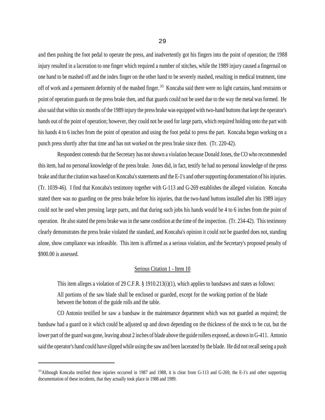and then pushing the foot pedal to operate the press, and inadvertently got his fingers into the point of operation; the 1988 injury resulted in a laceration to one finger which required a number of stitches, while the 1989 injury caused a fingernail on one hand to be mashed off and the index finger on the other hand to be severely mashed, resulting in medical treatment, time off of work and a permanent deformity of the mashed finger.<sup>33</sup> Koncaba said there were no light curtains, hand restraints or point of operation guards on the press brake then, and that guards could not be used due to the way the metal was formed. He also said that within six months of the 1989 injury the press brake was equipped with two-hand buttons that kept the operator's hands out of the point of operation; however, they could not be used for large parts, which required holding onto the part with his hands 4 to 6 inches from the point of operation and using the foot pedal to press the part. Koncaba began working on a punch press shortly after that time and has not worked on the press brake since then. (Tr. 220-42).

Respondent contends that the Secretary has not shown a violation because Donald Jones, the CO who recommended this item, had no personal knowledge of the press brake. Jones did, in fact, testify he had no personal knowledge of the press brake and that the citation was based on Koncaba's statements and the E-1's and other supporting documentation of his injuries. (Tr. 1039-46). I find that Koncaba's testimony together with G-113 and G-269 establishes the alleged violation. Koncaba stated there was no guarding on the press brake before his injuries, that the two-hand buttons installed after his 1989 injury could not be used when pressing large parts, and that during such jobs his hands would be 4 to 6 inches from the point of operation. He also stated the press brake was in the same condition at the time of the inspection. (Tr. 234-42). This testimony clearly demonstrates the press brake violated the standard, and Koncaba's opinion it could not be guarded does not, standing alone, show compliance was infeasible. This item is affirmed as a serious violation, and the Secretary's proposed penalty of \$900.00 is assessed.

# Serious Citation 1 - Item 10

This item alleges a violation of 29 C.F.R. § 1910.213(i)(1), which applies to bandsaws and states as follows:

All portions of the saw blade shall be enclosed or guarded, except for the working portion of the blade between the bottom of the guide rolls and the table.

CO Antonio testified he saw a bandsaw in the maintenance department which was not guarded as required; the bandsaw had a guard on it which could be adjusted up and down depending on the thickness of the stock to be cut, but the lower part of the guard was gone, leaving about 2 inches of blade above the guide rollers exposed, as shown in G-411. Antonio said the operator's hand could have slipped while using the saw and been lacerated by the blade. He did not recall seeing a push

 $33$ Although Koncaba testified these injuries occurred in 1987 and 1988, it is clear from G-113 and G-269, the E-1's and other supporting documentation of these incidents, that they actually took place in 1988 and 1989.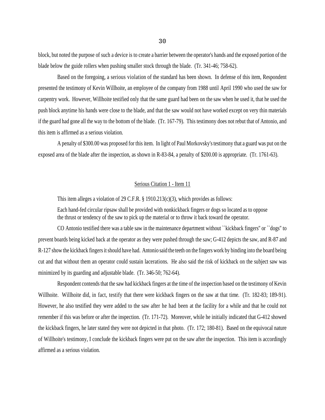block, but noted the purpose of such a device is to create a barrier between the operator's hands and the exposed portion of the blade below the guide rollers when pushing smaller stock through the blade. (Tr. 341-46; 758-62).

Based on the foregoing, a serious violation of the standard has been shown. In defense of this item, Respondent presented the testimony of Kevin Willhoite, an employee of the company from 1988 until April 1990 who used the saw for carpentry work. However, Willhoite testified only that the same guard had been on the saw when he used it, that he used the push block anytime his hands were close to the blade, and that the saw would not have worked except on very thin materials if the guard had gone all the way to the bottom of the blade. (Tr. 167-79). This testimony does not rebut that of Antonio, and this item is affirmed as a serious violation.

A penalty of \$300.00 was proposed for this item. In light of Paul Morkovsky's testimony that a guard was put on the exposed area of the blade after the inspection, as shown in R-83-84, a penalty of \$200.00 is appropriate. (Tr. 1761-63).

# Serious Citation 1 - Item 11

This item alleges a violation of 29 C.F.R. § 1910.213(c)(3), which provides as follows:

Each hand-fed circular ripsaw shall be provided with nonkickback fingers or dogs so located as to oppose the thrust or tendency of the saw to pick up the material or to throw it back toward the operator.

CO Antonio testified there was a table saw in the maintenance department without ``kickback fingers'' or ``dogs'' to prevent boards being kicked back at the operator as they were pushed through the saw; G-412 depicts the saw, and R-87 and R-127 show the kickback fingers it should have had. Antonio said the teeth on the fingers work by binding into the board being cut and that without them an operator could sustain lacerations. He also said the risk of kickback on the subject saw was minimized by its guarding and adjustable blade. (Tr. 346-50; 762-64).

Respondent contends that the saw had kickback fingers at the time of the inspection based on the testimony of Kevin Willhoite. Willhoite did, in fact, testify that there were kickback fingers on the saw at that time. (Tr. 182-83; 189-91). However, he also testified they were added to the saw after he had been at the facility for a while and that he could not remember if this was before or after the inspection. (Tr. 171-72). Moreover, while he initially indicated that G-412 showed the kickback fingers, he later stated they were not depicted in that photo. (Tr. 172; 180-81). Based on the equivocal nature of Willhoite's testimony, I conclude the kickback fingers were put on the saw after the inspection. This item is accordingly affirmed as a serious violation.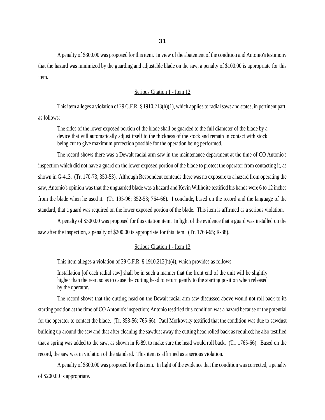A penalty of \$300.00 was proposed for this item. In view of the abatement of the condition and Antonio's testimony that the hazard was minimized by the guarding and adjustable blade on the saw, a penalty of \$100.00 is appropriate for this item.

# Serious Citation 1 - Item 12

This item alleges a violation of 29 C.F.R. § 1910.213(h)(1), which applies to radial saws and states, in pertinent part, as follows:

The sides of the lower exposed portion of the blade shall be guarded to the full diameter of the blade by a device that will automatically adjust itself to the thickness of the stock and remain in contact with stock being cut to give maximum protection possible for the operation being performed.

The record shows there was a Dewalt radial arm saw in the maintenance department at the time of CO Antonio's inspection which did not have a guard on the lower exposed portion of the blade to protect the operator from contacting it, as shown in G-413. (Tr. 170-73; 350-53). Although Respondent contends there was no exposure to a hazard from operating the saw, Antonio's opinion was that the unguarded blade was a hazard and Kevin Willhoite testified his hands were 6 to 12 inches from the blade when he used it. (Tr. 195-96; 352-53; 764-66). I conclude, based on the record and the language of the standard, that a guard was required on the lower exposed portion of the blade. This item is affirmed as a serious violation.

A penalty of \$300.00 was proposed for this citation item. In light of the evidence that a guard was installed on the saw after the inspection, a penalty of \$200.00 is appropriate for this item. (Tr. 1763-65; R-88).

## Serious Citation 1 - Item 13

This item alleges a violation of 29 C.F.R. § 1910.213(h)(4), which provides as follows:

Installation [of each radial saw] shall be in such a manner that the front end of the unit will be slightly higher than the rear, so as to cause the cutting head to return gently to the starting position when released by the operator.

The record shows that the cutting head on the Dewalt radial arm saw discussed above would not roll back to its starting position at the time of CO Antonio's inspection; Antonio testified this condition was a hazard because of the potential for the operator to contact the blade. (Tr. 353-56; 765-66). Paul Morkovsky testified that the condition was due to sawdust building up around the saw and that after cleaning the sawdust away the cutting head rolled back as required; he also testified that a spring was added to the saw, as shown in R-89, to make sure the head would roll back. (Tr. 1765-66). Based on the record, the saw was in violation of the standard. This item is affirmed as a serious violation.

A penalty of \$300.00 was proposed for this item. In light of the evidence that the condition was corrected, a penalty of \$200.00 is appropriate.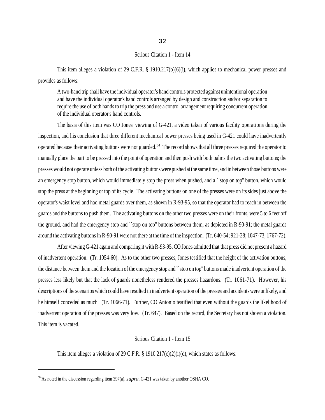#### Serious Citation 1 - Item 14

This item alleges a violation of 29 C.F.R. § 1910.217(b)(6)(i), which applies to mechanical power presses and provides as follows:

A two-hand trip shall have the individual operator's hand controls protected against unintentional operation and have the individual operator's hand controls arranged by design and construction and/or separation to require the use of both hands to trip the press and use a control arrangement requiring concurrent operation of the individual operator's hand controls.

The basis of this item was CO Jones' viewing of G-421, a video taken of various facility operations during the inspection, and his conclusion that three different mechanical power presses being used in G-421 could have inadvertently operated because their activating buttons were not guarded.<sup>34</sup> The record shows that all three presses required the operator to manually place the part to be pressed into the point of operation and then push with both palms the two activating buttons; the presses would not operate unless both of the activating buttons were pushed at the same time, and in between those buttons were an emergency stop button, which would immediately stop the press when pushed, and a ``stop on top'' button, which would stop the press at the beginning or top of its cycle. The activating buttons on one of the presses were on its sides just above the operator's waist level and had metal guards over them, as shown in R-93-95, so that the operator had to reach in between the guards and the buttons to push them. The activating buttons on the other two presses were on their fronts, were 5 to 6 feet off the ground, and had the emergency stop and ``stop on top'' buttons between them, as depicted in R-90-91; the metal guards around the activating buttons in R-90-91 were not there at the time of the inspection. (Tr. 640-54; 921-38; 1047-73; 1767-72).

After viewing G-421 again and comparing it with R-93-95, CO Jones admitted that that press did not present a hazard of inadvertent operation. (Tr. 1054-60). As to the other two presses, Jones testified that the height of the activation buttons, the distance between them and the location of the emergency stop and ``stop on top'' buttons made inadvertent operation of the presses less likely but that the lack of guards nonetheless rendered the presses hazardous. (Tr. 1061-71). However, his descriptions of the scenarios which could have resulted in inadvertent operation of the presses and accidents were unlikely, and he himself conceded as much. (Tr. 1066-71). Further, CO Antonio testified that even without the guards the likelihood of inadvertent operation of the presses was very low. (Tr. 647). Based on the record, the Secretary has not shown a violation. This item is vacated.

## Serious Citation 1 - Item 15

This item alleges a violation of 29 C.F.R. § 1910.217(c)(2)(i)(d), which states as follows:

<sup>34</sup>As noted in the discussion regarding item 397(a), *supra*, G-421 was taken by another OSHA CO.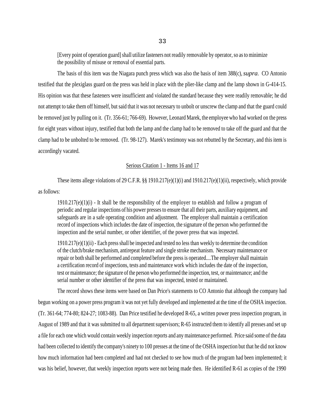[Every point of operation guard] shall utilize fasteners not readily removable by operator, so as to minimize the possibility of misuse or removal of essential parts.

The basis of this item was the Niagara punch press which was also the basis of item 388(c), *supra*. CO Antonio testified that the plexiglass guard on the press was held in place with the plier-like clamp and the lamp shown in G-414-15. His opinion was that these fasteners were insufficient and violated the standard because they were readily removable; he did not attempt to take them off himself, but said that it was not necessary to unbolt or unscrew the clamp and that the guard could be removed just by pulling on it. (Tr. 356-61; 766-69). However, Leonard Marek, the employee who had worked on the press for eight years without injury, testified that both the lamp and the clamp had to be removed to take off the guard and that the clamp had to be unbolted to be removed. (Tr. 98-127). Marek's testimony was not rebutted by the Secretary, and this item is accordingly vacated.

# Serious Citation 1 - Items 16 and 17

These items allege violations of 29 C.F.R. §§ 1910.217(e)(1)(i) and 1910.217(e)(1)(ii), respectively, which provide as follows:

 $1910.217(e)(1)(i)$  - It shall be the responsibility of the employer to establish and follow a program of periodic and regular inspections of his power presses to ensure that all their parts, auxiliary equipment, and safeguards are in a safe operating condition and adjustment. The employer shall maintain a certification record of inspections which includes the date of inspection, the signature of the person who performed the inspection and the serial number, or other identifier, of the power press that was inspected.

1910.217(e)(1)(ii) - Each press shall be inspected and tested no less than weekly to determine the condition of the clutch/brake mechanism, antirepeat feature and single stroke mechanism. Necessary maintenance or repair or both shall be performed and completed before the press is operated....The employer shall maintain a certification record of inspections, tests and maintenance work which includes the date of the inspection, test or maintenance; the signature of the person who performed the inspection, test, or maintenance; and the serial number or other identifier of the press that was inspected, tested or maintained.

The record shows these items were based on Dan Price's statements to CO Antonio that although the company had begun working on a power press program it was not yet fully developed and implemented at the time of the OSHA inspection. (Tr. 361-64; 774-80; 824-27; 1083-88). Dan Price testified he developed R-65, a written power press inspection program, in August of 1989 and that it was submitted to all department supervisors; R-65 instructed them to identify all presses and set up a file for each one which would contain weekly inspection reports and any maintenance performed. Price said some of the data had been collected to identify the company's ninety to 100 presses at the time of the OSHA inspection but that he did not know how much information had been completed and had not checked to see how much of the program had been implemented; it was his belief, however, that weekly inspection reports were not being made then. He identified R-61 as copies of the 1990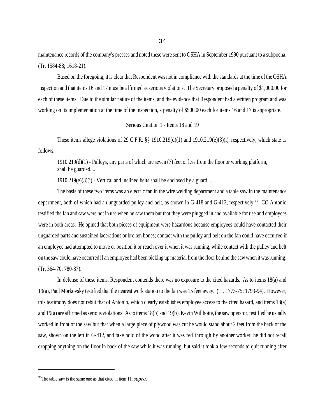maintenance records of the company's presses and noted these were sent to OSHA in September 1990 pursuant to a subpoena. (Tr. 1584-88; 1618-21).

Based on the foregoing, it is clear that Respondent was not in compliance with the standards at the time of the OSHA inspection and that items 16 and 17 must be affirmed as serious violations. The Secretary proposed a penalty of \$1,000.00 for each of these items. Due to the similar nature of the items, and the evidence that Respondent had a written program and was working on its implementation at the time of the inspection, a penalty of \$500.00 each for items 16 and 17 is appropriate.

#### Serious Citation 1 - Items 18 and 19

These items allege violations of 29 C.F.R. §§ 1910.219(d)(1) and 1910.219(e)(3)(i), respectively, which state as follows:

1910.219(d)(1) - Pulleys, any parts of which are seven (7) feet or less from the floor or working platform, shall be guarded....

 $1910.219(e)(3)(i)$  - Vertical and inclined belts shall be enclosed by a guard....

The basis of these two items was an electric fan in the wire welding department and a table saw in the maintenance department, both of which had an unguarded pulley and belt, as shown in G-418 and G-412, respectively.<sup>35</sup> CO Antonio testified the fan and saw were not in use when he saw them but that they were plugged in and available for use and employees were in both areas. He opined that both pieces of equipment were hazardous because employees could have contacted their unguarded parts and sustained lacerations or broken bones; contact with the pulley and belt on the fan could have occurred if an employee had attempted to move or position it or reach over it when it was running, while contact with the pulley and belt on the saw could have occurred if an employee had been picking up material from the floor behind the saw when it was running. (Tr. 364-70; 780-87).

In defense of these items, Respondent contends there was no exposure to the cited hazards. As to items 18(a) and 19(a), Paul Morkovsky testified that the nearest work station to the fan was 15 feet away. (Tr. 1773-75; 1793-94). However, this testimony does not rebut that of Antonio, which clearly establishes employee access to the cited hazard, and items 18(a) and 19(a) are affirmed as serious violations. As to items 18(b) and 19(b), Kevin Willhoite, the saw operator, testified he usually worked in front of the saw but that when a large piece of plywood was cut he would stand about 2 feet from the back of the saw, shown on the left in G-412, and take hold of the wood after it was fed through by another worker; he did not recall dropping anything on the floor in back of the saw while it was running, but said it took a few seconds to quit running after

<sup>35</sup>The table saw is the same one as that cited in item 11, *supra*.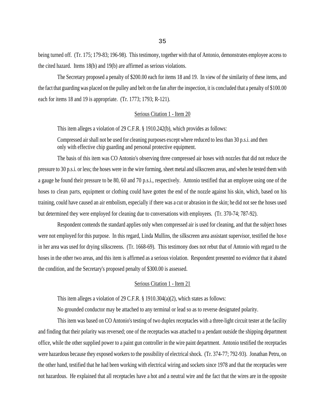being turned off. (Tr. 175; 179-83; 196-98). This testimony, together with that of Antonio, demonstrates employee access to the cited hazard. Items 18(b) and 19(b) are affirmed as serious violations.

The Secretary proposed a penalty of \$200.00 each for items 18 and 19. In view of the similarity of these items, and the fact that guarding was placed on the pulley and belt on the fan after the inspection, it is concluded that a penalty of \$100.00 each for items 18 and 19 is appropriate. (Tr. 1773; 1793; R-121).

### Serious Citation 1 - Item 20

This item alleges a violation of 29 C.F.R. § 1910.242(b), which provides as follows:

Compressed air shall not be used for cleaning purposes except where reduced to less than 30 p.s.i. and then only with effective chip guarding and personal protective equipment.

The basis of this item was CO Antonio's observing three compressed air hoses with nozzles that did not reduce the pressure to 30 p.s.i. or less; the hoses were in the wire forming, sheet metal and silkscreen areas, and when he tested them with a gauge he found their pressure to be 80, 60 and 70 p.s.i., respectively. Antonio testified that an employee using one of the hoses to clean parts, equipment or clothing could have gotten the end of the nozzle against his skin, which, based on his training, could have caused an air embolism, especially if there was a cut or abrasion in the skin; he did not see the hoses used but determined they were employed for cleaning due to conversations with employees. (Tr. 370-74; 787-92).

Respondent contends the standard applies only when compressed air is used for cleaning, and that the subject hoses were not employed for this purpose. In this regard, Linda Mullins, the silkscreen area assistant supervisor, testified the hos e in her area was used for drying silkscreens. (Tr. 1668-69). This testimony does not rebut that of Antonio with regard to the hoses in the other two areas, and this item is affirmed as a serious violation. Respondent presented no evidence that it abated the condition, and the Secretary's proposed penalty of \$300.00 is assessed.

# Serious Citation 1 - Item 21

This item alleges a violation of 29 C.F.R. § 1910.304(a)(2), which states as follows:

No grounded conductor may be attached to any terminal or lead so as to reverse designated polarity.

This item was based on CO Antonio's testing of two duplex receptacles with a three-light circuit tester at the facility and finding that their polarity was reversed; one of the receptacles was attached to a pendant outside the shipping department office, while the other supplied power to a paint gun controller in the wire paint department. Antonio testified the receptacles were hazardous because they exposed workers to the possibility of electrical shock. (Tr. 374-77; 792-93). Jonathan Petru, on the other hand, testified that he had been working with electrical wiring and sockets since 1978 and that the receptacles were not hazardous. He explained that all receptacles have a hot and a neutral wire and the fact that the wires are in the opposite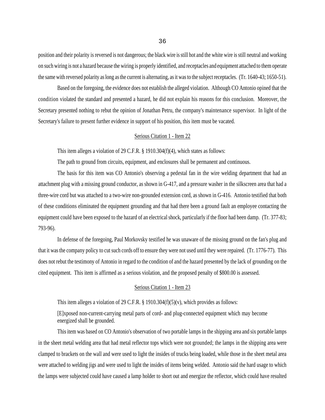position and their polarity is reversed is not dangerous; the black wire is still hot and the white wire is still neutral and working on such wiring is not a hazard because the wiring is properly identified, and receptacles and equipment attached to them operate the same with reversed polarity as long as the current is alternating, as it was to the subject receptacles. (Tr. 1640-43; 1650-51).

Based on the foregoing, the evidence does not establish the alleged violation. Although CO Antonio opined that the condition violated the standard and presented a hazard, he did not explain his reasons for this conclusion. Moreover, the Secretary presented nothing to rebut the opinion of Jonathan Petru, the company's maintenance supervisor. In light of the Secretary's failure to present further evidence in support of his position, this item must be vacated.

#### Serious Citation 1 - Item 22

This item alleges a violation of 29 C.F.R. § 1910.304(f)(4), which states as follows:

The path to ground from circuits, equipment, and enclosures shall be permanent and continuous.

The basis for this item was CO Antonio's observing a pedestal fan in the wire welding department that had an attachment plug with a missing ground conductor, as shown in G-417, and a pressure washer in the silkscreen area that had a three-wire cord but was attached to a two-wire non-grounded extension cord, as shown in G-416. Antonio testified that both of these conditions eliminated the equipment grounding and that had there been a ground fault an employee contacting the equipment could have been exposed to the hazard of an electrical shock, particularly if the floor had been damp. (Tr. 377-83; 793-96).

In defense of the foregoing, Paul Morkovsky testified he was unaware of the missing ground on the fan's plug and that it was the company policy to cut such cords off to ensure they were not used until they were repaired. (Tr. 1776-77). This does not rebut the testimony of Antonio in regard to the condition of and the hazard presented by the lack of grounding on the cited equipment. This item is affirmed as a serious violation, and the proposed penalty of \$800.00 is assessed.

## Serious Citation 1 - Item 23

This item alleges a violation of 29 C.F.R. § 1910.304(f)(5)(v), which provides as follows:

[E]xposed non-current-carrying metal parts of cord- and plug-connected equipment which may become energized shall be grounded.

This item was based on CO Antonio's observation of two portable lamps in the shipping area and six portable lamps in the sheet metal welding area that had metal reflector tops which were not grounded; the lamps in the shipping area were clamped to brackets on the wall and were used to light the insides of trucks being loaded, while those in the sheet metal area were attached to welding jigs and were used to light the insides of items being welded. Antonio said the hard usage to which the lamps were subjected could have caused a lamp holder to short out and energize the reflector, which could have resulted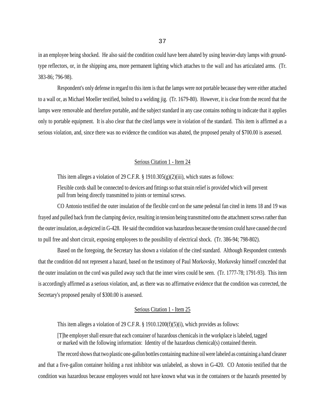in an employee being shocked. He also said the condition could have been abated by using heavier-duty lamps with groundtype reflectors, or, in the shipping area, more permanent lighting which attaches to the wall and has articulated arms. (Tr. 383-86; 796-98).

Respondent's only defense in regard to this item is that the lamps were not portable because they were either attached to a wall or, as Michael Moeller testified, bolted to a welding jig. (Tr. 1679-80). However, it is clear from the record that the lamps were removable and therefore portable, and the subject standard in any case contains nothing to indicate that it applies only to portable equipment. It is also clear that the cited lamps were in violation of the standard. This item is affirmed as a serious violation, and, since there was no evidence the condition was abated, the proposed penalty of \$700.00 is assessed.

# Serious Citation 1 - Item 24

This item alleges a violation of 29 C.F.R. § 1910.305(g)(2)(iii), which states as follows:

Flexible cords shall be connected to devices and fittings so that strain relief is provided which will prevent pull from being directly transmitted to joints or terminal screws.

CO Antonio testified the outer insulation of the flexible cord on the same pedestal fan cited in items 18 and 19 was frayed and pulled back from the clamping device, resulting in tension being transmitted onto the attachment screws rather than the outer insulation, as depicted in G-428. He said the condition was hazardous because the tension could have caused the cord to pull free and short circuit, exposing employees to the possibility of electrical shock. (Tr. 386-94; 798-802).

Based on the foregoing, the Secretary has shown a violation of the cited standard. Although Respondent contends that the condition did not represent a hazard, based on the testimony of Paul Morkovsky, Morkovsky himself conceded that the outer insulation on the cord was pulled away such that the inner wires could be seen. (Tr. 1777-78; 1791-93). This item is accordingly affirmed as a serious violation, and, as there was no affirmative evidence that the condition was corrected, the Secretary's proposed penalty of \$300.00 is assessed.

# Serious Citation 1 - Item 25

This item alleges a violation of 29 C.F.R. § 1910.1200(f)(5)(i), which provides as follows:

[T]he employer shall ensure that each container of hazardous chemicals in the workplace is labeled, tagged or marked with the following information: Identity of the hazardous chemical(s) contained therein.

The record shows that two plastic one-gallon bottles containing machine oil were labeled as containing a hand cleaner and that a five-gallon container holding a rust inhibitor was unlabeled, as shown in G-420. CO Antonio testified that the condition was hazardous because employees would not have known what was in the containers or the hazards presented by